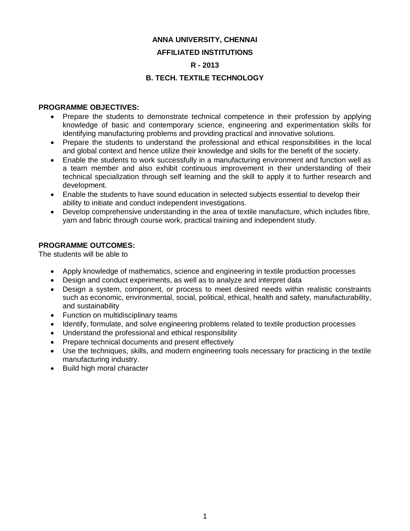## **ANNA UNIVERSITY, CHENNAI AFFILIATED INSTITUTIONS R - 2013**

## **B. TECH. TEXTILE TECHNOLOGY**

### **PROGRAMME OBJECTIVES:**

- Prepare the students to demonstrate technical competence in their profession by applying knowledge of basic and contemporary science, engineering and experimentation skills for identifying manufacturing problems and providing practical and innovative solutions.
- Prepare the students to understand the professional and ethical responsibilities in the local and global context and hence utilize their knowledge and skills for the benefit of the society.
- Enable the students to work successfully in a manufacturing environment and function well as a team member and also exhibit continuous improvement in their understanding of their technical specialization through self learning and the skill to apply it to further research and development.
- Enable the students to have sound education in selected subjects essential to develop their ability to initiate and conduct independent investigations.
- Develop comprehensive understanding in the area of textile manufacture, which includes fibre, yarn and fabric through course work, practical training and independent study.

### **PROGRAMME OUTCOMES:**

The students will be able to

- Apply knowledge of mathematics, science and engineering in textile production processes
- Design and conduct experiments, as well as to analyze and interpret data
- Design a system, component, or process to meet desired needs within realistic constraints such as economic, environmental, social, political, ethical, health and safety, manufacturability, and sustainability
- Function on multidisciplinary teams
- Identify, formulate, and solve engineering problems related to textile production processes
- Understand the professional and ethical responsibility
- Prepare technical documents and present effectively
- Use the techniques, skills, and modern engineering tools necessary for practicing in the textile manufacturing industry.
- Build high moral character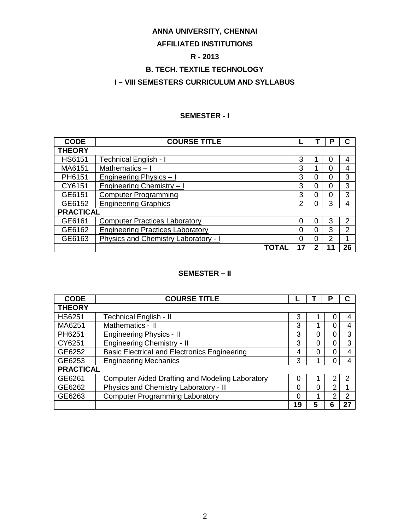## **ANNA UNIVERSITY, CHENNAI**

## **AFFILIATED INSTITUTIONS**

## **R - 2013**

## **B. TECH. TEXTILE TECHNOLOGY**

## **I – VIII SEMESTERS CURRICULUM AND SYLLABUS**

### **SEMESTER - I**

| <b>CODE</b>      | <b>COURSE TITLE</b>                         |               |   |    |                |
|------------------|---------------------------------------------|---------------|---|----|----------------|
| <b>THEORY</b>    |                                             |               |   |    |                |
| <b>HS6151</b>    | Technical English - I                       | 3             |   | 0  | 4              |
| MA6151           | Mathematics-I                               | 3             |   | 0  | 4              |
| PH6151           | Engineering Physics - I                     | 3             | 0 | 0  | 3              |
| CY6151           | Engineering Chemistry - I                   | 3             | 0 | 0  | 3              |
| GE6151           | <b>Computer Programming</b>                 | 3             | 0 | 0  | 3              |
| GE6152           | <b>Engineering Graphics</b>                 | $\mathcal{P}$ | 0 | 3  | 4              |
| <b>PRACTICAL</b> |                                             |               |   |    |                |
| GE6161           | <b>Computer Practices Laboratory</b>        | 0             | 0 | 3  | 2              |
| GE6162           | <b>Engineering Practices Laboratory</b>     | 0             | 0 | 3  | $\overline{2}$ |
| GE6163           | <b>Physics and Chemistry Laboratory - I</b> | 0             | 0 | 2  | 4              |
|                  | TOTAL                                       | 17            | 2 | 11 | 26             |

## **SEMESTER – II**

| <b>CODE</b>      | <b>COURSE TITLE</b>                                    |    |   | Ρ |    |
|------------------|--------------------------------------------------------|----|---|---|----|
| <b>THEORY</b>    |                                                        |    |   |   |    |
| <b>HS6251</b>    | <b>Technical English - II</b>                          | 3  |   |   |    |
| MA6251           | Mathematics - II                                       | 3  |   | 0 |    |
| PH6251           | <b>Engineering Physics - II</b>                        | 3  | 0 | 0 | 3  |
| CY6251           | <b>Engineering Chemistry - II</b>                      | 3  | 0 | 0 | 3  |
| GE6252           | <b>Basic Electrical and Electronics Engineering</b>    |    | 0 | ი |    |
| GE6253           | <b>Engineering Mechanics</b>                           | 3  |   |   |    |
| <b>PRACTICAL</b> |                                                        |    |   |   |    |
| GE6261           | <b>Computer Aided Drafting and Modeling Laboratory</b> |    |   |   | 2  |
| GE6262           | Physics and Chemistry Laboratory - II                  | 0  | 0 | 2 |    |
| GE6263           | <b>Computer Programming Laboratory</b>                 | 0  |   | ◠ | 2  |
|                  |                                                        | 19 | 5 |   | 27 |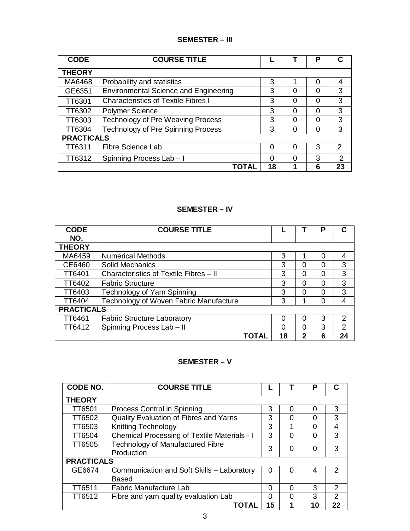## **SEMESTER – III**

| <b>CODE</b>       | <b>COURSE TITLE</b>                          |          |   | Р |               |
|-------------------|----------------------------------------------|----------|---|---|---------------|
| <b>THEORY</b>     |                                              |          |   |   |               |
| MA6468            | Probability and statistics                   | 3        |   | 0 | 4             |
| GE6351            | <b>Environmental Science and Engineering</b> | 3        | Ω | 0 | 3             |
| TT6301            | <b>Characteristics of Textile Fibres I</b>   | 3        | 0 | 0 | 3             |
| TT6302            | <b>Polymer Science</b>                       | 3        | ∩ | ∩ | 3             |
| TT6303            | Technology of Pre Weaving Process            | 3        | Ω | 0 | 3             |
| TT6304            | <b>Technology of Pre Spinning Process</b>    | 3        | 0 | 0 | 3             |
| <b>PRACTICALS</b> |                                              |          |   |   |               |
| TT6311            | <b>Fibre Science Lab</b>                     | 0        | ∩ | 3 | $\mathcal{P}$ |
| TT6312            | Spinning Process Lab - I                     | $\Omega$ | ∩ | 3 | $\mathcal{P}$ |
|                   | TOTAL                                        | 18       |   | 6 | 23            |

## **SEMESTER – IV**

| <b>CODE</b>       | <b>COURSE TITLE</b>                    |    |   |   |               |
|-------------------|----------------------------------------|----|---|---|---------------|
| NO.               |                                        |    |   |   |               |
| <b>THEORY</b>     |                                        |    |   |   |               |
| MA6459            | <b>Numerical Methods</b>               | 3  |   |   | 4             |
| CE6460            | Solid Mechanics                        | 3  | 0 |   | 3             |
| <b>TT6401</b>     | Characteristics of Textile Fibres - II | 3  | 0 | 0 | 3             |
| TT6402            | <b>Fabric Structure</b>                | 3  | 0 | ∩ | 3             |
| TT6403            | <b>Technology of Yarn Spinning</b>     | 3  | 0 |   | 3             |
| TT6404            | Technology of Woven Fabric Manufacture | 3  | 1 |   | 4             |
| <b>PRACTICALS</b> |                                        |    |   |   |               |
| TT6461            | <b>Fabric Structure Laboratory</b>     | 0  | 0 | 3 | $\mathcal{P}$ |
| TT6412            | Spinning Process Lab - II              | O  | 0 | 3 | $\mathcal{P}$ |
|                   | TOTAL                                  | 18 | 2 | 6 | 24            |

## **SEMESTER – V**

| <b>CODE NO.</b>   | <b>COURSE TITLE</b>                                   |          |   | P  |               |
|-------------------|-------------------------------------------------------|----------|---|----|---------------|
| <b>THEORY</b>     |                                                       |          |   |    |               |
| TT6501            | Process Control in Spinning                           | 3        | O | ∩  | 3             |
| TT6502            | <b>Quality Evaluation of Fibres and Yarns</b>         | 3        | 0 | 0  | 3             |
| TT6503            | <b>Knitting Technology</b>                            | 3        |   | 0  | 4             |
| TT6504            | <b>Chemical Processing of Textile Materials - I</b>   | 3        | 0 | 0  | 3             |
| TT6505            | <b>Technology of Manufactured Fibre</b><br>Production | 3        | 0 | 0  | 3             |
| <b>PRACTICALS</b> |                                                       |          |   |    |               |
| GE6674            | Communication and Soft Skills - Laboratory<br>Based   | 0        | 0 | 4  | $\mathcal{P}$ |
| TT6511            | <b>Fabric Manufacture Lab</b>                         | 0        | 0 | 3  | $\mathcal{P}$ |
| TT6512            | Fibre and yarn quality evaluation Lab                 | $\Omega$ | 0 | 3  | 2             |
|                   | TOTAL                                                 | 15       |   | 10 | 22            |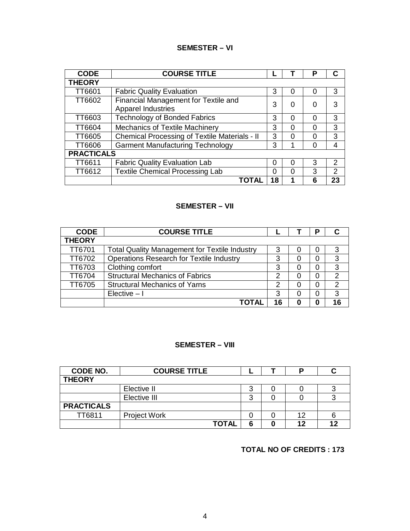## **SEMESTER – VI**

| <b>CODE</b>       | <b>COURSE TITLE</b>                                               |    |   | P        | C  |
|-------------------|-------------------------------------------------------------------|----|---|----------|----|
| <b>THEORY</b>     |                                                                   |    |   |          |    |
| TT6601            | <b>Fabric Quality Evaluation</b>                                  | 3  | 0 | O        | 3  |
| <b>TT6602</b>     | Financial Management for Textile and<br><b>Apparel Industries</b> | 3  | 0 | 0        | 3  |
| TT6603            | <b>Technology of Bonded Fabrics</b>                               | 3  | 0 | $\Omega$ | 3  |
| <b>TT6604</b>     | Mechanics of Textile Machinery                                    | 3  | 0 | 0        | 3  |
| <b>TT6605</b>     | <b>Chemical Processing of Textile Materials - II</b>              | 3  | 0 | ∩        | 3  |
| TT6606            | <b>Garment Manufacturing Technology</b>                           | 3  | и | ∩        | 4  |
| <b>PRACTICALS</b> |                                                                   |    |   |          |    |
| TT6611            | <b>Fabric Quality Evaluation Lab</b>                              | 0  | 0 | 3        | 2  |
| TT6612            | <b>Textile Chemical Processing Lab</b>                            | 0  | 0 | 3        | 2  |
|                   | TOTAL                                                             | 18 |   | 6        | 23 |

#### **SEMESTER – VII**

| <b>CODE</b>   | <b>COURSE TITLE</b>                                  |    |   | Р |               |
|---------------|------------------------------------------------------|----|---|---|---------------|
| <b>THEORY</b> |                                                      |    |   |   |               |
| <b>TT6701</b> | <b>Total Quality Management for Textile Industry</b> | 3  | O | O | 3             |
| TT6702        | <b>Operations Research for Textile Industry</b>      | 3  | O | 0 | 3             |
| TT6703        | Clothing comfort                                     | 3  | 0 | 0 | 3             |
| <b>TT6704</b> | <b>Structural Mechanics of Fabrics</b>               | っ  | 0 | 0 | 2             |
| <b>TT6705</b> | <b>Structural Mechanics of Yarns</b>                 | 2  | 0 | 0 | $\mathcal{P}$ |
|               | $Elective - I$                                       | 3  | 0 | 0 | 3             |
|               |                                                      | 16 | O | 0 | 16            |

## **SEMESTER – VIII**

| CODE NO.          | <b>COURSE TITLE</b> |              |   |    |    |
|-------------------|---------------------|--------------|---|----|----|
| <b>THEORY</b>     |                     |              |   |    |    |
|                   | Elective II         |              | 3 |    |    |
|                   | Elective III        |              | 3 |    |    |
| <b>PRACTICALS</b> |                     |              |   |    |    |
| TT6811            | <b>Project Work</b> |              |   | 12 |    |
|                   |                     | <b>TOTAL</b> | 6 | 12 | 42 |

## **TOTAL NO OF CREDITS : 173**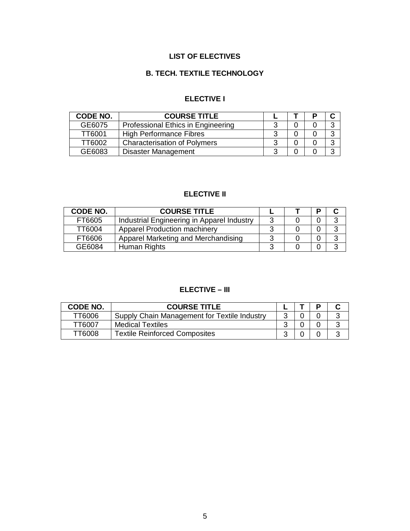## **LIST OF ELECTIVES**

## **B. TECH. TEXTILE TECHNOLOGY**

## **ELECTIVE I**

| CODE NO. | <b>COURSE TITLE</b>                 |   |  |        |
|----------|-------------------------------------|---|--|--------|
| GE6075   | Professional Ethics in Engineering  |   |  |        |
| TT6001   | <b>High Performance Fibres</b>      |   |  | ⌒      |
| TT6002   | <b>Characterisation of Polymers</b> |   |  | $\sim$ |
| GE6083   | <b>Disaster Management</b>          | ⌒ |  | ⌒      |

## **ELECTIVE II**

| <b>CODE NO.</b> | <b>COURSE TITLE</b>                        |   | D |              |
|-----------------|--------------------------------------------|---|---|--------------|
| FT6605          | Industrial Engineering in Apparel Industry |   |   | 3            |
| TT6004          | <b>Apparel Production machinery</b>        |   |   | ว            |
| FT6606          | Apparel Marketing and Merchandising        |   |   | 3            |
| GE6084          | Human Rights                               | ◠ |   | $\mathbf{r}$ |

## **ELECTIVE – III**

| CODE NO. | <b>COURSE TITLE</b>                          |  |  |
|----------|----------------------------------------------|--|--|
| TT6006   | Supply Chain Management for Textile Industry |  |  |
| TT6007   | <b>Medical Textiles</b>                      |  |  |
| TT6008   | <b>Textile Reinforced Composites</b>         |  |  |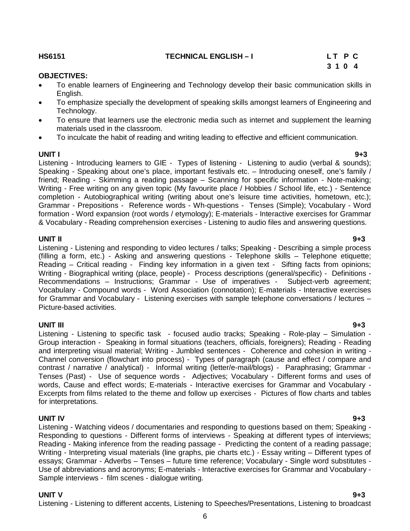#### **HS6151 TECHNICAL ENGLISH – I L T P C**

#### **OBJECTIVES:**

- To enable learners of Engineering and Technology develop their basic communication skills in English.
- To emphasize specially the development of speaking skills amongst learners of Engineering and Technology.
- To ensure that learners use the electronic media such as internet and supplement the learning materials used in the classroom.
- To inculcate the habit of reading and writing leading to effective and efficient communication.

**UNIT I 9+3** Listening - Introducing learners to GIE - Types of listening - Listening to audio (verbal & sounds); Speaking - Speaking about one's place, important festivals etc. – Introducing oneself, one's family / friend; Reading - Skimming a reading passage – Scanning for specific information - Note-making; Writing - Free writing on any given topic (My favourite place / Hobbies / School life, etc.) - Sentence completion - Autobiographical writing (writing about one's leisure time activities, hometown, etc.); Grammar - Prepositions - Reference words - Wh-questions - Tenses (Simple); Vocabulary - Word formation - Word expansion (root words / etymology); E-materials - Interactive exercises for Grammar & Vocabulary - Reading comprehension exercises - Listening to audio files and answering questions.

#### **UNIT II 9+3**

Listening - Listening and responding to video lectures / talks; Speaking - Describing a simple process (filling a form, etc.) - Asking and answering questions - Telephone skills – Telephone etiquette; Reading – Critical reading - Finding key information in a given text - Sifting facts from opinions; Writing - Biographical writing (place, people) - Process descriptions (general/specific) - Definitions - Recommendations – Instructions; Grammar - Use of imperatives - Subject-verb agreement; Vocabulary - Compound words - Word Association (connotation); E-materials - Interactive exercises for Grammar and Vocabulary - Listening exercises with sample telephone conversations / lectures – Picture-based activities.

**UNIT III 9+3** Listening - Listening to specific task - focused audio tracks; Speaking - Role-play – Simulation - Group interaction - Speaking in formal situations (teachers, officials, foreigners); Reading - Reading and interpreting visual material; Writing - Jumbled sentences - Coherence and cohesion in writing - Channel conversion (flowchart into process) - Types of paragraph (cause and effect / compare and contrast / narrative / analytical) - Informal writing (letter/e-mail/blogs) - Paraphrasing; Grammar - Tenses (Past) - Use of sequence words - Adjectives; Vocabulary - Different forms and uses of words, Cause and effect words; E-materials - Interactive exercises for Grammar and Vocabulary - Excerpts from films related to the theme and follow up exercises - Pictures of flow charts and tables for interpretations.

**UNIT IV 9+3** Listening - Watching videos / documentaries and responding to questions based on them; Speaking - Responding to questions - Different forms of interviews - Speaking at different types of interviews; Reading - Making inference from the reading passage - Predicting the content of a reading passage; Writing - Interpreting visual materials (line graphs, pie charts etc.) - Essay writing – Different types of essays; Grammar - Adverbs – Tenses – future time reference; Vocabulary - Single word substitutes - Use of abbreviations and acronyms; E-materials - Interactive exercises for Grammar and Vocabulary - Sample interviews - film scenes - dialogue writing.

Listening - Listening to different accents, Listening to Speeches/Presentations, Listening to broadcast

# **3 1 0 4**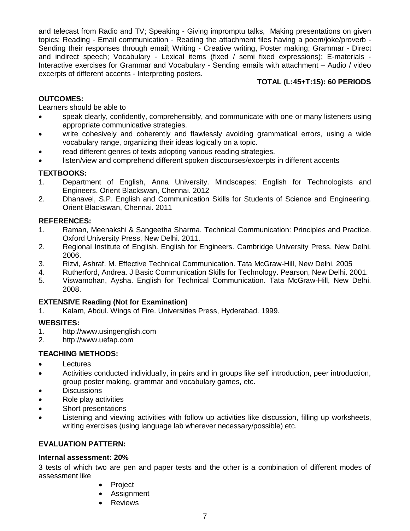and telecast from Radio and TV; Speaking - Giving impromptu talks, Making presentations on given topics; Reading - Email communication - Reading the attachment files having a poem/joke/proverb - Sending their responses through email; Writing - Creative writing, Poster making; Grammar - Direct and indirect speech; Vocabulary - Lexical items (fixed / semi fixed expressions); E-materials - Interactive exercises for Grammar and Vocabulary - Sending emails with attachment – Audio / video excerpts of different accents - Interpreting posters.

### **TOTAL (L:45+T:15): 60 PERIODS**

#### **OUTCOMES:**

Learners should be able to

- speak clearly, confidently, comprehensibly, and communicate with one or many listeners using appropriate communicative strategies.
- write cohesively and coherently and flawlessly avoiding grammatical errors, using a wide vocabulary range, organizing their ideas logically on a topic.
- read different genres of texts adopting various reading strategies.
- listen/view and comprehend different spoken discourses/excerpts in different accents

### **TEXTBOOKS:**

- 1. Department of English, Anna University. Mindscapes: English for Technologists and Engineers. Orient Blackswan, Chennai. 2012
- 2. Dhanavel, S.P. English and Communication Skills for Students of Science and Engineering. Orient Blackswan, Chennai. 2011

#### **REFERENCES:**

- 1. Raman, Meenakshi & Sangeetha Sharma. Technical Communication: Principles and Practice. Oxford University Press, New Delhi. 2011.
- 2. Regional Institute of English. English for Engineers. Cambridge University Press, New Delhi. 2006.
- 3. Rizvi, Ashraf. M. Effective Technical Communication. Tata McGraw-Hill, New Delhi. 2005
- 4. Rutherford, Andrea. J Basic Communication Skills for Technology. Pearson, New Delhi. 2001.
- 5. Viswamohan, Aysha. English for Technical Communication. Tata McGraw-Hill, New Delhi. 2008.

#### **EXTENSIVE Reading (Not for Examination)**

1. Kalam, Abdul. Wings of Fire. Universities Press, Hyderabad. 1999.

#### **WEBSITES:**

- 1. http://www.usingenglish.com
- 2. http://www.uefap.com

#### **TEACHING METHODS:**

- **Lectures**
- Activities conducted individually, in pairs and in groups like self introduction, peer introduction, group poster making, grammar and vocabulary games, etc.
- **Discussions**
- Role play activities
- Short presentations
- Listening and viewing activities with follow up activities like discussion, filling up worksheets, writing exercises (using language lab wherever necessary/possible) etc.

#### **EVALUATION PATTERN:**

#### **Internal assessment: 20%**

3 tests of which two are pen and paper tests and the other is a combination of different modes of assessment like

- Project
- Assignment
- Reviews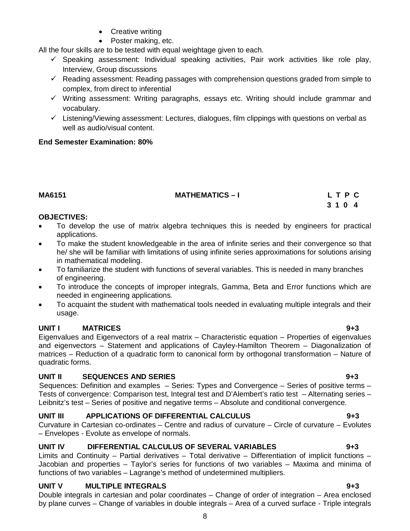• Poster making, etc.

• Creative writing

All the four skills are to be tested with equal weightage given to each.

- $\checkmark$  Speaking assessment: Individual speaking activities, Pair work activities like role play, Interview, Group discussions
- $\checkmark$  Reading assessment: Reading passages with comprehension questions graded from simple to complex, from direct to inferential
- $\checkmark$  Writing assessment: Writing paragraphs, essays etc. Writing should include grammar and vocabulary.
- $\checkmark$  Listening/Viewing assessment: Lectures, dialogues, film clippings with questions on verbal as well as audio/visual content.

#### **End Semester Examination: 80%**

#### **MA6151 MATHEMATICS – I L T P C**

## **3 1 0 4**

#### **OBJECTIVES:**

- To develop the use of matrix algebra techniques this is needed by engineers for practical applications.
- To make the student knowledgeable in the area of infinite series and their convergence so that he/ she will be familiar with limitations of using infinite series approximations for solutions arising in mathematical modeling.
- To familiarize the student with functions of several variables. This is needed in many branches of engineering.
- To introduce the concepts of improper integrals, Gamma, Beta and Error functions which are needed in engineering applications.
- To acquaint the student with mathematical tools needed in evaluating multiple integrals and their usage.

#### **UNIT I MATRICES 9+3**

Eigenvalues and Eigenvectors of a real matrix – Characteristic equation – Properties of eigenvalues and eigenvectors – Statement and applications of Cayley-Hamilton Theorem – Diagonalization of matrices – Reduction of a quadratic form to canonical form by orthogonal transformation – Nature of quadratic forms.

## **UNIT II SEQUENCES AND SERIES 9+3**

Sequences: Definition and examples – Series: Types and Convergence – Series of positive terms – Tests of convergence: Comparison test, Integral test and D'Alembert's ratio test – Alternating series – Leibnitz's test – Series of positive and negative terms – Absolute and conditional convergence.

## **UNIT III APPLICATIONS OF DIFFERENTIAL CALCULUS 9+3**

Curvature in Cartesian co-ordinates – Centre and radius of curvature – Circle of curvature – Evolutes – Envelopes - Evolute as envelope of normals.

## **UNIT IV DIFFERENTIAL CALCULUS OF SEVERAL VARIABLES 9+3**

Limits and Continuity – Partial derivatives – Total derivative – Differentiation of implicit functions – Jacobian and properties – Taylor's series for functions of two variables – Maxima and minima of functions of two variables – Lagrange's method of undetermined multipliers.

## **UNIT V MULTIPLE INTEGRALS 9+3**

Double integrals in cartesian and polar coordinates – Change of order of integration – Area enclosed by plane curves – Change of variables in double integrals – Area of a curved surface - Triple integrals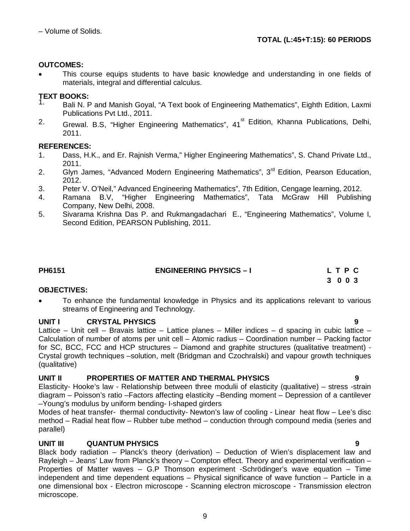### **OUTCOMES:**

 This course equips students to have basic knowledge and understanding in one fields of materials, integral and differential calculus.

## **TEXT BOOKS:**

- 1. Bali N. P and Manish Goyal, "A Text book of Engineering Mathematics", Eighth Edition, Laxmi Publications Pvt Ltd., 2011.
- <sup>2.</sup> Grewal. B.S, "Higher Engineering Mathematics", 41<sup>st</sup> Edition, Khanna Publications, Delhi, 2011.

### **REFERENCES:**

- 1. Dass, H.K., and Er. Rajnish Verma," Higher Engineering Mathematics", S. Chand Private Ltd., 2011.
- 2. Glyn James, "Advanced Modern Engineering Mathematics", 3<sup>rd</sup> Edition, Pearson Education, 2012.
- 3. Peter V. O'Neil," Advanced Engineering Mathematics", 7th Edition, Cengage learning, 2012.
- 4. Ramana B.V, "Higher Engineering Mathematics", Tata McGraw Hill Publishing Company, New Delhi, 2008.
- 5. Sivarama Krishna Das P. and Rukmangadachari E., "Engineering Mathematics", Volume I, Second Edition, PEARSON Publishing, 2011.

| PH6151 | <b>ENGINEERING PHYSICS - I</b> | LTPC    |
|--------|--------------------------------|---------|
|        |                                | 3 0 0 3 |

#### **OBJECTIVES:**

 To enhance the fundamental knowledge in Physics and its applications relevant to various streams of Engineering and Technology.

## **UNIT I CRYSTAL PHYSICS 9**

Lattice – Unit cell – Bravais lattice – Lattice planes – Miller indices – d spacing in cubic lattice – Calculation of number of atoms per unit cell – Atomic radius – Coordination number – Packing factor for SC, BCC, FCC and HCP structures – Diamond and graphite structures (qualitative treatment) - Crystal growth techniques –solution, melt (Bridgman and Czochralski) and vapour growth techniques (qualitative)

## **UNIT II PROPERTIES OF MATTER AND THERMAL PHYSICS 9**

Elasticity- Hooke's law - Relationship between three modulii of elasticity (qualitative) – stress -strain diagram – Poisson's ratio –Factors affecting elasticity –Bending moment – Depression of a cantilever –Young's modulus by uniform bending- I-shaped girders

Modes of heat transfer- thermal conductivity- Newton's law of cooling - Linear heat flow – Lee's disc method – Radial heat flow – Rubber tube method – conduction through compound media (series and parallel)

## **UNIT III QUANTUM PHYSICS 9**

Black body radiation – Planck's theory (derivation) – Deduction of Wien's displacement law and Rayleigh – Jeans' Law from Planck's theory – Compton effect. Theory and experimental verification – Properties of Matter waves – G.P Thomson experiment -Schrödinger's wave equation – Time independent and time dependent equations – Physical significance of wave function – Particle in a one dimensional box - Electron microscope - Scanning electron microscope - Transmission electron microscope.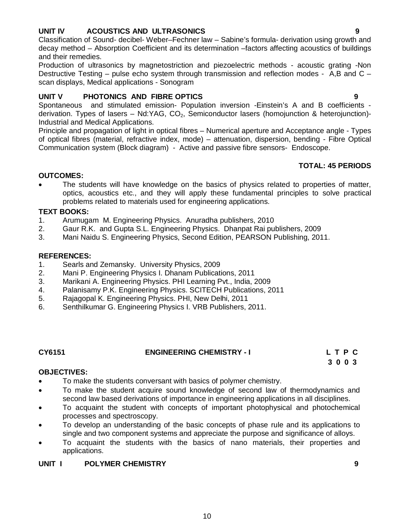## **UNIT IV ACOUSTICS AND ULTRASONICS 9**

Classification of Sound- decibel- Weber–Fechner law – Sabine's formula- derivation using growth and decay method – Absorption Coefficient and its determination –factors affecting acoustics of buildings and their remedies.

Production of ultrasonics by magnetostriction and piezoelectric methods - acoustic grating -Non Destructive Testing – pulse echo system through transmission and reflection modes - A,B and C – scan displays, Medical applications - Sonogram

### **UNIT V PHOTONICS AND FIBRE OPTICS 9**

Spontaneous and stimulated emission- Population inversion -Einstein's A and B coefficients derivation. Types of lasers – Nd:YAG,  $CO<sub>2</sub>$ , Semiconductor lasers (homojunction & heterojunction)-Industrial and Medical Applications.

Principle and propagation of light in optical fibres – Numerical aperture and Acceptance angle - Types of optical fibres (material, refractive index, mode) – attenuation, dispersion, bending - Fibre Optical Communication system (Block diagram) - Active and passive fibre sensors- Endoscope.

#### **TOTAL: 45 PERIODS**

#### **OUTCOMES:**

 The students will have knowledge on the basics of physics related to properties of matter, optics, acoustics etc., and they will apply these fundamental principles to solve practical problems related to materials used for engineering applications.

#### **TEXT BOOKS:**

- 1. Arumugam M. Engineering Physics. Anuradha publishers, 2010
- 2. Gaur R.K. and Gupta S.L. Engineering Physics. Dhanpat Rai publishers, 2009
- 3. Mani Naidu S. Engineering Physics, Second Edition, PEARSON Publishing, 2011.

#### **REFERENCES:**

- 1. Searls and Zemansky. University Physics, 2009
- 2. Mani P. Engineering Physics I. Dhanam Publications, 2011
- 3. Marikani A. Engineering Physics. PHI Learning Pvt., India, 2009
- 4. Palanisamy P.K. Engineering Physics. SCITECH Publications, 2011
- 5. Rajagopal K. Engineering Physics. PHI, New Delhi, 2011
- 6. Senthilkumar G. Engineering Physics I. VRB Publishers, 2011.

## **CY6151 ENGINEERING CHEMISTRY - I L T P C**

 **3 0 0 3** 

#### **OBJECTIVES:**

- To make the students conversant with basics of polymer chemistry.
- To make the student acquire sound knowledge of second law of thermodynamics and second law based derivations of importance in engineering applications in all disciplines.
- To acquaint the student with concepts of important photophysical and photochemical processes and spectroscopy.
- To develop an understanding of the basic concepts of phase rule and its applications to single and two component systems and appreciate the purpose and significance of alloys.
- To acquaint the students with the basics of nano materials, their properties and applications.

10

#### **UNIT I POLYMER CHEMISTRY 9**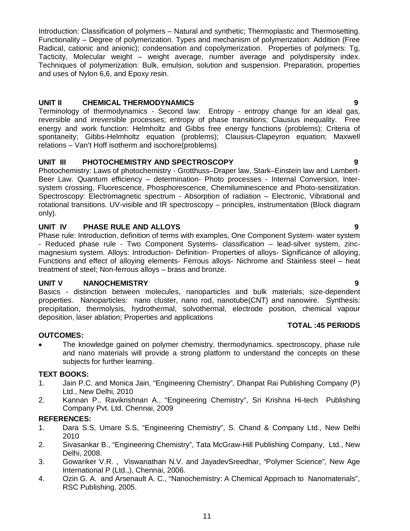Introduction: Classification of polymers – Natural and synthetic; Thermoplastic and Thermosetting. Functionality – Degree of polymerization. Types and mechanism of polymerization: Addition (Free Radical, cationic and anionic); condensation and copolymerization. Properties of polymers: Tg, Tacticity, Molecular weight – weight average, number average and polydispersity index. Techniques of polymerization: Bulk, emulsion, solution and suspension. Preparation, properties and uses of Nylon 6,6, and Epoxy resin.

## **UNIT II CHEMICAL THERMODYNAMICS 9**

Terminology of thermodynamics - Second law: Entropy - entropy change for an ideal gas, reversible and irreversible processes; entropy of phase transitions; Clausius inequality. Free energy and work function: Helmholtz and Gibbs free energy functions (problems); Criteria of spontaneity; Gibbs-Helmholtz equation (problems); Clausius-Clapeyron equation; Maxwell relations – Van't Hoff isotherm and isochore(problems).

## **UNIT III PHOTOCHEMISTRY AND SPECTROSCOPY 9**

Photochemistry: Laws of photochemistry - Grotthuss–Draper law, Stark–Einstein law and Lambert-Beer Law. Quantum efficiency – determination- Photo processes - Internal Conversion, Intersystem crossing, Fluorescence, Phosphorescence, Chemiluminescence and Photo-sensitization. Spectroscopy: Electromagnetic spectrum - Absorption of radiation – Electronic, Vibrational and rotational transitions. UV-visible and IR spectroscopy – principles, instrumentation (Block diagram only).

### **UNIT IV PHASE RULE AND ALLOYS 9**

Phase rule: Introduction, definition of terms with examples, One Component System- water system - Reduced phase rule - Two Component Systems- classification – lead-silver system, zincmagnesium system. Alloys: Introduction- Definition- Properties of alloys- Significance of alloying, Functions and effect of alloying elements- Ferrous alloys- Nichrome and Stainless steel – heat treatment of steel; Non-ferrous alloys – brass and bronze.

#### **UNIT V NANOCHEMISTRY 9**

Basics - distinction between molecules, nanoparticles and bulk materials; size-dependent properties. Nanoparticles: nano cluster, nano rod, nanotube(CNT) and nanowire. Synthesis: precipitation, thermolysis, hydrothermal, solvothermal, electrode position, chemical vapour deposition, laser ablation; Properties and applications

#### **TOTAL :45 PERIODS**

#### **OUTCOMES:**

• The knowledge gained on polymer chemistry, thermodynamics. spectroscopy, phase rule and nano materials will provide a strong platform to understand the concepts on these subjects for further learning.

#### **TEXT BOOKS:**

- 1. Jain P.C. and Monica Jain, "Engineering Chemistry", Dhanpat Rai Publishing Company (P) Ltd., New Delhi, 2010
- 2. Kannan P., Ravikrishnan A., "Engineering Chemistry", Sri Krishna Hi-tech Publishing Company Pvt. Ltd. Chennai, 2009

### **REFERENCES:**

- 1. Dara S.S, Umare S.S, "Engineering Chemistry", S. Chand & Company Ltd., New Delhi 2010
- 2. Sivasankar B., "Engineering Chemistry", Tata McGraw-Hill Publishing Company, Ltd., New Delhi, 2008.
- 3. Gowariker V.R. , Viswanathan N.V. and JayadevSreedhar, "Polymer Science", New Age International P (Ltd.,), Chennai, 2006.
- 4. Ozin G. A. and Arsenault A. C., "Nanochemistry: A Chemical Approach to Nanomaterials", RSC Publishing, 2005.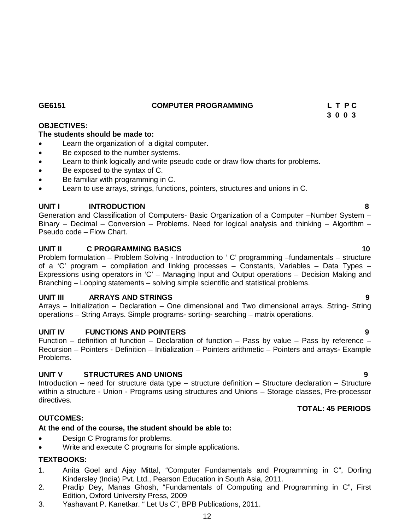**GE6151 COMPUTER PROGRAMMING L T P C**

## **OBJECTIVES:**

## **The students should be made to:**

- Learn the organization of a digital computer.
- Be exposed to the number systems.
- Learn to think logically and write pseudo code or draw flow charts for problems.
- Be exposed to the syntax of C.
- Be familiar with programming in C.
- Learn to use arrays, strings, functions, pointers, structures and unions in C.

## **UNIT I INTRODUCTION 8**

Generation and Classification of Computers- Basic Organization of a Computer –Number System – Binary – Decimal – Conversion – Problems. Need for logical analysis and thinking – Algorithm – Pseudo code – Flow Chart.

## **UNIT II C PROGRAMMING BASICS 10**

Problem formulation – Problem Solving - Introduction to ' C' programming –fundamentals – structure of a 'C' program – compilation and linking processes – Constants, Variables – Data Types – Expressions using operators in 'C' – Managing Input and Output operations – Decision Making and Branching – Looping statements – solving simple scientific and statistical problems.

## **UNIT III ARRAYS AND STRINGS 9**

Arrays – Initialization – Declaration – One dimensional and Two dimensional arrays. String- String operations – String Arrays. Simple programs- sorting- searching – matrix operations.

#### **UNIT IV EUNCTIONS AND POINTERS 49 POINTERS**

Function – definition of function – Declaration of function – Pass by value – Pass by reference – Recursion – Pointers - Definition – Initialization – Pointers arithmetic – Pointers and arrays- Example Problems.

## **UNIT V STRUCTURES AND UNIONS 9**

Introduction – need for structure data type – structure definition – Structure declaration – Structure within a structure - Union - Programs using structures and Unions – Storage classes, Pre-processor directives.

## **OUTCOMES:**

## **At the end of the course, the student should be able to:**

- Design C Programs for problems.
- Write and execute C programs for simple applications.

## **TEXTBOOKS:**

- 1. Anita Goel and Ajay Mittal, "Computer Fundamentals and Programming in C", Dorling Kindersley (India) Pvt. Ltd., Pearson Education in South Asia, 2011.
- 2. Pradip Dey, Manas Ghosh, "Fundamentals of Computing and Programming in C", First Edition, Oxford University Press, 2009
- 3. Yashavant P. Kanetkar. " Let Us C", BPB Publications, 2011.

 **3 0 0 3** 

**TOTAL: 45 PERIODS**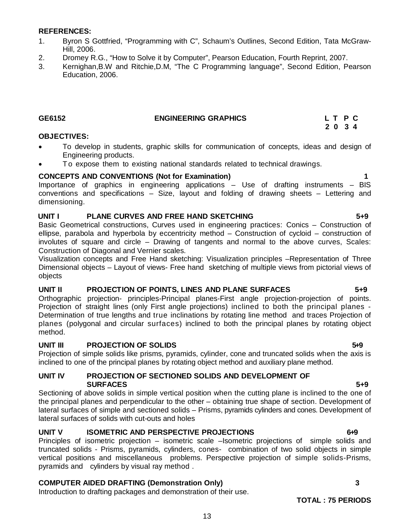#### **REFERENCES:**

- 1. Byron S Gottfried, "Programming with C", Schaum's Outlines, Second Edition, Tata McGraw-Hill, 2006.
- 2. Dromey R.G., "How to Solve it by Computer", Pearson Education, Fourth Reprint, 2007.
- 3. Kernighan,B.W and Ritchie,D.M, "The C Programming language", Second Edition, Pearson Education, 2006.

### **GE6152 ENGINEERING GRAPHICS L T P C**

## **2 0 3 4**

#### **OBJECTIVES:**

- To develop in students, graphic skills for communication of concepts, ideas and design of Engineering products.
- To expose them to existing national standards related to technical drawings.

#### **CONCEPTS AND CONVENTIONS (Not for Examination) 1**

Importance of graphics in engineering applications – Use of drafting instruments – BIS conventions and specifications – Size, layout and folding of drawing sheets – Lettering and dimensioning.

#### **UNIT I PLANE CURVES AND FREE HAND SKETCHING 5+9**

Basic Geometrical constructions, Curves used in engineering practices: Conics – Construction of ellipse, parabola and hyperbola by eccentricity method – Construction of cycloid – construction of involutes of square and circle – Drawing of tangents and normal to the above curves, Scales: Construction of Diagonal and Vernier scales.

Visualization concepts and Free Hand sketching: Visualization principles –Representation of Three Dimensional objects – Layout of views- Free hand sketching of multiple views from pictorial views of objects

#### **UNIT II PROJECTION OF POINTS, LINES AND PLANE SURFACES 5+9**

Orthographic projection- principles-Principal planes-First angle projection-projection of points. Projection of straight lines (only First angle projections) inclined to both the principal planes - Determination of true lengths and true inclinations by rotating line method and traces Projection of planes (polygonal and circular surfaces) inclined to both the principal planes by rotating object method.

#### **UNIT III** PROJECTION OF SOLIDS 6.9

Projection of simple solids like prisms, pyramids, cylinder, cone and truncated solids when the axis is inclined to one of the principal planes by rotating object method and auxiliary plane method.

#### **UNIT IV PROJECTION OF SECTIONED SOLIDS AND DEVELOPMENT OF SURFACES** 5+9

Sectioning of above solids in simple vertical position when the cutting plane is inclined to the one of the principal planes and perpendicular to the other – obtaining true shape of section. Development of lateral surfaces of simple and sectioned solids – Prisms, pyramids cylinders and cones. Development of lateral surfaces of solids with cut-outs and holes

### UNIT V **ISOMETRIC AND PERSPECTIVE PROJECTIONS** 6+9

Principles of isometric projection – isometric scale –Isometric projections of simple solids and truncated solids - Prisms, pyramids, cylinders, cones- combination of two solid objects in simple vertical positions and miscellaneous problems. Perspective projection of simple solids-Prisms, pyramids and cylinders by visual ray method .

#### **COMPUTER AIDED DRAFTING (Demonstration Only) 3**

Introduction to drafting packages and demonstration of their use.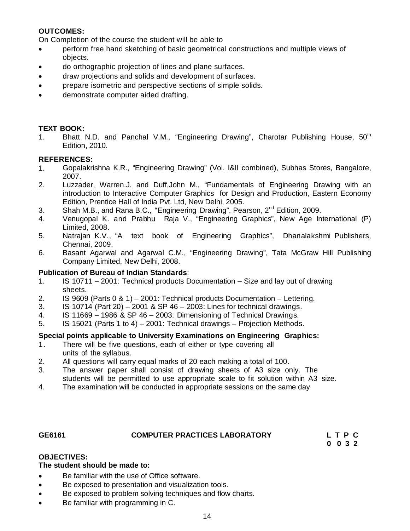## **OUTCOMES:**

On Completion of the course the student will be able to

- perform free hand sketching of basic geometrical constructions and multiple views of objects.
- do orthographic projection of lines and plane surfaces.
- draw projections and solids and development of surfaces.
- prepare isometric and perspective sections of simple solids.
- demonstrate computer aided drafting.

### **TEXT BOOK:**

1. Bhatt N.D. and Panchal V.M., "Engineering Drawing", Charotar Publishing House, 50<sup>th</sup> Edition, 2010.

#### **REFERENCES:**

- 1. Gopalakrishna K.R., "Engineering Drawing" (Vol. I&II combined), Subhas Stores, Bangalore, 2007.
- 2. Luzzader, Warren.J. and Duff,John M., "Fundamentals of Engineering Drawing with an introduction to Interactive Computer Graphics for Design and Production, Eastern Economy Edition, Prentice Hall of India Pvt. Ltd, New Delhi, 2005.
- 3. Shah M.B., and Rana B.C., "Engineering Drawing", Pearson, 2<sup>nd</sup> Edition, 2009.
- 4. Venugopal K. and Prabhu Raja V., "Engineering Graphics", New Age International (P) Limited, 2008.
- 5. Natrajan K.V., "A text book of Engineering Graphics", Dhanalakshmi Publishers, Chennai, 2009.
- 6. Basant Agarwal and Agarwal C.M., "Engineering Drawing", Tata McGraw Hill Publishing Company Limited, New Delhi, 2008.

#### **Publication of Bureau of Indian Standards**:

- 1. IS 10711 2001: Technical products Documentation Size and lay out of drawing sheets.
- 2. IS 9609 (Parts 0 & 1) 2001: Technical products Documentation Lettering.
- 3. IS 10714 (Part 20) 2001 & SP 46 2003: Lines for technical drawings.
- 4. IS 11669 1986 & SP 46 2003: Dimensioning of Technical Drawings.
- 5. IS 15021 (Parts 1 to 4) 2001: Technical drawings Projection Methods.

#### **Special points applicable to University Examinations on Engineering Graphics:**

- 1. There will be five questions, each of either or type covering all units of the syllabus.
- 2. All questions will carry equal marks of 20 each making a total of 100.
- 3. The answer paper shall consist of drawing sheets of A3 size only. The students will be permitted to use appropriate scale to fit solution within A3 size.<br>4. The examination will be conducted in appropriate sessions on the same day
- The examination will be conducted in appropriate sessions on the same day

# GE6161 **COMPUTER PRACTICES LABORATORY** L T P C<br>0 0 3 2

 **0 0 3 2**

#### **OBJECTIVES:**

#### **The student should be made to:**

- Be familiar with the use of Office software.
- Be exposed to presentation and visualization tools.
- Be exposed to problem solving techniques and flow charts.
- Be familiar with programming in C.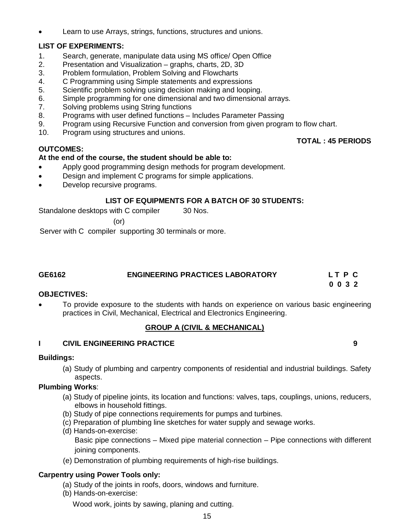Learn to use Arrays, strings, functions, structures and unions.

## **LIST OF EXPERIMENTS:**

- 1. Search, generate, manipulate data using MS office/ Open Office
- 2. Presentation and Visualization graphs, charts, 2D, 3D
- 3. Problem formulation, Problem Solving and Flowcharts
- 4. C Programming using Simple statements and expressions
- 5. Scientific problem solving using decision making and looping.
- 6. Simple programming for one dimensional and two dimensional arrays.
- 7. Solving problems using String functions
- 8. Programs with user defined functions Includes Parameter Passing
- 9. Program using Recursive Function and conversion from given program to flow chart.
- 10. Program using structures and unions.

### **OUTCOMES:**

#### **At the end of the course, the student should be able to:**

- Apply good programming design methods for program development.
- Design and implement C programs for simple applications.
- Develop recursive programs.

#### **LIST OF EQUIPMENTS FOR A BATCH OF 30 STUDENTS:**

Standalone desktops with C compiler 30 Nos.

(or)

Server with C compiler supporting 30 terminals or more.

| GE6162 | <b>ENGINEERING PRACTICES LABORATORY</b> | LT P C |  |
|--------|-----------------------------------------|--------|--|
|        |                                         | 0032   |  |

#### **OBJECTIVES:**

 To provide exposure to the students with hands on experience on various basic engineering practices in Civil, Mechanical, Electrical and Electronics Engineering.

#### **GROUP A (CIVIL & MECHANICAL)**

### **I CIVIL ENGINEERING PRACTICE 9**

#### **Buildings:**

(a) Study of plumbing and carpentry components of residential and industrial buildings. Safety aspects.

### **Plumbing Works**:

- (a) Study of pipeline joints, its location and functions: valves, taps, couplings, unions, reducers, elbows in household fittings.
- (b) Study of pipe connections requirements for pumps and turbines.
- (c) Preparation of plumbing line sketches for water supply and sewage works.
- (d) Hands-on-exercise: Basic pipe connections – Mixed pipe material connection – Pipe connections with different joining components.
- (e) Demonstration of plumbing requirements of high-rise buildings.

#### **Carpentry using Power Tools only:**

- (a) Study of the joints in roofs, doors, windows and furniture.
- (b) Hands-on-exercise:

Wood work, joints by sawing, planing and cutting.

 **TOTAL : 45 PERIODS**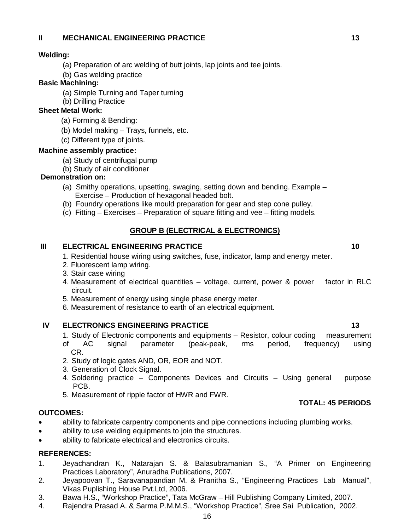### **II MECHANICAL ENGINEERING PRACTICE 13 13**

#### **Welding:**

- (a) Preparation of arc welding of butt joints, lap joints and tee joints.
- (b) Gas welding practice

## **Basic Machining:**

- (a) Simple Turning and Taper turning
- (b) Drilling Practice

## **Sheet Metal Work:**

- (a) Forming & Bending:
- (b) Model making Trays, funnels, etc.
- (c) Different type of joints.

#### **Machine assembly practice:**

- (a) Study of centrifugal pump
- (b) Study of air conditioner

## **Demonstration on:**

- (a) Smithy operations, upsetting, swaging, setting down and bending. Example Exercise – Production of hexagonal headed bolt.
- (b) Foundry operations like mould preparation for gear and step cone pulley.
- (c) Fitting Exercises Preparation of square fitting and vee fitting models.

#### **GROUP B (ELECTRICAL & ELECTRONICS)**

#### **III ELECTRICAL ENGINEERING PRACTICE 10 10 10**

- 1. Residential house wiring using switches, fuse, indicator, lamp and energy meter.
- 2. Fluorescent lamp wiring.
- 3. Stair case wiring
- 4. Measurement of electrical quantities voltage, current, power & power factor in RLC circuit.
- 5. Measurement of energy using single phase energy meter.
- 6. Measurement of resistance to earth of an electrical equipment.

## **IV ELECTRONICS ENGINEERING PRACTICE 13 13**

- 1. Study of Electronic components and equipments Resistor, colour coding measurement
- of AC signal parameter (peak-peak, rms period, frequency) using CR.
- 2. Study of logic gates AND, OR, EOR and NOT.
- 3. Generation of Clock Signal.
- 4. Soldering practice Components Devices and Circuits Using general purpose PCB.
- 5. Measurement of ripple factor of HWR and FWR.

#### **OUTCOMES:**

- ability to fabricate carpentry components and pipe connections including plumbing works.
- ability to use welding equipments to join the structures.
- ability to fabricate electrical and electronics circuits.

#### **REFERENCES:**

- 1. Jeyachandran K., Natarajan S. & Balasubramanian S., "A Primer on Engineering Practices Laboratory", Anuradha Publications, 2007.
- 2. Jeyapoovan T., Saravanapandian M. & Pranitha S., "Engineering Practices Lab Manual", Vikas Puplishing House Pvt.Ltd, 2006.
- 3. Bawa H.S., "Workshop Practice", Tata McGraw Hill Publishing Company Limited, 2007.
- 4. Rajendra Prasad A. & Sarma P.M.M.S., "Workshop Practice", Sree Sai Publication, 2002.

**TOTAL: 45 PERIODS**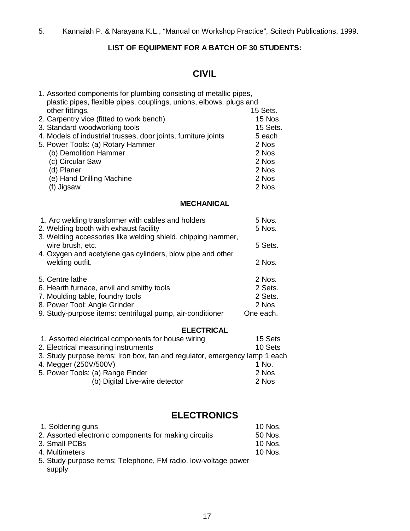## **LIST OF EQUIPMENT FOR A BATCH OF 30 STUDENTS:**

## **CIVIL**

| 1. Assorted components for plumbing consisting of metallic pipes,<br>plastic pipes, flexible pipes, couplings, unions, elbows, plugs and |           |  |
|------------------------------------------------------------------------------------------------------------------------------------------|-----------|--|
| other fittings.                                                                                                                          | 15 Sets.  |  |
| 2. Carpentry vice (fitted to work bench)                                                                                                 | 15 Nos.   |  |
| 3. Standard woodworking tools                                                                                                            | 15 Sets.  |  |
| 4. Models of industrial trusses, door joints, furniture joints                                                                           | 5 each    |  |
| 5. Power Tools: (a) Rotary Hammer                                                                                                        | 2 Nos     |  |
| (b) Demolition Hammer                                                                                                                    | 2 Nos     |  |
| (c) Circular Saw                                                                                                                         | 2 Nos     |  |
| (d) Planer                                                                                                                               | 2 Nos     |  |
| (e) Hand Drilling Machine                                                                                                                | 2 Nos     |  |
| (f) Jigsaw                                                                                                                               | 2 Nos     |  |
| <b>MECHANICAL</b>                                                                                                                        |           |  |
| 1. Arc welding transformer with cables and holders                                                                                       | 5 Nos.    |  |
| 2. Welding booth with exhaust facility                                                                                                   | 5 Nos.    |  |
| 3. Welding accessories like welding shield, chipping hammer,                                                                             |           |  |
| wire brush, etc.                                                                                                                         | 5 Sets.   |  |
| 4. Oxygen and acetylene gas cylinders, blow pipe and other                                                                               |           |  |
| welding outfit.                                                                                                                          | 2 Nos.    |  |
|                                                                                                                                          |           |  |
| 5. Centre lathe                                                                                                                          | 2 Nos.    |  |
| 6. Hearth furnace, anvil and smithy tools                                                                                                | 2 Sets.   |  |
| 7. Moulding table, foundry tools                                                                                                         | 2 Sets.   |  |
| 8. Power Tool: Angle Grinder                                                                                                             | 2 Nos     |  |
| 9. Study-purpose items: centrifugal pump, air-conditioner                                                                                | One each. |  |
| <b>ELECTRICAL</b>                                                                                                                        |           |  |
| 1. Assorted electrical components for house wiring                                                                                       | 15 Sets   |  |
| 2. Electrical measuring instruments                                                                                                      | 10 Sets   |  |
| 3. Study purpose items: Iron box, fan and regulator, emergency lamp 1 each                                                               |           |  |
| 4. Megger (250V/500V)                                                                                                                    | 1 No.     |  |
| 5. Power Tools: (a) Range Finder                                                                                                         | 2 Nos     |  |
| (b) Digital Live-wire detector                                                                                                           | 2 Nos     |  |

## **ELECTRONICS**

| 1. Soldering guns                                              | 10 Nos. |
|----------------------------------------------------------------|---------|
| 2. Assorted electronic components for making circuits          | 50 Nos. |
| 3. Small PCBs                                                  | 10 Nos. |
| 4. Multimeters                                                 | 10 Nos. |
| 5. Study purpose items: Telephone, FM radio, low-voltage power |         |

supply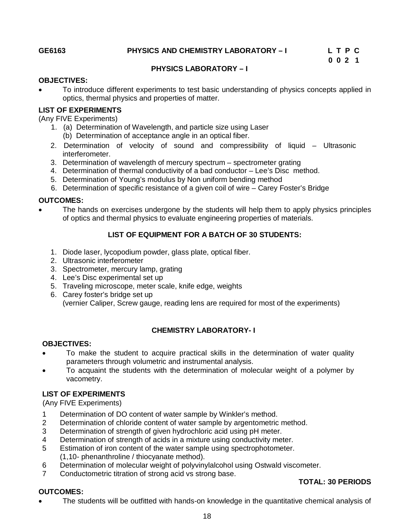**TOTAL: 30 PERIODS** 

#### **PHYSICS LABORATORY – I**

#### **OBJECTIVES:**

 To introduce different experiments to test basic understanding of physics concepts applied in optics, thermal physics and properties of matter.

#### **LIST OF EXPERIMENTS**

(Any FIVE Experiments)

- 1. (a) Determination of Wavelength, and particle size using Laser
	- (b) Determination of acceptance angle in an optical fiber.
- 2. Determination of velocity of sound and compressibility of liquid Ultrasonic interferometer.
- 3. Determination of wavelength of mercury spectrum spectrometer grating
- 4. Determination of thermal conductivity of a bad conductor Lee's Disc method.
- 5. Determination of Young's modulus by Non uniform bending method
- 6. Determination of specific resistance of a given coil of wire Carey Foster's Bridge

#### **OUTCOMES:**

 The hands on exercises undergone by the students will help them to apply physics principles of optics and thermal physics to evaluate engineering properties of materials.

### **LIST OF EQUIPMENT FOR A BATCH OF 30 STUDENTS:**

- 1. Diode laser, lycopodium powder, glass plate, optical fiber.
- 2. Ultrasonic interferometer
- 3. Spectrometer, mercury lamp, grating
- 4. Lee's Disc experimental set up
- 5. Traveling microscope, meter scale, knife edge, weights
- 6. Carey foster's bridge set up (vernier Caliper, Screw gauge, reading lens are required for most of the experiments)

## **CHEMISTRY LABORATORY- I**

#### **OBJECTIVES:**

- To make the student to acquire practical skills in the determination of water quality parameters through volumetric and instrumental analysis.
- To acquaint the students with the determination of molecular weight of a polymer by vacometry.

#### **LIST OF EXPERIMENTS**

(Any FIVE Experiments)

- 1 Determination of DO content of water sample by Winkler's method.
- 2 Determination of chloride content of water sample by argentometric method.<br>3 Determination of strength of given hydrochloric acid using pH meter.
- Determination of strength of given hydrochloric acid using pH meter.
- 4 Determination of strength of acids in a mixture using conductivity meter.
- 5 Estimation of iron content of the water sample using spectrophotometer. (1,10- phenanthroline / thiocyanate method).
- 6 Determination of molecular weight of polyvinylalcohol using Ostwald viscometer.
- 7 Conductometric titration of strong acid vs strong base.

#### **OUTCOMES:**

The students will be outfitted with hands-on knowledge in the quantitative chemical analysis of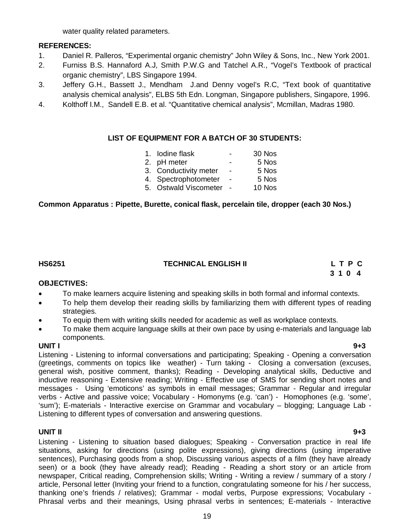water quality related parameters.

### **REFERENCES:**

- 1. Daniel R. Palleros, "Experimental organic chemistry" John Wiley & Sons, Inc., New York 2001.
- 2. Furniss B.S. Hannaford A.J, Smith P.W.G and Tatchel A.R., "Vogel's Textbook of practical organic chemistry", LBS Singapore 1994.
- 3. Jeffery G.H., Bassett J., Mendham J.and Denny vogel's R.C, "Text book of quantitative analysis chemical analysis", ELBS 5th Edn. Longman, Singapore publishers, Singapore, 1996.
- 4. Kolthoff I.M., Sandell E.B. et al. "Quantitative chemical analysis", Mcmillan, Madras 1980.

#### **LIST OF EQUIPMENT FOR A BATCH OF 30 STUDENTS:**

| 1. Iodine flask       |                          | 30 Nos |
|-----------------------|--------------------------|--------|
| 2. pH meter           |                          | 5 Nos  |
| 3. Conductivity meter | $\blacksquare$           | 5 Nos  |
| 4. Spectrophotometer  | $\overline{\phantom{a}}$ | 5 Nos  |
| 5. Ostwald Viscometer |                          | 10 Nos |
|                       |                          |        |

## **Common Apparatus : Pipette, Burette, conical flask, percelain tile, dropper (each 30 Nos.)**

## **HS6251 TECHNICAL ENGLISH II L T P C**

 **3 1 0 4**

#### **OBJECTIVES:**

- To make learners acquire listening and speaking skills in both formal and informal contexts.
- To help them develop their reading skills by familiarizing them with different types of reading strategies.
- To equip them with writing skills needed for academic as well as workplace contexts.
- To make them acquire language skills at their own pace by using e-materials and language lab components.

**UNIT I 9+3** Listening - Listening to informal conversations and participating; Speaking - Opening a conversation (greetings, comments on topics like weather) - Turn taking - Closing a conversation (excuses, general wish, positive comment, thanks); Reading - Developing analytical skills, Deductive and inductive reasoning - Extensive reading; Writing - Effective use of SMS for sending short notes and messages - Using 'emoticons' as symbols in email messages; Grammar - Regular and irregular verbs - Active and passive voice; Vocabulary - Homonyms (e.g. 'can') - Homophones (e.g. 'some', 'sum'); E-materials - Interactive exercise on Grammar and vocabulary – blogging; Language Lab - Listening to different types of conversation and answering questions.

## **UNIT II 9+3**

Listening - Listening to situation based dialogues; Speaking - Conversation practice in real life situations, asking for directions (using polite expressions), giving directions (using imperative sentences), Purchasing goods from a shop, Discussing various aspects of a film (they have already seen) or a book (they have already read); Reading - Reading a short story or an article from newspaper, Critical reading, Comprehension skills; Writing - Writing a review / summary of a story / article, Personal letter (Inviting your friend to a function, congratulating someone for his / her success, thanking one's friends / relatives); Grammar - modal verbs, Purpose expressions; Vocabulary - Phrasal verbs and their meanings, Using phrasal verbs in sentences; E-materials - Interactive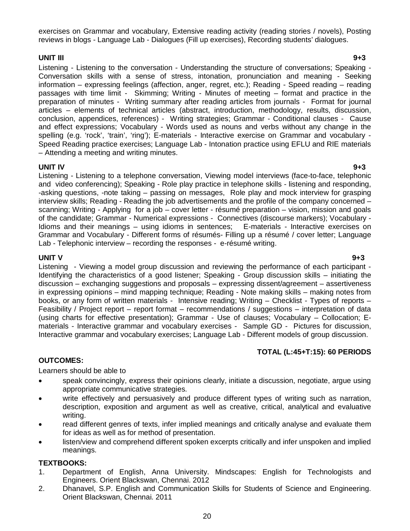exercises on Grammar and vocabulary, Extensive reading activity (reading stories / novels), Posting reviews in blogs - Language Lab - Dialogues (Fill up exercises), Recording students' dialogues.

#### **UNIT III 9+3**

Listening - Listening to the conversation - Understanding the structure of conversations; Speaking - Conversation skills with a sense of stress, intonation, pronunciation and meaning - Seeking information – expressing feelings (affection, anger, regret, etc.); Reading - Speed reading – reading passages with time limit - Skimming; Writing - Minutes of meeting – format and practice in the preparation of minutes - Writing summary after reading articles from journals - Format for journal articles – elements of technical articles (abstract, introduction, methodology, results, discussion, conclusion, appendices, references) - Writing strategies; Grammar - Conditional clauses - Cause and effect expressions; Vocabulary - Words used as nouns and verbs without any change in the spelling (e.g. 'rock', 'train', 'ring'); E-materials - Interactive exercise on Grammar and vocabulary -Speed Reading practice exercises; Language Lab - Intonation practice using EFLU and RIE materials – Attending a meeting and writing minutes.

#### **UNIT IV 9+3**

Listening - Listening to a telephone conversation, Viewing model interviews (face-to-face, telephonic and video conferencing); Speaking - Role play practice in telephone skills - listening and responding, -asking questions, -note taking – passing on messages, Role play and mock interview for grasping interview skills; Reading - Reading the job advertisements and the profile of the company concerned – scanning; Writing - Applying for a job – cover letter - résumé preparation – vision, mission and goals of the candidate; Grammar - Numerical expressions - Connectives (discourse markers); Vocabulary - Idioms and their meanings – using idioms in sentences; E-materials - Interactive exercises on Grammar and Vocabulary - Different forms of résumés- Filling up a résumé / cover letter; Language Lab - Telephonic interview – recording the responses - e-résumé writing.

**UNIT V 9+3** Listening - Viewing a model group discussion and reviewing the performance of each participant - Identifying the characteristics of a good listener; Speaking - Group discussion skills – initiating the discussion – exchanging suggestions and proposals – expressing dissent/agreement – assertiveness in expressing opinions – mind mapping technique; Reading - Note making skills – making notes from books, or any form of written materials - Intensive reading; Writing – Checklist - Types of reports – Feasibility / Project report – report format – recommendations / suggestions – interpretation of data (using charts for effective presentation); Grammar - Use of clauses; Vocabulary – Collocation; Ematerials - Interactive grammar and vocabulary exercises - Sample GD - Pictures for discussion, Interactive grammar and vocabulary exercises; Language Lab - Different models of group discussion.

## **TOTAL (L:45+T:15): 60 PERIODS**

#### **OUTCOMES:**

Learners should be able to

- speak convincingly, express their opinions clearly, initiate a discussion, negotiate, argue using appropriate communicative strategies.
- write effectively and persuasively and produce different types of writing such as narration, description, exposition and argument as well as creative, critical, analytical and evaluative writing.
- read different genres of texts, infer implied meanings and critically analyse and evaluate them for ideas as well as for method of presentation.
- listen/view and comprehend different spoken excerpts critically and infer unspoken and implied meanings.

#### **TEXTBOOKS:**

- 1. Department of English, Anna University. Mindscapes: English for Technologists and Engineers. Orient Blackswan, Chennai. 2012
- 2. Dhanavel, S.P. English and Communication Skills for Students of Science and Engineering. Orient Blackswan, Chennai. 2011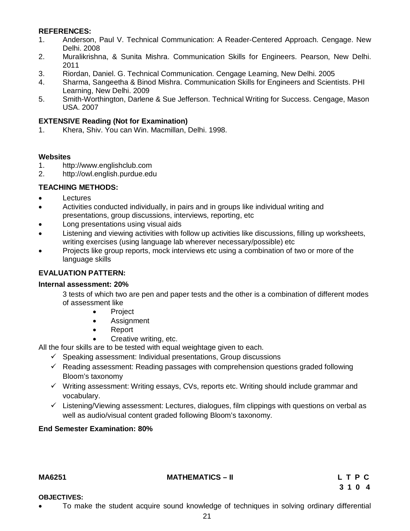#### **REFERENCES:**

- 1. Anderson, Paul V. Technical Communication: A Reader-Centered Approach. Cengage. New Delhi. 2008
- 2. Muralikrishna, & Sunita Mishra. Communication Skills for Engineers. Pearson, New Delhi. 2011
- 3. Riordan, Daniel. G. Technical Communication. Cengage Learning, New Delhi. 2005
- 4. Sharma, Sangeetha & Binod Mishra. Communication Skills for Engineers and Scientists. PHI Learning, New Delhi. 2009
- 5. Smith-Worthington, Darlene & Sue Jefferson. Technical Writing for Success. Cengage, Mason USA. 2007

#### **EXTENSIVE Reading (Not for Examination)**

1. Khera, Shiv. You can Win. Macmillan, Delhi. 1998.

#### **Websites**

- 1. http://www.englishclub.com
- 2. http://owl.english.purdue.edu

#### **TEACHING METHODS:**

- **Lectures**
- Activities conducted individually, in pairs and in groups like individual writing and presentations, group discussions, interviews, reporting, etc
- Long presentations using visual aids
- Listening and viewing activities with follow up activities like discussions, filling up worksheets, writing exercises (using language lab wherever necessary/possible) etc
- Projects like group reports, mock interviews etc using a combination of two or more of the language skills

#### **EVALUATION PATTERN:**

#### **Internal assessment: 20%**

3 tests of which two are pen and paper tests and the other is a combination of different modes of assessment like

- Project
- Assignment
- Report
- Creative writing, etc.

All the four skills are to be tested with equal weightage given to each.

- $\checkmark$  Speaking assessment: Individual presentations, Group discussions
- $\checkmark$  Reading assessment: Reading passages with comprehension questions graded following Bloom's taxonomy
- $\checkmark$  Writing assessment: Writing essays, CVs, reports etc. Writing should include grammar and vocabulary.
- $\checkmark$  Listening/Viewing assessment: Lectures, dialogues, film clippings with questions on verbal as well as audio/visual content graded following Bloom's taxonomy.

#### **End Semester Examination: 80%**

#### **MA6251 MATHEMATICS – II L T P C**

#### **OBJECTIVES:**

To make the student acquire sound knowledge of techniques in solving ordinary differential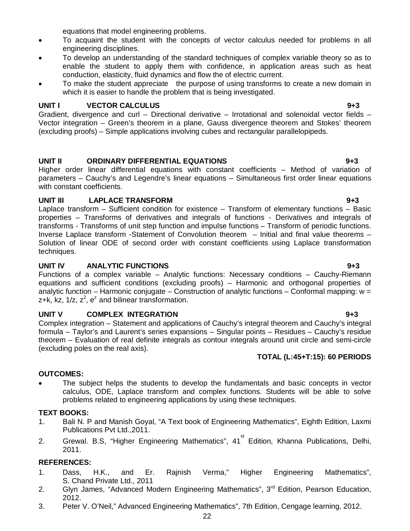equations that model engineering problems.

- To acquaint the student with the concepts of vector calculus needed for problems in all engineering disciplines.
- To develop an understanding of the standard techniques of complex variable theory so as to enable the student to apply them with confidence, in application areas such as heat conduction, elasticity, fluid dynamics and flow the of electric current.
- To make the student appreciate the purpose of using transforms to create a new domain in which it is easier to handle the problem that is being investigated.

### **UNIT I VECTOR CALCULUS 9+3**

Gradient, divergence and curl – Directional derivative – Irrotational and solenoidal vector fields – Vector integration – Green's theorem in a plane, Gauss divergence theorem and Stokes' theorem (excluding proofs) – Simple applications involving cubes and rectangular parallelopipeds.

### **UNIT II ORDINARY DIFFERENTIAL EQUATIONS 9+3**

Higher order linear differential equations with constant coefficients – Method of variation of parameters – Cauchy's and Legendre's linear equations – Simultaneous first order linear equations with constant coefficients.

## **UNIT III LAPLACE TRANSFORM 9+3**

Laplace transform – Sufficient condition for existence – Transform of elementary functions – Basic properties – Transforms of derivatives and integrals of functions - Derivatives and integrals of transforms - Transforms of unit step function and impulse functions – Transform of periodic functions. Inverse Laplace transform -Statement of Convolution theorem – Initial and final value theorems – Solution of linear ODE of second order with constant coefficients using Laplace transformation techniques.

#### **UNIT IV ANALYTIC FUNCTIONS 9+3**

Functions of a complex variable – Analytic functions: Necessary conditions – Cauchy-Riemann equations and sufficient conditions (excluding proofs) – Harmonic and orthogonal properties of analytic function – Harmonic conjugate – Construction of analytic functions – Conformal mapping: w = z+k, kz,  $1/z$ ,  $z^2$ ,  $e^z$  and bilinear transformation.

#### **UNIT V COMPLEX INTEGRATION 9+3**

Complex integration – Statement and applications of Cauchy's integral theorem and Cauchy's integral formula – Taylor's and Laurent's series expansions – Singular points – Residues – Cauchy's residue theorem – Evaluation of real definite integrals as contour integrals around unit circle and semi-circle (excluding poles on the real axis).

#### **TOTAL (L:45+T:15): 60 PERIODS**

#### **OUTCOMES:**

 The subject helps the students to develop the fundamentals and basic concepts in vector calculus, ODE, Laplace transform and complex functions. Students will be able to solve problems related to engineering applications by using these techniques.

#### **TEXT BOOKS:**

- 1. Bali N. P and Manish Goyal, "A Text book of Engineering Mathematics", Eighth Edition, Laxmi Publications Pvt Ltd.,2011.
- 2. Grewal. B.S, "Higher Engineering Mathematics", 41<sup>st</sup> Edition, Khanna Publications, Delhi, 2011.

#### **REFERENCES:**

- 1. Dass, H.K., and Er. Rajnish Verma," Higher Engineering Mathematics", S. Chand Private Ltd., 2011
- 2. Glyn James, "Advanced Modern Engineering Mathematics", 3<sup>rd</sup> Edition, Pearson Education, 2012.
- 3. Peter V. O'Neil," Advanced Engineering Mathematics", 7th Edition, Cengage learning, 2012.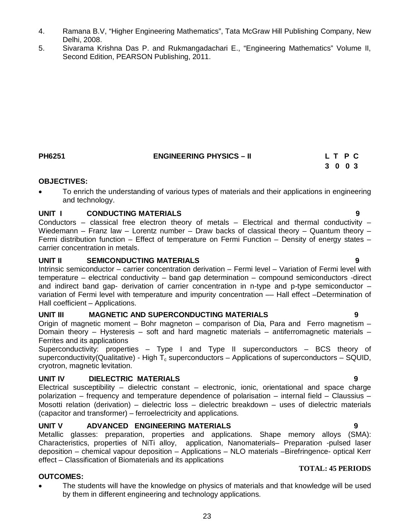- 4. Ramana B.V, "Higher Engineering Mathematics", Tata McGraw Hill Publishing Company, New Delhi, 2008.
- 5. Sivarama Krishna Das P. and Rukmangadachari E., "Engineering Mathematics" Volume II, Second Edition, PEARSON Publishing, 2011.

## **3 0 0 3 OBJECTIVES:**

 To enrich the understanding of various types of materials and their applications in engineering and technology.

**PH6251 ENGINEERING PHYSICS – II L T P C** 

### **UNIT I CONDUCTING MATERIALS 9**

Conductors – classical free electron theory of metals – Electrical and thermal conductivity – Wiedemann – Franz law – Lorentz number – Draw backs of classical theory – Quantum theory – Fermi distribution function – Effect of temperature on Fermi Function – Density of energy states – carrier concentration in metals.

### **UNIT II SEMICONDUCTING MATERIALS 9**

Intrinsic semiconductor – carrier concentration derivation – Fermi level – Variation of Fermi level with temperature – electrical conductivity – band gap determination – compound semiconductors -direct and indirect band gap- derivation of carrier concentration in n-type and p-type semiconductor – variation of Fermi level with temperature and impurity concentration –– Hall effect –Determination of Hall coefficient – Applications.

#### **UNIT III MAGNETIC AND SUPERCONDUCTING MATERIALS 9**

Origin of magnetic moment – Bohr magneton – comparison of Dia, Para and Ferro magnetism – Domain theory – Hysteresis – soft and hard magnetic materials – antiferromagnetic materials – Ferrites and its applications

Superconductivity: properties – Type I and Type II superconductors – BCS theory of superconductivity(Qualitative) - High  $T_c$  superconductors – Applications of superconductors – SQUID. cryotron, magnetic levitation.

#### **UNIT IV DIELECTRIC MATERIALS 9**

Electrical susceptibility – dielectric constant – electronic, ionic, orientational and space charge polarization – frequency and temperature dependence of polarisation – internal field – Claussius – Mosotti relation (derivation) – dielectric loss – dielectric breakdown – uses of dielectric materials (capacitor and transformer) – ferroelectricity and applications.

#### **UNIT V ADVANCED ENGINEERING MATERIALS 9**

Metallic glasses: preparation, properties and applications. Shape memory alloys (SMA): Characteristics, properties of NiTi alloy, application, Nanomaterials– Preparation -pulsed laser deposition – chemical vapour deposition – Applications – NLO materials –Birefringence- optical Kerr effect – Classification of Biomaterials and its applications

#### **OUTCOMES:**

• The students will have the knowledge on physics of materials and that knowledge will be used by them in different engineering and technology applications.

**TOTAL: 45 PERIODS**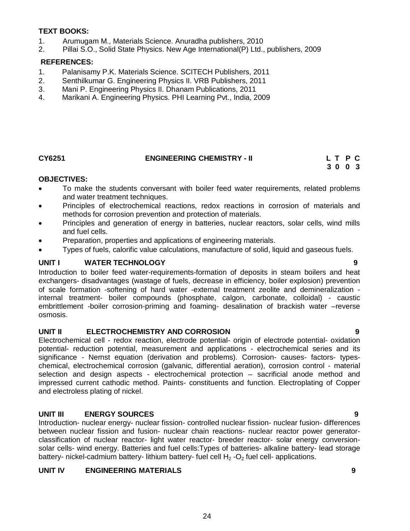#### **TEXT BOOKS:**

- 1. Arumugam M., Materials Science. Anuradha publishers, 2010
- 2. Pillai S.O., Solid State Physics. New Age International(P) Ltd., publishers, 2009

#### **REFERENCES:**

- 1. Palanisamy P.K. Materials Science. SCITECH Publishers, 2011
- 2. Senthilkumar G. Engineering Physics II. VRB Publishers, 2011
- 3. Mani P. Engineering Physics II. Dhanam Publications, 2011
- 4. Marikani A. Engineering Physics. PHI Learning Pvt., India, 2009

## **CY6251 ENGINEERING CHEMISTRY - II L T P C 3 0 0 3**

#### **OBJECTIVES:**

- To make the students conversant with boiler feed water requirements, related problems and water treatment techniques.
- Principles of electrochemical reactions, redox reactions in corrosion of materials and methods for corrosion prevention and protection of materials.
- Principles and generation of energy in batteries, nuclear reactors, solar cells, wind mills and fuel cells.
- Preparation, properties and applications of engineering materials.
- Types of fuels, calorific value calculations, manufacture of solid, liquid and gaseous fuels.

#### **UNIT I WATER TECHNOLOGY 9**

Introduction to boiler feed water-requirements-formation of deposits in steam boilers and heat exchangers- disadvantages (wastage of fuels, decrease in efficiency, boiler explosion) prevention of scale formation -softening of hard water -external treatment zeolite and demineralization internal treatment- boiler compounds (phosphate, calgon, carbonate, colloidal) - caustic embrittlement -boiler corrosion-priming and foaming- desalination of brackish water –reverse osmosis.

#### **UNIT II ELECTROCHEMISTRY AND CORROSION 9**

Electrochemical cell - redox reaction, electrode potential- origin of electrode potential- oxidation potential- reduction potential, measurement and applications - electrochemical series and its significance - Nernst equation (derivation and problems). Corrosion- causes- factors- typeschemical, electrochemical corrosion (galvanic, differential aeration), corrosion control - material selection and design aspects - electrochemical protection – sacrificial anode method and impressed current cathodic method. Paints- constituents and function. Electroplating of Copper and electroless plating of nickel.

#### **UNIT III ENERGY SOURCES 9**

Introduction- nuclear energy- nuclear fission- controlled nuclear fission- nuclear fusion- differences between nuclear fission and fusion- nuclear chain reactions- nuclear reactor power generatorclassification of nuclear reactor- light water reactor- breeder reactor- solar energy conversionsolar cells- wind energy. Batteries and fuel cells:Types of batteries- alkaline battery- lead storage battery- nickel-cadmium battery- lithium battery- fuel cell  $H_2$ -O<sub>2</sub> fuel cell- applications.

#### **UNIT IV ENGINEERING MATERIALS 9**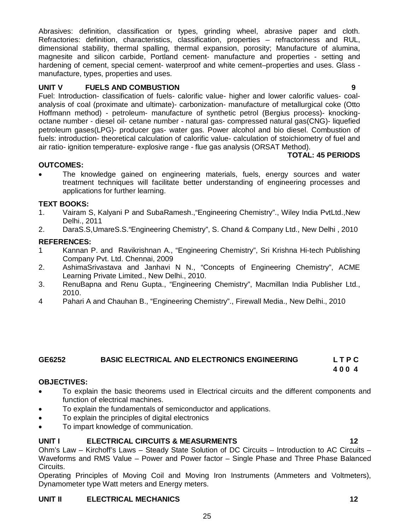Abrasives: definition, classification or types, grinding wheel, abrasive paper and cloth. Refractories: definition, characteristics, classification, properties – refractoriness and RUL, dimensional stability, thermal spalling, thermal expansion, porosity; Manufacture of alumina, magnesite and silicon carbide, Portland cement- manufacture and properties - setting and hardening of cement, special cement- waterproof and white cement–properties and uses. Glass manufacture, types, properties and uses.

#### **UNIT V FUELS AND COMBUSTION 9**

Fuel: Introduction- classification of fuels- calorific value- higher and lower calorific values- coalanalysis of coal (proximate and ultimate)- carbonization- manufacture of metallurgical coke (Otto Hoffmann method) - petroleum- manufacture of synthetic petrol (Bergius process)- knockingoctane number - diesel oil- cetane number - natural gas- compressed natural gas(CNG)- liquefied petroleum gases(LPG)- producer gas- water gas. Power alcohol and bio diesel. Combustion of fuels: introduction- theoretical calculation of calorific value- calculation of stoichiometry of fuel and air ratio- ignition temperature- explosive range - flue gas analysis (ORSAT Method).

#### **TOTAL: 45 PERIODS**

#### **OUTCOMES:**

 The knowledge gained on engineering materials, fuels, energy sources and water treatment techniques will facilitate better understanding of engineering processes and applications for further learning.

#### **TEXT BOOKS:**

- 1. Vairam S, Kalyani P and SubaRamesh.,"Engineering Chemistry"., Wiley India PvtLtd.,New Delhi., 2011
- 2. DaraS.S,UmareS.S."Engineering Chemistry", S. Chand & Company Ltd., New Delhi , 2010

#### **REFERENCES:**

- 1 Kannan P. and Ravikrishnan A., "Engineering Chemistry", Sri Krishna Hi-tech Publishing Company Pvt. Ltd. Chennai, 2009
- 2. AshimaSrivastava and Janhavi N N., "Concepts of Engineering Chemistry", ACME Learning Private Limited., New Delhi., 2010.
- 3. RenuBapna and Renu Gupta., "Engineering Chemistry", Macmillan India Publisher Ltd., 2010.
- 4 Pahari A and Chauhan B., "Engineering Chemistry"., Firewall Media., New Delhi., 2010

## **GE6252 BASIC ELECTRICAL AND ELECTRONICS ENGINEERING L T P C**

### **4 0 0 4**

#### **OBJECTIVES:**

- To explain the basic theorems used in Electrical circuits and the different components and function of electrical machines.
- To explain the fundamentals of semiconductor and applications.
- To explain the principles of digital electronics
- To impart knowledge of communication.

#### **UNIT I ELECTRICAL CIRCUITS & MEASURMENTS 12**

Ohm's Law – Kirchoff's Laws – Steady State Solution of DC Circuits – Introduction to AC Circuits – Waveforms and RMS Value – Power and Power factor – Single Phase and Three Phase Balanced Circuits.

Operating Principles of Moving Coil and Moving Iron Instruments (Ammeters and Voltmeters), Dynamometer type Watt meters and Energy meters.

#### **UNIT II ELECTRICAL MECHANICS 12**

25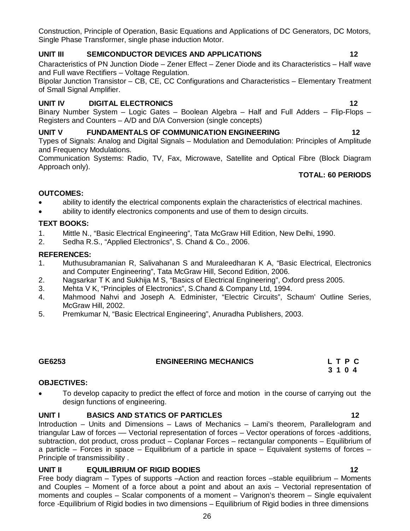Construction, Principle of Operation, Basic Equations and Applications of DC Generators, DC Motors, Single Phase Transformer, single phase induction Motor.

## **UNIT III SEMICONDUCTOR DEVICES AND APPLICATIONS 12**

Characteristics of PN Junction Diode – Zener Effect – Zener Diode and its Characteristics – Half wave and Full wave Rectifiers – Voltage Regulation.

Bipolar Junction Transistor – CB, CE, CC Configurations and Characteristics – Elementary Treatment of Small Signal Amplifier.

## **UNIT IV DIGITAL ELECTRONICS 12**

Binary Number System – Logic Gates – Boolean Algebra – Half and Full Adders – Flip-Flops – Registers and Counters – A/D and D/A Conversion (single concepts)

## **UNIT V FUNDAMENTALS OF COMMUNICATION ENGINEERING 12**

Types of Signals: Analog and Digital Signals – Modulation and Demodulation: Principles of Amplitude and Frequency Modulations.

Communication Systems: Radio, TV, Fax, Microwave, Satellite and Optical Fibre (Block Diagram Approach only).

## **TOTAL: 60 PERIODS**

### **OUTCOMES:**

- ability to identify the electrical components explain the characteristics of electrical machines.
- ability to identify electronics components and use of them to design circuits.

### **TEXT BOOKS:**

- 1. Mittle N., "Basic Electrical Engineering", Tata McGraw Hill Edition, New Delhi, 1990.
- 2. Sedha R.S., "Applied Electronics", S. Chand & Co., 2006.

### **REFERENCES:**

- 1. Muthusubramanian R, Salivahanan S and Muraleedharan K A, "Basic Electrical, Electronics and Computer Engineering", Tata McGraw Hill, Second Edition, 2006.
- 2. Nagsarkar T K and Sukhija M S, "Basics of Electrical Engineering", Oxford press 2005.
- 3. Mehta V K, "Principles of Electronics", S.Chand & Company Ltd, 1994.
- 4. Mahmood Nahvi and Joseph A. Edminister, "Electric Circuits", Schaum' Outline Series, McGraw Hill, 2002.
- 5. Premkumar N, "Basic Electrical Engineering", Anuradha Publishers, 2003.

## **GE6253 ENGINEERING MECHANICS L T P C**

#### **OBJECTIVES:**

• To develop capacity to predict the effect of force and motion in the course of carrying out the design functions of engineering.

#### **UNIT I BASICS AND STATICS OF PARTICLES 12**

Introduction – Units and Dimensions – Laws of Mechanics – Lami's theorem, Parallelogram and triangular Law of forces –– Vectorial representation of forces – Vector operations of forces -additions, subtraction, dot product, cross product – Coplanar Forces – rectangular components – Equilibrium of a particle – Forces in space – Equilibrium of a particle in space – Equivalent systems of forces – Principle of transmissibility .

## **UNIT II EQUILIBRIUM OF RIGID BODIES 12**

Free body diagram – Types of supports –Action and reaction forces –stable equilibrium – Moments and Couples – Moment of a force about a point and about an axis – Vectorial representation of moments and couples – Scalar components of a moment – Varignon's theorem – Single equivalent force -Equilibrium of Rigid bodies in two dimensions – Equilibrium of Rigid bodies in three dimensions

 **3 1 0 4**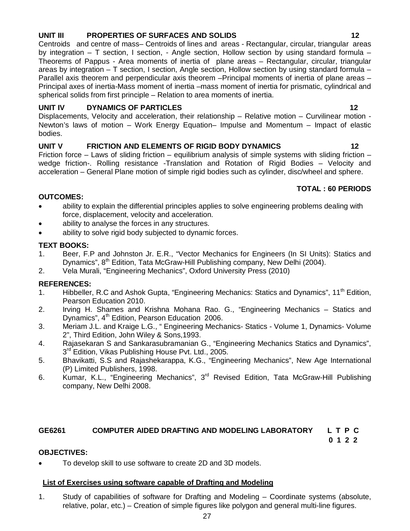### **UNIT III PROPERTIES OF SURFACES AND SOLIDS 12**

Centroids and centre of mass– Centroids of lines and areas - Rectangular, circular, triangular areas by integration – T section, I section, - Angle section, Hollow section by using standard formula – Theorems of Pappus - Area moments of inertia of plane areas – Rectangular, circular, triangular areas by integration – T section, I section, Angle section, Hollow section by using standard formula – Parallel axis theorem and perpendicular axis theorem –Principal moments of inertia of plane areas – Principal axes of inertia-Mass moment of inertia –mass moment of inertia for prismatic, cylindrical and spherical solids from first principle – Relation to area moments of inertia.

### UNIT IV DYNAMICS OF PARTICLES **12**

Displacements, Velocity and acceleration, their relationship – Relative motion – Curvilinear motion - Newton's laws of motion – Work Energy Equation– Impulse and Momentum – Impact of elastic bodies.

### UNIT V FRICTION AND ELEMENTS OF RIGID BODY DYNAMICS 42

Friction force – Laws of sliding friction – equilibrium analysis of simple systems with sliding friction – wedge friction-. Rolling resistance -Translation and Rotation of Rigid Bodies – Velocity and acceleration – General Plane motion of simple rigid bodies such as cylinder, disc/wheel and sphere.

### **TOTAL : 60 PERIODS**

## **OUTCOMES:**

- ability to explain the differential principles applies to solve engineering problems dealing with force, displacement, velocity and acceleration.
- ability to analyse the forces in any structures.
- ability to solve rigid body subjected to dynamic forces.

### **TEXT BOOKS:**

- 1. Beer, F.P and Johnston Jr. E.R., "Vector Mechanics for Engineers (In SI Units): Statics and Dynamics", 8<sup>th</sup> Edition, Tata McGraw-Hill Publishing company, New Delhi (2004).
- 2. Vela Murali, "Engineering Mechanics", Oxford University Press (2010)

## **REFERENCES:**

- 1. Hibbeller, R.C and Ashok Gupta, "Engineering Mechanics: Statics and Dynamics", 11<sup>th</sup> Edition, Pearson Education 2010.
- 2. Irving H. Shames and Krishna Mohana Rao. G., "Engineering Mechanics Statics and Dynamics",  $4<sup>th</sup>$  Edition, Pearson Education 2006.
- 3. Meriam J.L. and Kraige L.G., " Engineering Mechanics- Statics Volume 1, Dynamics- Volume 2", Third Edition, John Wiley & Sons,1993.
- 4. Rajasekaran S and Sankarasubramanian G., "Engineering Mechanics Statics and Dynamics", 3<sup>rd</sup> Edition, Vikas Publishing House Pvt. Ltd., 2005.
- 5. Bhavikatti, S.S and Rajashekarappa, K.G., "Engineering Mechanics", New Age International (P) Limited Publishers, 1998.
- 6. Kumar, K.L., "Engineering Mechanics", 3<sup>rd</sup> Revised Edition, Tata McGraw-Hill Publishing company, New Delhi 2008.

#### **GE6261 COMPUTER AIDED DRAFTING AND MODELING LABORATORY L T P C**

 **0 1 2 2** 

#### **OBJECTIVES:**

To develop skill to use software to create 2D and 3D models.

#### **List of Exercises using software capable of Drafting and Modeling**

1. Study of capabilities of software for Drafting and Modeling – Coordinate systems (absolute, relative, polar, etc.) – Creation of simple figures like polygon and general multi-line figures.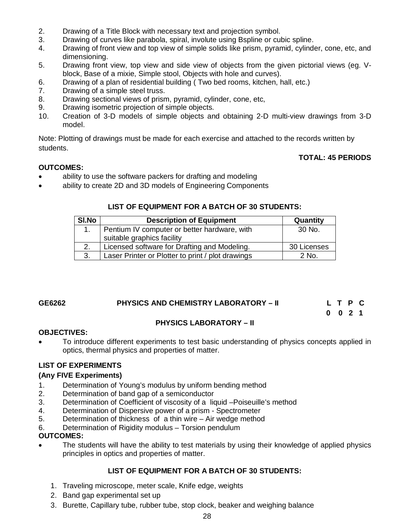- 2. Drawing of a Title Block with necessary text and projection symbol.
- 3. Drawing of curves like parabola, spiral, involute using Bspline or cubic spline.
- 4. Drawing of front view and top view of simple solids like prism, pyramid, cylinder, cone, etc, and dimensioning.
- 5. Drawing front view, top view and side view of objects from the given pictorial views (eg. Vblock, Base of a mixie, Simple stool, Objects with hole and curves).
- 6. Drawing of a plan of residential building ( Two bed rooms, kitchen, hall, etc.)
- 7. Drawing of a simple steel truss.
- 8. Drawing sectional views of prism, pyramid, cylinder, cone, etc,
- 9. Drawing isometric projection of simple objects.
- 10. Creation of 3-D models of simple objects and obtaining 2-D multi-view drawings from 3-D model.

Note: Plotting of drawings must be made for each exercise and attached to the records written by students.

### **TOTAL: 45 PERIODS**

### **OUTCOMES:**

- ability to use the software packers for drafting and modeling
- ability to create 2D and 3D models of Engineering Components

### **LIST OF EQUIPMENT FOR A BATCH OF 30 STUDENTS:**

| SI.No | <b>Description of Equipment</b>                   | Quantity    |
|-------|---------------------------------------------------|-------------|
|       | Pentium IV computer or better hardware, with      | 30 No.      |
|       | suitable graphics facility                        |             |
|       | Licensed software for Drafting and Modeling.      | 30 Licenses |
| 3.    | Laser Printer or Plotter to print / plot drawings | $2$ No.     |

## **GE6262 PHYSICS AND CHEMISTRY LABORATORY – II L T P C**

|  | LTPC               |  |
|--|--------------------|--|
|  | $0 \t 0 \t 2 \t 1$ |  |

## **PHYSICS LABORATORY – II**

## **OBJECTIVES:**

 To introduce different experiments to test basic understanding of physics concepts applied in optics, thermal physics and properties of matter.

## **LIST OF EXPERIMENTS**

#### **(Any FIVE Experiments)**

- 1. Determination of Young's modulus by uniform bending method
- 2. Determination of band gap of a semiconductor
- 3. Determination of Coefficient of viscosity of a liquid –Poiseuille's method
- 4. Determination of Dispersive power of a prism Spectrometer
- 5. Determination of thickness of a thin wire Air wedge method
- 6. Determination of Rigidity modulus Torsion pendulum

#### **OUTCOMES:**

 The students will have the ability to test materials by using their knowledge of applied physics principles in optics and properties of matter.

## **LIST OF EQUIPMENT FOR A BATCH OF 30 STUDENTS:**

- 1. Traveling microscope, meter scale, Knife edge, weights
- 2. Band gap experimental set up
- 3. Burette, Capillary tube, rubber tube, stop clock, beaker and weighing balance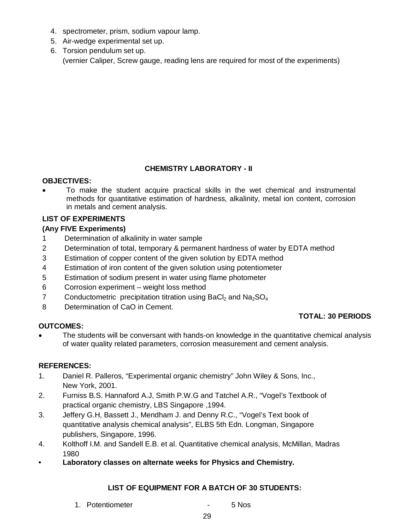- 4. spectrometer, prism, sodium vapour lamp.
- 5. Air-wedge experimental set up.
- 6. Torsion pendulum set up. (vernier Caliper, Screw gauge, reading lens are required for most of the experiments)

## **CHEMISTRY LABORATORY - II**

### **OBJECTIVES:**

 To make the student acquire practical skills in the wet chemical and instrumental methods for quantitative estimation of hardness, alkalinity, metal ion content, corrosion in metals and cement analysis.

## **LIST OF EXPERIMENTS**

### **(Any FIVE Experiments)**

- 1 Determination of alkalinity in water sample
- 2 Determination of total, temporary & permanent hardness of water by EDTA method
- 3 Estimation of copper content of the given solution by EDTA method
- 4 Estimation of iron content of the given solution using potentiometer
- 5 Estimation of sodium present in water using flame photometer
- 6 Corrosion experiment weight loss method
- 7 Conductometric precipitation titration using BaCl<sub>2</sub> and Na<sub>2</sub>SO<sub>4</sub>
- 8 Determination of CaO in Cement.

#### **OUTCOMES:**

#### **TOTAL: 30 PERIODS**

 The students will be conversant with hands-on knowledge in the quantitative chemical analysis of water quality related parameters, corrosion measurement and cement analysis.

#### **REFERENCES:**

- 1. Daniel R. Palleros, "Experimental organic chemistry" John Wiley & Sons, Inc., New York, 2001.
- 2. Furniss B.S. Hannaford A.J, Smith P.W.G and Tatchel A.R., "Vogel's Textbook of practical organic chemistry, LBS Singapore ,1994.
- 3. Jeffery G.H, Bassett J., Mendham J. and Denny R.C., "Vogel's Text book of quantitative analysis chemical analysis", ELBS 5th Edn. Longman, Singapore publishers, Singapore, 1996.
- 4. Kolthoff I.M. and Sandell E.B. et al. Quantitative chemical analysis, McMillan, Madras 1980
- **• Laboratory classes on alternate weeks for Physics and Chemistry.**

## **LIST OF EQUIPMENT FOR A BATCH OF 30 STUDENTS:**

- 1. Potentiometer 1. Formula 1. Potentiometer 1. Formula 1. Formula 1. Formula 1. Formula 1. Formula 1. Formula
	- 29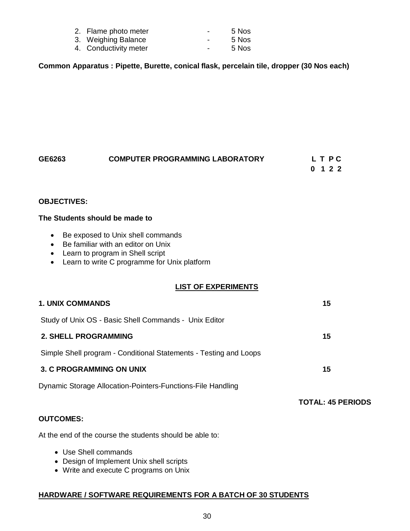| 2. Flame photo meter  | $\overline{\phantom{0}}$ | 5 Nos |
|-----------------------|--------------------------|-------|
| 3. Weighing Balance   | $\overline{\phantom{0}}$ | 5 Nos |
| 4. Conductivity meter | $\overline{\phantom{0}}$ | 5 Nos |

**Common Apparatus : Pipette, Burette, conical flask, percelain tile, dropper (30 Nos each)**

| GE6263 | <b>COMPUTER PROGRAMMING LABORATORY</b> | L T P C |
|--------|----------------------------------------|---------|
|        |                                        | 0 1 2 2 |

#### **OBJECTIVES:**

#### **The Students should be made to**

- Be exposed to Unix shell commands
- Be familiar with an editor on Unix
- Learn to program in Shell script
- Learn to write C programme for Unix platform

#### **LIST OF EXPERIMENTS**

| <b>1. UNIX COMMANDS</b>                                           | 15                       |
|-------------------------------------------------------------------|--------------------------|
| Study of Unix OS - Basic Shell Commands - Unix Editor             |                          |
| <b>2. SHELL PROGRAMMING</b>                                       | 15                       |
| Simple Shell program - Conditional Statements - Testing and Loops |                          |
| <b>3. C PROGRAMMING ON UNIX</b>                                   | 15                       |
| Dynamic Storage Allocation-Pointers-Functions-File Handling       |                          |
|                                                                   | <b>TOTAL: 45 PERIODS</b> |
| <b>OUTCOMES:</b>                                                  |                          |

At the end of the course the students should be able to:

- Use Shell commands
- Design of Implement Unix shell scripts
- Write and execute C programs on Unix

#### **HARDWARE / SOFTWARE REQUIREMENTS FOR A BATCH OF 30 STUDENTS**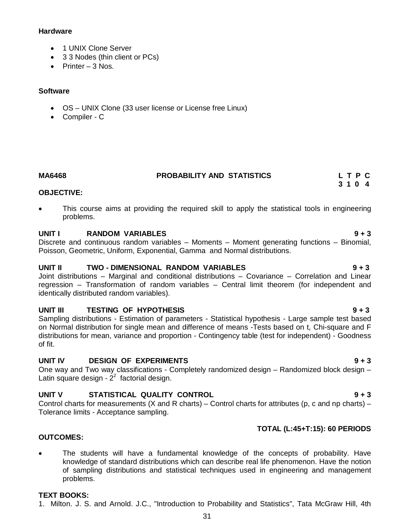#### **Hardware**

- 1 UNIX Clone Server
- 3 3 Nodes (thin client or PCs)
- $\bullet$  Printer 3 Nos.

#### **Software**

- OS UNIX Clone (33 user license or License free Linux)
- Compiler C

**MA6468 PROBABILITY AND STATISTICS L T P C**

#### **3 1 0 4 OBJECTIVE:**

 This course aims at providing the required skill to apply the statistical tools in engineering problems.

#### **UNIT I RANDOM VARIABLES 9 + 3**

Discrete and continuous random variables – Moments – Moment generating functions – Binomial, Poisson, Geometric, Uniform, Exponential, Gamma and Normal distributions.

## **UNIT II TWO - DIMENSIONAL RANDOM VARIABLES 9 + 3**

Joint distributions – Marginal and conditional distributions – Covariance – Correlation and Linear regression – Transformation of random variables – Central limit theorem (for independent and identically distributed random variables).

#### **UNIT III TESTING OF HYPOTHESIS 9 + 3**

Sampling distributions - Estimation of parameters - Statistical hypothesis - Large sample test based on Normal distribution for single mean and difference of means -Tests based on t, Chi-square and F distributions for mean, variance and proportion - Contingency table (test for independent) - Goodness of fit.

#### **UNIT IV DESIGN OF EXPERIMENTS 9 + 3**

One way and Two way classifications - Completely randomized design – Randomized block design – Latin square design -  $2<sup>2</sup>$  factorial design.

## **UNIT V STATISTICAL QUALITY CONTROL 9 + 3**

Control charts for measurements (X and R charts) – Control charts for attributes (p, c and np charts) – Tolerance limits - Acceptance sampling.

#### **TOTAL (L:45+T:15): 60 PERIODS**

#### **OUTCOMES:**

 The students will have a fundamental knowledge of the concepts of probability. Have knowledge of standard distributions which can describe real life phenomenon. Have the notion of sampling distributions and statistical techniques used in engineering and management problems.

#### **TEXT BOOKS:**

1. Milton. J. S. and Arnold. J.C., "Introduction to Probability and Statistics", Tata McGraw Hill, 4th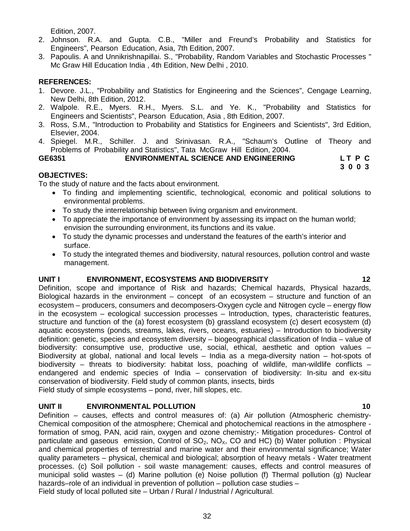Edition, 2007.

- 2. Johnson. R.A. and Gupta. C.B., "Miller and Freund's Probability and Statistics for Engineers", Pearson Education, Asia, 7th Edition, 2007.
- 3. Papoulis. A and Unnikrishnapillai. S., "Probability, Random Variables and Stochastic Processes " Mc Graw Hill Education India , 4th Edition, New Delhi , 2010.

### **REFERENCES:**

- 1. Devore. J.L., "Probability and Statistics for Engineering and the Sciences", Cengage Learning, New Delhi, 8th Edition, 2012.
- 2. Walpole. R.E., Myers. R.H., Myers. S.L. and Ye. K., "Probability and Statistics for Engineers and Scientists", Pearson Education, Asia , 8th Edition, 2007.
- 3. Ross, S.M., "Introduction to Probability and Statistics for Engineers and Scientists", 3rd Edition, Elsevier, 2004.
- 4. Spiegel. M.R., Schiller. J. and Srinivasan. R.A., "Schaum's Outline of Theory and Problems of Probability and Statistics", Tata McGraw Hill Edition, 2004.

### **GE6351 ENVIRONMENTAL SCIENCE AND ENGINEERING L T P C**

 **3 0 0 3**

## **OBJECTIVES:**

To the study of nature and the facts about environment.

- To finding and implementing scientific, technological, economic and political solutions to environmental problems.
- To study the interrelationship between living organism and environment.
- To appreciate the importance of environment by assessing its impact on the human world: envision the surrounding environment, its functions and its value.
- To study the dynamic processes and understand the features of the earth's interior and surface.
- To study the integrated themes and biodiversity, natural resources, pollution control and waste management.

#### **UNIT I ENVIRONMENT, ECOSYSTEMS AND BIODIVERSITY 12**

Definition, scope and importance of Risk and hazards; Chemical hazards, Physical hazards, Biological hazards in the environment – concept of an ecosystem – structure and function of an ecosystem – producers, consumers and decomposers-Oxygen cycle and Nitrogen cycle – energy flow in the ecosystem – ecological succession processes – Introduction, types, characteristic features, structure and function of the (a) forest ecosystem (b) grassland ecosystem (c) desert ecosystem (d) aquatic ecosystems (ponds, streams, lakes, rivers, oceans, estuaries) – Introduction to biodiversity definition: genetic, species and ecosystem diversity – biogeographical classification of India – value of biodiversity: consumptive use, productive use, social, ethical, aesthetic and option values – Biodiversity at global, national and local levels – India as a mega-diversity nation – hot-spots of biodiversity – threats to biodiversity: habitat loss, poaching of wildlife, man-wildlife conflicts – endangered and endemic species of India – conservation of biodiversity: In-situ and ex-situ conservation of biodiversity. Field study of common plants, insects, birds

Field study of simple ecosystems – pond, river, hill slopes, etc.

## **UNIT II ENVIRONMENTAL POLLUTION 10**

Definition – causes, effects and control measures of: (a) Air pollution (Atmospheric chemistry-Chemical composition of the atmosphere; Chemical and photochemical reactions in the atmosphere formation of smog, PAN, acid rain, oxygen and ozone chemistry;- Mitigation procedures- Control of particulate and gaseous emission, Control of  $SO_2$ , NO<sub>x</sub>, CO and HC) (b) Water pollution : Physical and chemical properties of terrestrial and marine water and their environmental significance; Water quality parameters – physical, chemical and biological; absorption of heavy metals - Water treatment processes. (c) Soil pollution - soil waste management: causes, effects and control measures of municipal solid wastes – (d) Marine pollution (e) Noise pollution (f) Thermal pollution (g) Nuclear hazards–role of an individual in prevention of pollution – pollution case studies – Field study of local polluted site – Urban / Rural / Industrial / Agricultural.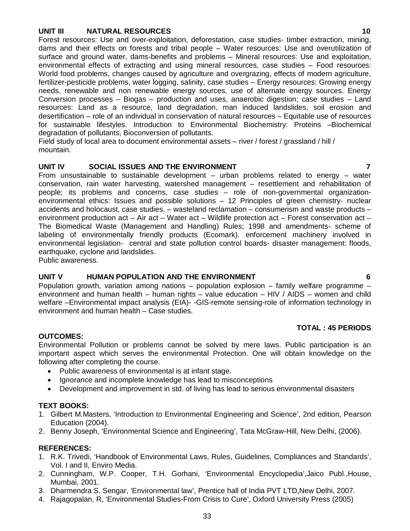#### **UNIT III NATURAL RESOURCES 10**

Forest resources: Use and over-exploitation, deforestation, case studies- timber extraction, mining, dams and their effects on forests and tribal people – Water resources: Use and overutilization of surface and ground water, dams-benefits and problems – Mineral resources: Use and exploitation, environmental effects of extracting and using mineral resources, case studies – Food resources: World food problems, changes caused by agriculture and overgrazing, effects of modern agriculture, fertilizer-pesticide problems, water logging, salinity, case studies – Energy resources: Growing energy needs, renewable and non renewable energy sources, use of alternate energy sources. Energy Conversion processes – Biogas – production and uses, anaerobic digestion; case studies – Land resources: Land as a resource, land degradation, man induced landslides, soil erosion and desertification – role of an individual in conservation of natural resources – Equitable use of resources for sustainable lifestyles. Introduction to Environmental Biochemistry: Proteins –Biochemical degradation of pollutants, Bioconversion of pollutants.

Field study of local area to document environmental assets – river / forest / grassland / hill / mountain.

#### **UNIT IV SOCIAL ISSUES AND THE ENVIRONMENT 7**

From unsustainable to sustainable development  $-$  urban problems related to energy  $-$  water conservation, rain water harvesting, watershed management – resettlement and rehabilitation of people; its problems and concerns, case studies – role of non-governmental organizationenvironmental ethics: Issues and possible solutions – 12 Principles of green chemistry- nuclear accidents and holocaust, case studies. – wasteland reclamation – consumerism and waste products – environment production act – Air act – Water act – Wildlife protection act – Forest conservation act – The Biomedical Waste (Management and Handling) Rules; 1998 and amendments- scheme of labeling of environmentally friendly products (Ecomark). enforcement machinery involved in environmental legislation- central and state pollution control boards- disaster management: floods, earthquake, cyclone and landslides.

Public awareness.

### **UNIT V HUMAN POPULATION AND THE ENVIRONMENT 6**

Population growth, variation among nations – population explosion – family welfare programme – environment and human health – human rights – value education – HIV / AIDS – women and child welfare –Environmental impact analysis (EIA)- -GIS-remote sensing-role of information technology in environment and human health – Case studies.

#### **TOTAL : 45 PERIODS**

#### **OUTCOMES:**

Environmental Pollution or problems cannot be solved by mere laws. Public participation is an important aspect which serves the environmental Protection. One will obtain knowledge on the following after completing the course.

- Public awareness of environmental is at infant stage.
- Ignorance and incomplete knowledge has lead to misconceptions
- Development and improvement in std. of living has lead to serious environmental disasters

#### **TEXT BOOKS:**

- 1. Gilbert M.Masters, 'Introduction to Environmental Engineering and Science', 2nd edition, Pearson Education (2004).
- 2. Benny Joseph, 'Environmental Science and Engineering', Tata McGraw-Hill, New Delhi, (2006).

#### **REFERENCES:**

- 1. R.K. Trivedi, 'Handbook of Environmental Laws, Rules, Guidelines, Compliances and Standards', Vol. I and II, Enviro Media.
- 2. Cunningham, W.P. Cooper, T.H. Gorhani, 'Environmental Encyclopedia',Jaico Publ.,House, Mumbai, 2001.
- 3. Dharmendra S. Sengar, 'Environmental law', Prentice hall of India PVT LTD,New Delhi, 2007.
- 4. Rajagopalan, R, 'Environmental Studies-From Crisis to Cure', Oxford University Press (2005)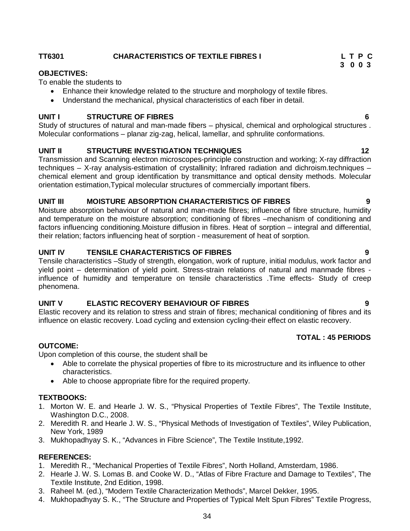**OBJECTIVES:** To enable the students to

- Enhance their knowledge related to the structure and morphology of textile fibres.
- Understand the mechanical, physical characteristics of each fiber in detail.

#### **UNIT I STRUCTURE OF FIBRES 6**

Study of structures of natural and man-made fibers – physical, chemical and orphological structures . Molecular conformations – planar zig-zag, helical, lamellar, and sphrulite conformations.

### **UNIT II** STRUCTURE INVESTIGATION TECHNIQUES 12

Transmission and Scanning electron microscopes-principle construction and working; X-ray diffraction techniques – X-ray analysis-estimation of crystallinity; Infrared radiation and dichroism.techniques – chemical element and group identification by transmittance and optical density methods. Molecular orientation estimation,Typical molecular structures of commercially important fibers.

### **UNIT III MOISTURE ABSORPTION CHARACTERISTICS OF FIBRES 9**

Moisture absorption behaviour of natural and man-made fibres; influence of fibre structure, humidity and temperature on the moisture absorption; conditioning of fibres –mechanism of conditioning and factors influencing conditioning.Moisture diffusion in fibres. Heat of sorption – integral and differential, their relation; factors influencing heat of sorption - measurement of heat of sorption.

#### **UNIT IV TENSILE CHARACTERISTICS OF FIBRES 9**

Tensile characteristics –Study of strength, elongation, work of rupture, initial modulus, work factor and yield point – determination of yield point. Stress-strain relations of natural and manmade fibres influence of humidity and temperature on tensile characteristics .Time effects- Study of creep phenomena.

### **UNIT V ELASTIC RECOVERY BEHAVIOUR OF FIBRES 9**

Elastic recovery and its relation to stress and strain of fibres; mechanical conditioning of fibres and its influence on elastic recovery. Load cycling and extension cycling-their effect on elastic recovery.

### **TOTAL : 45 PERIODS**

#### **OUTCOME:**

Upon completion of this course, the student shall be

- Able to correlate the physical properties of fibre to its microstructure and its influence to other characteristics.
- Able to choose appropriate fibre for the required property.

#### **TEXTBOOKS:**

- 1. Morton W. E. and Hearle J. W. S., "Physical Properties of Textile Fibres", The Textile Institute, Washington D.C., 2008.
- 2. Meredith R. and Hearle J. W. S., "Physical Methods of Investigation of Textiles", Wiley Publication, New York, 1989
- 3. Mukhopadhyay S. K., "Advances in Fibre Science", The Textile Institute,1992.

### **REFERENCES:**

- 1. Meredith R., "Mechanical Properties of Textile Fibres", North Holland, Amsterdam, 1986.
- 2. Hearle J. W. S. Lomas B. and Cooke W. D., "Atlas of Fibre Fracture and Damage to Textiles", The Textile Institute, 2nd Edition, 1998.
- 3. Raheel M. (ed.), "Modern Textile Characterization Methods", Marcel Dekker, 1995.
- 4. Mukhopadhyay S. K., "The Structure and Properties of Typical Melt Spun Fibres" Textile Progress,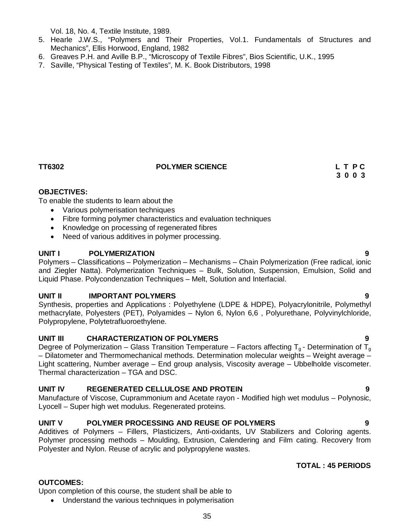Vol. 18, No. 4, Textile Institute, 1989.

- 5. Hearle J.W.S., "Polymers and Their Properties, Vol.1. Fundamentals of Structures and Mechanics", Ellis Horwood, England, 1982
- 6. Greaves P.H. and Aville B.P., "Microscopy of Textile Fibres", Bios Scientific, U.K., 1995
- 7. Saville, "Physical Testing of Textiles", M. K. Book Distributors, 1998

#### **TT6302 POLYMER SCIENCE L T P C**

# **3 0 0 3**

### **OBJECTIVES:**

To enable the students to learn about the

- Various polymerisation techniques
- Fibre forming polymer characteristics and evaluation techniques
- Knowledge on processing of regenerated fibres
- Need of various additives in polymer processing.

#### **UNIT I POLYMERIZATION 9**

Polymers – Classifications – Polymerization – Mechanisms – Chain Polymerization (Free radical, ionic and Ziegler Natta). Polymerization Techniques – Bulk, Solution, Suspension, Emulsion, Solid and Liquid Phase. Polycondenzation Techniques – Melt, Solution and Interfacial.

## **UNIT II IMPORTANT POLYMERS 9**

Synthesis, properties and Applications : Polyethylene (LDPE & HDPE), Polyacrylonitrile, Polymethyl methacrylate, Polyesters (PET), Polyamides – Nylon 6, Nylon 6,6 , Polyurethane, Polyvinylchloride, Polypropylene, Polytetrafluoroethylene.

#### **UNIT III CHARACTERIZATION OF POLYMERS 9**

Degree of Polymerization – Glass Transition Temperature – Factors affecting  $T_{g}$  - Determination of  $T_{g}$ – Dilatometer and Thermomechanical methods. Determination molecular weights – Weight average – Light scattering, Number average – End group analysis, Viscosity average – Ubbelholde viscometer. Thermal characterization – TGA and DSC.

## **UNIT IV REGENERATED CELLULOSE AND PROTEIN 9**

Manufacture of Viscose, Cuprammonium and Acetate rayon - Modified high wet modulus – Polynosic, Lyocell – Super high wet modulus. Regenerated proteins.

## **UNIT V POLYMER PROCESSING AND REUSE OF POLYMERS 9**

Additives of Polymers – Fillers, Plasticizers, Anti-oxidants, UV Stabilizers and Coloring agents. Polymer processing methods – Moulding, Extrusion, Calendering and Film cating. Recovery from Polyester and Nylon. Reuse of acrylic and polypropylene wastes.

#### **TOTAL : 45 PERIODS**

## **OUTCOMES:**

Upon completion of this course, the student shall be able to

Understand the various techniques in polymerisation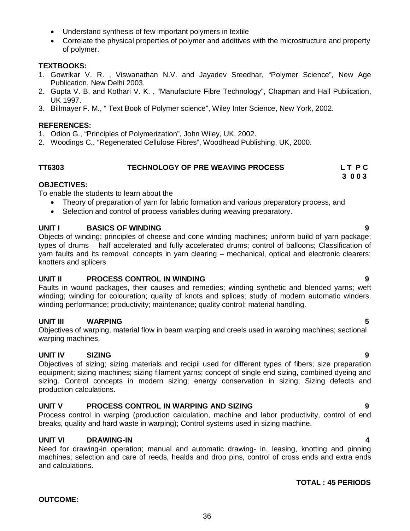- Understand synthesis of few important polymers in textile
- Correlate the physical properties of polymer and additives with the microstructure and property of polymer.

### **TEXTBOOKS:**

- 1. Gowrikar V. R. , Viswanathan N.V. and Jayadev Sreedhar, "Polymer Science", New Age Publication, New Delhi 2003.
- 2. Gupta V. B. and Kothari V. K. , "Manufacture Fibre Technology", Chapman and Hall Publication, UK 1997.
- 3. Billmayer F. M., " Text Book of Polymer science", Wiley Inter Science, New York, 2002.

## **REFERENCES:**

- 1. Odion G., "Principles of Polymerization", John Wiley, UK, 2002.
- 2. Woodings C., "Regenerated Cellulose Fibres", Woodhead Publishing, UK, 2000.

#### **TT6303 TECHNOLOGY OF PRE WEAVING PROCESS L T P C 3 0 0 3**

## **OBJECTIVES:**

To enable the students to learn about the

- Theory of preparation of yarn for fabric formation and various preparatory process, and
- Selection and control of process variables during weaving preparatory.

## **UNIT I BASICS OF WINDING 9**

Objects of winding; principles of cheese and cone winding machines; uniform build of yarn package; types of drums – half accelerated and fully accelerated drums; control of balloons; Classification of yarn faults and its removal; concepts in yarn clearing – mechanical, optical and electronic clearers; knotters and splicers

#### **UNIT II PROCESS CONTROL IN WINDING 9**

Faults in wound packages, their causes and remedies; winding synthetic and blended yarns; weft winding; winding for colouration; quality of knots and splices; study of modern automatic winders. winding performance; productivity; maintenance; quality control; material handling.

## **UNIT III WARPING 5**

Objectives of warping, material flow in beam warping and creels used in warping machines; sectional warping machines.

## **UNIT IV SIZING 9**

Objectives of sizing; sizing materials and recipii used for different types of fibers; size preparation equipment; sizing machines; sizing filament yarns; concept of single end sizing, combined dyeing and sizing. Control concepts in modern sizing; energy conservation in sizing; Sizing defects and production calculations.

## **UNIT V PROCESS CONTROL IN WARPING AND SIZING 9**

Process control in warping (production calculation, machine and labor productivity, control of end breaks, quality and hard waste in warping); Control systems used in sizing machine.

## **UNIT VI DRAWING-IN 4**

Need for drawing-in operation; manual and automatic drawing- in, leasing, knotting and pinning machines; selection and care of reeds, healds and drop pins, control of cross ends and extra ends and calculations.

## **TOTAL : 45 PERIODS**

#### 36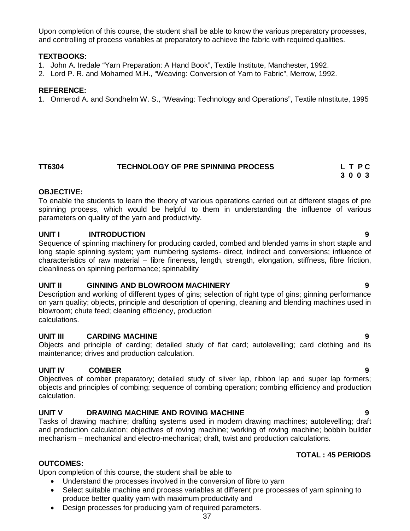Upon completion of this course, the student shall be able to know the various preparatory processes, and controlling of process variables at preparatory to achieve the fabric with required qualities.

#### **TEXTBOOKS:**

- 1. John A. Iredale "Yarn Preparation: A Hand Book", Textile Institute, Manchester, 1992.
- 2. Lord P. R. and Mohamed M.H., "Weaving: Conversion of Yarn to Fabric", Merrow, 1992.

#### **REFERENCE:**

1. Ormerod A. and Sondhelm W. S., "Weaving: Technology and Operations", Textile nInstitute, 1995

# **TT6304 TECHNOLOGY OF PRE SPINNING PROCESS L T P C**

 **3 0 0 3**

#### **OBJECTIVE:**

To enable the students to learn the theory of various operations carried out at different stages of pre spinning process, which would be helpful to them in understanding the influence of various parameters on quality of the yarn and productivity.

### **UNIT I INTRODUCTION 9**

Sequence of spinning machinery for producing carded, combed and blended yarns in short staple and long staple spinning system; yarn numbering systems- direct, indirect and conversions; influence of characteristics of raw material – fibre fineness, length, strength, elongation, stiffness, fibre friction, cleanliness on spinning performance; spinnability

### **UNIT II GINNING AND BLOWROOM MACHINERY 9**

Description and working of different types of gins; selection of right type of gins; ginning performance on yarn quality; objects, principle and description of opening, cleaning and blending machines used in blowroom; chute feed; cleaning efficiency, production calculations.

### **UNIT III CARDING MACHINE 9**

Objects and principle of carding; detailed study of flat card; autolevelling; card clothing and its maintenance; drives and production calculation.

### **UNIT IV COMBER 9**

Objectives of comber preparatory; detailed study of sliver lap, ribbon lap and super lap formers; objects and principles of combing; sequence of combing operation; combing efficiency and production calculation.

### **UNIT V DRAWING MACHINE AND ROVING MACHINE 9**

Tasks of drawing machine; drafting systems used in modern drawing machines; autolevelling; draft and production calculation; objectives of roving machine; working of roving machine; bobbin builder mechanism – mechanical and electro-mechanical; draft, twist and production calculations.

# **TOTAL : 45 PERIODS**

### **OUTCOMES:**

Upon completion of this course, the student shall be able to

- Understand the processes involved in the conversion of fibre to yarn
- Select suitable machine and process variables at different pre processes of yarn spinning to produce better quality yarn with maximum productivity and
- Design processes for producing yarn of required parameters.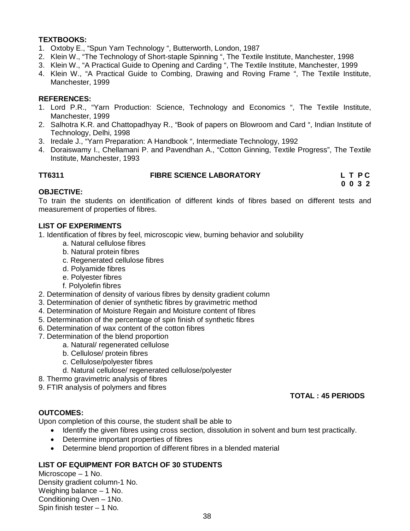# **TEXTBOOKS:**

- 1. Oxtoby E., "Spun Yarn Technology ", Butterworth, London, 1987
- 2. Klein W., "The Technology of Short-staple Spinning ", The Textile Institute, Manchester, 1998
- 3. Klein W., "A Practical Guide to Opening and Carding ", The Textile Institute, Manchester, 1999
- 4. Klein W., "A Practical Guide to Combing, Drawing and Roving Frame ", The Textile Institute, Manchester, 1999

#### **REFERENCES:**

- 1. Lord P.R., "Yarn Production: Science, Technology and Economics ", The Textile Institute, Manchester, 1999
- 2. Salhotra K.R. and Chattopadhyay R., "Book of papers on Blowroom and Card ", Indian Institute of Technology, Delhi, 1998
- 3. Iredale J., "Yarn Preparation: A Handbook ", Intermediate Technology, 1992
- 4. Doraiswamy I., Chellamani P. and Pavendhan A., "Cotton Ginning, Textile Progress", The Textile Institute, Manchester, 1993

| TT6311 | <b>FIBRE SCIENCE LABORATORY</b> | LTPC            |
|--------|---------------------------------|-----------------|
|        |                                 | $0 \t0 \t3 \t2$ |

#### **OBJECTIVE:**

To train the students on identification of different kinds of fibres based on different tests and measurement of properties of fibres.

#### **LIST OF EXPERIMENTS**

1. Identification of fibres by feel, microscopic view, burning behavior and solubility

- a. Natural cellulose fibres
- b. Natural protein fibres
- c. Regenerated cellulose fibres
- d. Polyamide fibres
- e. Polyester fibres
- f. Polyolefin fibres
- 2. Determination of density of various fibres by density gradient column
- 3. Determination of denier of synthetic fibres by gravimetric method
- 4. Determination of Moisture Regain and Moisture content of fibres
- 5. Determination of the percentage of spin finish of synthetic fibres
- 6. Determination of wax content of the cotton fibres
- 7. Determination of the blend proportion
	- a. Natural/ regenerated cellulose
	- b. Cellulose/ protein fibres
	- c. Cellulose/polyester fibres
	- d. Natural cellulose/ regenerated cellulose/polyester
- 8. Thermo gravimetric analysis of fibres
- 9. FTIR analysis of polymers and fibres

### **TOTAL : 45 PERIODS**

### **OUTCOMES:**

Upon completion of this course, the student shall be able to

- Identify the given fibres using cross section, dissolution in solvent and burn test practically.
- Determine important properties of fibres
- Determine blend proportion of different fibres in a blended material

# **LIST OF EQUIPMENT FOR BATCH OF 30 STUDENTS**

Microscope – 1 No. Density gradient column-1 No. Weighing balance – 1 No. Conditioning Oven – 1No. Spin finish tester – 1 No.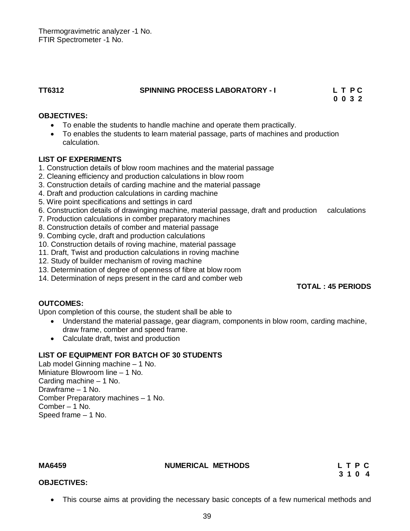Thermogravimetric analyzer -1 No. FTIR Spectrometer -1 No.

### **TT6312 SPINNING PROCESS LABORATORY - I L T P C**

 **0 0 3 2**

# **OBJECTIVES:**

- To enable the students to handle machine and operate them practically.
- To enables the students to learn material passage, parts of machines and production calculation.

# **LIST OF EXPERIMENTS**

- 1. Construction details of blow room machines and the material passage
- 2. Cleaning efficiency and production calculations in blow room
- 3. Construction details of carding machine and the material passage
- 4. Draft and production calculations in carding machine
- 5. Wire point specifications and settings in card
- 6. Construction details of drawinging machine, material passage, draft and production calculations
- 7. Production calculations in comber preparatory machines
- 8. Construction details of comber and material passage
- 9. Combing cycle, draft and production calculations
- 10. Construction details of roving machine, material passage
- 11. Draft, Twist and production calculations in roving machine
- 12. Study of builder mechanism of roving machine
- 13. Determination of degree of openness of fibre at blow room
- 14. Determination of neps present in the card and comber web

### **TOTAL : 45 PERIODS**

### **OUTCOMES:**

Upon completion of this course, the student shall be able to

- Understand the material passage, gear diagram, components in blow room, carding machine, draw frame, comber and speed frame.
- Calculate draft, twist and production

# **LIST OF EQUIPMENT FOR BATCH OF 30 STUDENTS**

Lab model Ginning machine – 1 No. Miniature Blowroom line – 1 No. Carding machine – 1 No. Drawframe – 1 No. Comber Preparatory machines – 1 No. Comber – 1 No. Speed frame – 1 No.

MA6459 **NUMERICAL METHODS** L T P C **C** 3 1 0 4

### **OBJECTIVES:**

This course aims at providing the necessary basic concepts of a few numerical methods and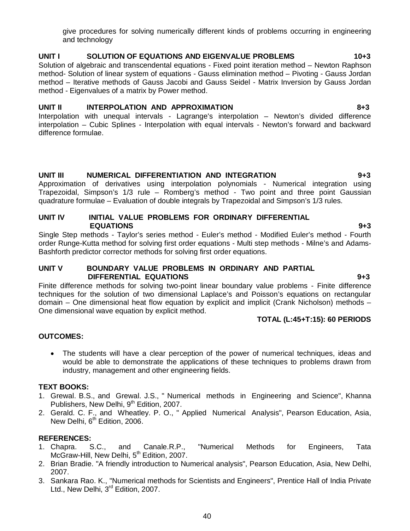give procedures for solving numerically different kinds of problems occurring in engineering and technology

# **UNIT I SOLUTION OF EQUATIONS AND EIGENVALUE PROBLEMS 10+3**

Solution of algebraic and transcendental equations - Fixed point iteration method – Newton Raphson method- Solution of linear system of equations - Gauss elimination method – Pivoting - Gauss Jordan method – Iterative methods of Gauss Jacobi and Gauss Seidel - Matrix Inversion by Gauss Jordan method - Eigenvalues of a matrix by Power method.

# **UNIT II INTERPOLATION AND APPROXIMATION 8+3**

Interpolation with unequal intervals - Lagrange's interpolation – Newton's divided difference interpolation – Cubic Splines - Interpolation with equal intervals - Newton's forward and backward difference formulae.

# **UNIT III NUMERICAL DIFFERENTIATION AND INTEGRATION 9+3**

Approximation of derivatives using interpolation polynomials - Numerical integration using Trapezoidal, Simpson's 1/3 rule – Romberg's method - Two point and three point Gaussian quadrature formulae – Evaluation of double integrals by Trapezoidal and Simpson's 1/3 rules.

# **UNIT IV INITIAL VALUE PROBLEMS FOR ORDINARY DIFFERENTIAL EQUATIONS 9+3**

Single Step methods - Taylor's series method - Euler's method - Modified Euler's method - Fourth order Runge-Kutta method for solving first order equations - Multi step methods - Milne's and Adams-Bashforth predictor corrector methods for solving first order equations.

### **UNIT V BOUNDARY VALUE PROBLEMS IN ORDINARY AND PARTIAL DIFFERENTIAL EQUATIONS 9+3**

Finite difference methods for solving two-point linear boundary value problems - Finite difference techniques for the solution of two dimensional Laplace's and Poisson's equations on rectangular domain – One dimensional heat flow equation by explicit and implicit (Crank Nicholson) methods – One dimensional wave equation by explicit method.

# **TOTAL (L:45+T:15): 60 PERIODS**

# **OUTCOMES:**

 The students will have a clear perception of the power of numerical techniques, ideas and would be able to demonstrate the applications of these techniques to problems drawn from industry, management and other engineering fields.

# **TEXT BOOKS:**

- 1. Grewal. B.S., and Grewal. J.S., " Numerical methods in Engineering and Science", Khanna Publishers, New Delhi, 9<sup>th</sup> Edition, 2007.
- 2. Gerald. C. F., and Wheatley. P. O., " Applied Numerical Analysis", Pearson Education, Asia, New Delhi, 6<sup>th</sup> Edition, 2006.

# **REFERENCES:**

- 1. Chapra. S.C., and Canale.R.P., "Numerical Methods for Engineers, Tata McGraw-Hill, New Delhi, 5<sup>th</sup> Edition. 2007.
- 2. Brian Bradie. "A friendly introduction to Numerical analysis", Pearson Education, Asia, New Delhi, 2007.
- 3. Sankara Rao. K., "Numerical methods for Scientists and Engineers", Prentice Hall of India Private Ltd., New Delhi, 3<sup>rd</sup> Edition, 2007.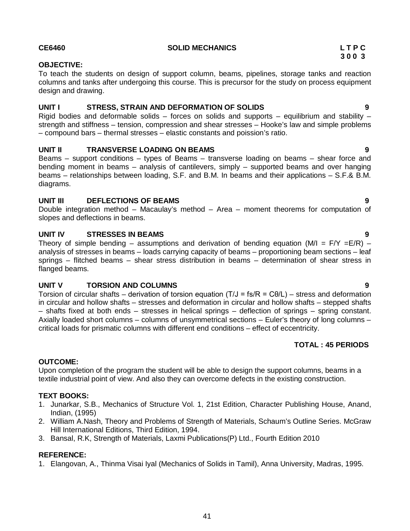#### **CE6460 SOLID MECHANICS L T P C**

# **OBJECTIVE:**

To teach the students on design of support column, beams, pipelines, storage tanks and reaction columns and tanks after undergoing this course. This is precursor for the study on process equipment design and drawing.

# **UNIT I STRESS, STRAIN AND DEFORMATION OF SOLIDS 9**

Rigid bodies and deformable solids – forces on solids and supports – equilibrium and stability – strength and stiffness – tension, compression and shear stresses – Hooke's law and simple problems – compound bars – thermal stresses – elastic constants and poission's ratio.

# **UNIT II TRANSVERSE LOADING ON BEAMS 9**

Beams – support conditions – types of Beams – transverse loading on beams – shear force and bending moment in beams – analysis of cantilevers, simply – supported beams and over hanging beams – relationships between loading, S.F. and B.M. In beams and their applications – S.F.& B.M. diagrams.

### **UNIT III DEFLECTIONS OF BEAMS 9**

Double integration method – Macaulay's method – Area – moment theorems for computation of slopes and deflections in beams.

# **UNIT IV STRESSES IN BEAMS 9**

Theory of simple bending – assumptions and derivation of bending equation (M/I =  $F/Y = E/R$ ) – analysis of stresses in beams – loads carrying capacity of beams – proportioning beam sections – leaf springs – flitched beams – shear stress distribution in beams – determination of shear stress in flanged beams.

# **UNIT V TORSION AND COLUMNS 9**

Torsion of circular shafts – derivation of torsion equation (T/J = fs/R = Cθ/L) – stress and deformation in circular and hollow shafts – stresses and deformation in circular and hollow shafts – stepped shafts – shafts fixed at both ends – stresses in helical springs – deflection of springs – spring constant. Axially loaded short columns – columns of unsymmetrical sections – Euler's theory of long columns – critical loads for prismatic columns with different end conditions – effect of eccentricity.

# **OUTCOME:**

Upon completion of the program the student will be able to design the support columns, beams in a textile industrial point of view. And also they can overcome defects in the existing construction.

# **TEXT BOOKS:**

- 1. Junarkar, S.B., Mechanics of Structure Vol. 1, 21st Edition, Character Publishing House, Anand, Indian, (1995)
- 2. William A.Nash, Theory and Problems of Strength of Materials, Schaum's Outline Series. McGraw Hill International Editions, Third Edition, 1994.
- 3. Bansal, R.K, Strength of Materials, Laxmi Publications(P) Ltd., Fourth Edition 2010

### **REFERENCE:**

1. Elangovan, A., Thinma Visai Iyal (Mechanics of Solids in Tamil), Anna University, Madras, 1995.

 **TOTAL : 45 PERIODS**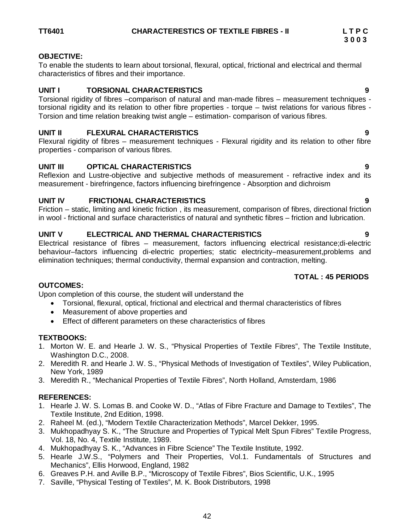# **OBJECTIVE:**

To enable the students to learn about torsional, flexural, optical, frictional and electrical and thermal characteristics of fibres and their importance.

# **UNIT I TORSIONAL CHARACTERISTICS 9**

Torsional rigidity of fibres –comparison of natural and man-made fibres – measurement techniques torsional rigidity and its relation to other fibre properties - torque – twist relations for various fibres - Torsion and time relation breaking twist angle – estimation- comparison of various fibres.

# **UNIT II FLEXURAL CHARACTERISTICS 9**

Flexural rigidity of fibres – measurement techniques - Flexural rigidity and its relation to other fibre properties - comparison of various fibres.

# **UNIT III OPTICAL CHARACTERISTICS 9**

Reflexion and Lustre-objective and subjective methods of measurement - refractive index and its measurement - birefringence, factors influencing birefringence - Absorption and dichroism

# **UNIT IV FRICTIONAL CHARACTERISTICS 9**

Friction – static, limiting and kinetic friction , its measurement, comparison of fibres, directional friction in wool - frictional and surface characteristics of natural and synthetic fibres – friction and lubrication.

# **UNIT V ELECTRICAL AND THERMAL CHARACTERISTICS 9**

Electrical resistance of fibres – measurement, factors influencing electrical resistance;di-electric behaviour–factors influencing di-electric properties; static electricity–measurement,problems and elimination techniques; thermal conductivity, thermal expansion and contraction, melting.

# **TOTAL : 45 PERIODS**

# **OUTCOMES:**

Upon completion of this course, the student will understand the

- Torsional, flexural, optical, frictional and electrical and thermal characteristics of fibres
- Measurement of above properties and
- Effect of different parameters on these characteristics of fibres

# **TEXTBOOKS:**

- 1. Morton W. E. and Hearle J. W. S., "Physical Properties of Textile Fibres", The Textile Institute, Washington D.C., 2008.
- 2. Meredith R. and Hearle J. W. S., "Physical Methods of Investigation of Textiles", Wiley Publication, New York, 1989
- 3. Meredith R., "Mechanical Properties of Textile Fibres", North Holland, Amsterdam, 1986

# **REFERENCES:**

- 1. Hearle J. W. S. Lomas B. and Cooke W. D., "Atlas of Fibre Fracture and Damage to Textiles", The Textile Institute, 2nd Edition, 1998.
- 2. Raheel M. (ed.), "Modern Textile Characterization Methods", Marcel Dekker, 1995.
- 3. Mukhopadhyay S. K., "The Structure and Properties of Typical Melt Spun Fibres" Textile Progress, Vol. 18, No. 4, Textile Institute, 1989.
- 4. Mukhopadhyay S. K., "Advances in Fibre Science" The Textile Institute, 1992.
- 5. Hearle J.W.S., "Polymers and Their Properties, Vol.1. Fundamentals of Structures and Mechanics", Ellis Horwood, England, 1982
- 6. Greaves P.H. and Aville B.P., "Microscopy of Textile Fibres", Bios Scientific, U.K., 1995
- 7. Saville, "Physical Testing of Textiles", M. K. Book Distributors, 1998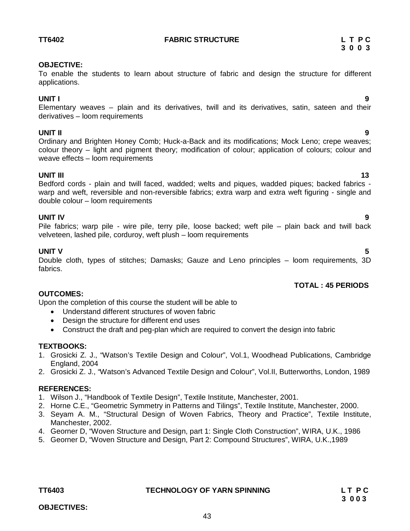# **TT6402 FABRIC STRUCTURE L T P C**

# **3 0 0 3**

# **OBJECTIVE:**

To enable the students to learn about structure of fabric and design the structure for different applications.

# **UNIT I 9**

Elementary weaves – plain and its derivatives, twill and its derivatives, satin, sateen and their derivatives – loom requirements

**UNIT II 9** Ordinary and Brighten Honey Comb; Huck-a-Back and its modifications; Mock Leno; crepe weaves; colour theory – light and pigment theory; modification of colour; application of colours; colour and weave effects – loom requirements

# **UNIT III** 13

Bedford cords - plain and twill faced, wadded; welts and piques, wadded piques; backed fabrics warp and weft, reversible and non-reversible fabrics; extra warp and extra weft figuring - single and double colour – loom requirements

# **UNIT IV 9**

Pile fabrics; warp pile - wire pile, terry pile, loose backed; weft pile – plain back and twill back velveteen, lashed pile, corduroy, weft plush – loom requirements

# **UNIT V 5**

Double cloth, types of stitches; Damasks; Gauze and Leno principles – loom requirements, 3D fabrics.

# **TOTAL : 45 PERIODS**

# **OUTCOMES:**

Upon the completion of this course the student will be able to

- Understand different structures of woven fabric
- Design the structure for different end uses
- Construct the draft and peg-plan which are required to convert the design into fabric

# **TEXTBOOKS:**

- 1. Grosicki Z. J., "Watson's Textile Design and Colour", Vol.1, Woodhead Publications, Cambridge England, 2004
- 2. Grosicki Z. J., "Watson's Advanced Textile Design and Colour", Vol.II, Butterworths, London, 1989

# **REFERENCES:**

- 1. Wilson J., "Handbook of Textile Design", Textile Institute, Manchester, 2001.
- 2. Horne C.E., "Geometric Symmetry in Patterns and Tilings", Textile Institute, Manchester, 2000.
- 3. Seyam A. M., "Structural Design of Woven Fabrics, Theory and Practice", Textile Institute, Manchester, 2002.
- 4. Georner D, "Woven Structure and Design, part 1: Single Cloth Construction", WIRA, U.K., 1986
- 5. Georner D, "Woven Structure and Design, Part 2: Compound Structures", WIRA, U.K.,1989

# **TT6403 TECHNOLOGY OF YARN SPINNING L T P C**

43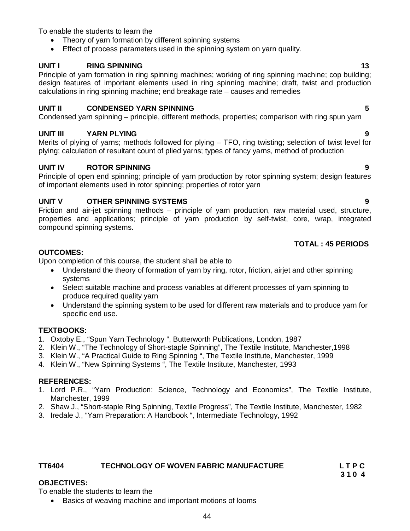To enable the students to learn the

- Theory of yarn formation by different spinning systems
- Effect of process parameters used in the spinning system on yarn quality.

# **UNIT I** RING SPINNING 13

Principle of yarn formation in ring spinning machines; working of ring spinning machine; cop building; design features of important elements used in ring spinning machine; draft, twist and production calculations in ring spinning machine; end breakage rate – causes and remedies

# **UNIT II CONDENSED YARN SPINNING 5**

Condensed yarn spinning – principle, different methods, properties; comparison with ring spun yarn

# **UNIT III YARN PLYING 9**

Merits of plying of yarns; methods followed for plying – TFO, ring twisting; selection of twist level for plying; calculation of resultant count of plied yarns; types of fancy yarns, method of production

# **UNIT IV ROTOR SPINNING 9**

Principle of open end spinning; principle of yarn production by rotor spinning system; design features of important elements used in rotor spinning; properties of rotor yarn

# **UNIT V OTHER SPINNING SYSTEMS 9**

Friction and air-jet spinning methods – principle of yarn production, raw material used, structure, properties and applications; principle of yarn production by self-twist, core, wrap, integrated compound spinning systems.

# **TOTAL : 45 PERIODS**

# **OUTCOMES:**

Upon completion of this course, the student shall be able to

- Understand the theory of formation of yarn by ring, rotor, friction, airjet and other spinning systems
- Select suitable machine and process variables at different processes of yarn spinning to produce required quality yarn
- Understand the spinning system to be used for different raw materials and to produce yarn for specific end use.

# **TEXTBOOKS:**

- 1. Oxtoby E., "Spun Yarn Technology ", Butterworth Publications, London, 1987
- 2. Klein W., "The Technology of Short-staple Spinning", The Textile Institute, Manchester,1998
- 3. Klein W., "A Practical Guide to Ring Spinning ", The Textile Institute, Manchester, 1999
- 4. Klein W., "New Spinning Systems ", The Textile Institute, Manchester, 1993

### **REFERENCES:**

- 1. Lord P.R., "Yarn Production: Science, Technology and Economics", The Textile Institute, Manchester, 1999
- 2. Shaw J., "Short-staple Ring Spinning, Textile Progress", The Textile Institute, Manchester, 1982
- 3. Iredale J., "Yarn Preparation: A Handbook ", Intermediate Technology, 1992

### **TT6404 TECHNOLOGY OF WOVEN FABRIC MANUFACTURE L T P C**

 **3 1 0 4**

# **OBJECTIVES:**

To enable the students to learn the

• Basics of weaving machine and important motions of looms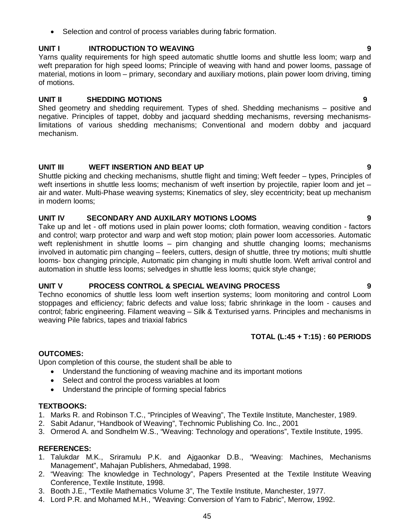• Selection and control of process variables during fabric formation.

# **UNIT I INTRODUCTION TO WEAVING 9**

Yarns quality requirements for high speed automatic shuttle looms and shuttle less loom; warp and weft preparation for high speed looms; Principle of weaving with hand and power looms, passage of material, motions in loom – primary, secondary and auxiliary motions, plain power loom driving, timing of motions.

# **UNIT II SHEDDING MOTIONS 9**

Shed geometry and shedding requirement. Types of shed. Shedding mechanisms – positive and negative. Principles of tappet, dobby and jacquard shedding mechanisms, reversing mechanismslimitations of various shedding mechanisms; Conventional and modern dobby and jacquard mechanism.

# **UNIT III WEFT INSERTION AND BEAT UP 9**

Shuttle picking and checking mechanisms, shuttle flight and timing; Weft feeder – types, Principles of weft insertions in shuttle less looms; mechanism of weft insertion by projectile, rapier loom and jet – air and water. Multi-Phase weaving systems; Kinematics of sley, sley eccentricity; beat up mechanism in modern looms;

### **UNIT IV SECONDARY AND AUXILARY MOTIONS LOOMS 9**

Take up and let - off motions used in plain power looms; cloth formation, weaving condition - factors and control; warp protector and warp and weft stop motion; plain power loom accessories. Automatic weft replenishment in shuttle looms – pirn changing and shuttle changing looms; mechanisms involved in automatic pirn changing – feelers, cutters, design of shuttle, three try motions; multi shuttle looms- box changing principle, Automatic pirn changing in multi shuttle loom. Weft arrival control and automation in shuttle less looms; selvedges in shuttle less looms; quick style change;

### **UNIT V PROCESS CONTROL & SPECIAL WEAVING PROCESS 9**

Techno economics of shuttle less loom weft insertion systems; loom monitoring and control Loom stoppages and efficiency; fabric defects and value loss; fabric shrinkage in the loom - causes and control; fabric engineering. Filament weaving – Silk & Texturised yarns. Principles and mechanisms in weaving Pile fabrics, tapes and triaxial fabrics

# **TOTAL (L:45 + T:15) : 60 PERIODS**

# **OUTCOMES:**

Upon completion of this course, the student shall be able to

- Understand the functioning of weaving machine and its important motions
- Select and control the process variables at loom
- Understand the principle of forming special fabrics

# **TEXTBOOKS:**

- 1. Marks R. and Robinson T.C., "Principles of Weaving", The Textile Institute, Manchester, 1989.
- 2. Sabit Adanur, "Handbook of Weaving", Technomic Publishing Co. Inc., 2001
- 3. Ormerod A. and Sondhelm W.S., "Weaving: Technology and operations", Textile Institute, 1995.

### **REFERENCES:**

- 1. Talukdar M.K., Sriramulu P.K. and Ajgaonkar D.B., "Weaving: Machines, Mechanisms Management", Mahajan Publishers, Ahmedabad, 1998.
- 2. "Weaving: The knowledge in Technology", Papers Presented at the Textile Institute Weaving Conference, Textile Institute, 1998.
- 3. Booth J.E., "Textile Mathematics Volume 3", The Textile Institute, Manchester, 1977.
- 4. Lord P.R. and Mohamed M.H., "Weaving: Conversion of Yarn to Fabric", Merrow, 1992.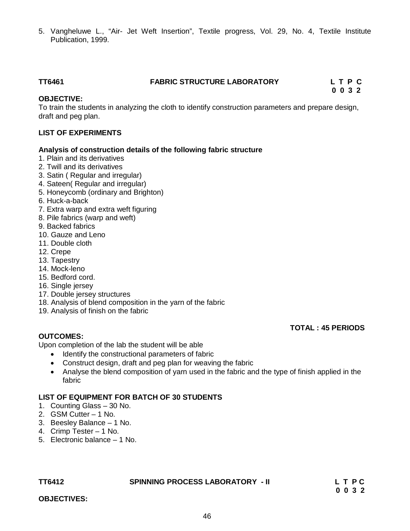5. Vangheluwe L., "Air- Jet Weft Insertion", Textile progress, Vol. 29, No. 4, Textile Institute Publication, 1999.

# **TT6461 FABRIC STRUCTURE LABORATORY L T P C**

 **0 0 3 2**

# **OBJECTIVE:**

To train the students in analyzing the cloth to identify construction parameters and prepare design, draft and peg plan.

# **LIST OF EXPERIMENTS**

#### **Analysis of construction details of the following fabric structure**

- 1. Plain and its derivatives
- 2. Twill and its derivatives
- 3. Satin ( Regular and irregular)
- 4. Sateen( Regular and irregular)
- 5. Honeycomb (ordinary and Brighton)
- 6. Huck-a-back
- 7. Extra warp and extra weft figuring
- 8. Pile fabrics (warp and weft)
- 9. Backed fabrics
- 10. Gauze and Leno
- 11. Double cloth
- 12. Crepe
- 13. Tapestry
- 14. Mock-leno
- 15. Bedford cord.
- 16. Single jersey
- 17. Double jersey structures
- 18. Analysis of blend composition in the yarn of the fabric
- 19. Analysis of finish on the fabric

### **TOTAL : 45 PERIODS**

### **OUTCOMES:**

Upon completion of the lab the student will be able

- Identify the constructional parameters of fabric
- Construct design, draft and peg plan for weaving the fabric
- Analyse the blend composition of yarn used in the fabric and the type of finish applied in the fabric

### **LIST OF EQUIPMENT FOR BATCH OF 30 STUDENTS**

- 1. Counting Glass 30 No.
- 2. GSM Cutter 1 No.
- 3. Beesley Balance 1 No.
- 4. Crimp Tester 1 No.
- 5. Electronic balance 1 No.

#### **TT6412 SPINNING PROCESS LABORATORY - II L T P C**

 **0 0 3 2**

**OBJECTIVES:**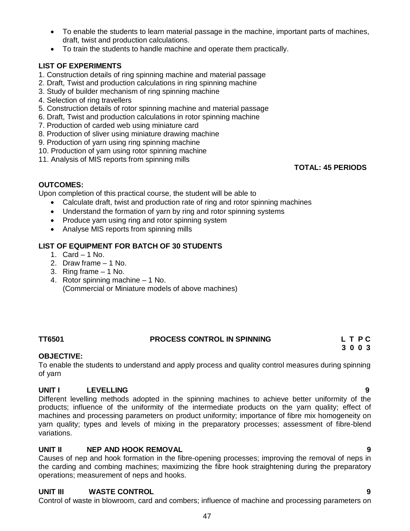- To enable the students to learn material passage in the machine, important parts of machines, draft, twist and production calculations.
- To train the students to handle machine and operate them practically.

# **LIST OF EXPERIMENTS**

- 1. Construction details of ring spinning machine and material passage
- 2. Draft, Twist and production calculations in ring spinning machine
- 3. Study of builder mechanism of ring spinning machine
- 4. Selection of ring travellers
- 5. Construction details of rotor spinning machine and material passage
- 6. Draft, Twist and production calculations in rotor spinning machine
- 7. Production of carded web using miniature card
- 8. Production of sliver using miniature drawing machine
- 9. Production of yarn using ring spinning machine
- 10. Production of yarn using rotor spinning machine
- 11. Analysis of MIS reports from spinning mills

 **TOTAL: 45 PERIODS**

# **OUTCOMES:**

Upon completion of this practical course, the student will be able to

- Calculate draft, twist and production rate of ring and rotor spinning machines
- Understand the formation of yarn by ring and rotor spinning systems
- Produce yarn using ring and rotor spinning system
- Analyse MIS reports from spinning mills

# **LIST OF EQUIPMENT FOR BATCH OF 30 STUDENTS**

- 1. Card 1 No.
- 2. Draw frame 1 No.
- 3. Ring frame 1 No.
- 4. Rotor spinning machine 1 No. (Commercial or Miniature models of above machines)

# **TT6501 PROCESS CONTROL IN SPINNING L T P C**

# **OBJECTIVE:**

To enable the students to understand and apply process and quality control measures during spinning of yarn

 **3 0 0 3**

# **UNIT I LEVELLING 9**

Different levelling methods adopted in the spinning machines to achieve better uniformity of the products; influence of the uniformity of the intermediate products on the yarn quality; effect of machines and processing parameters on product uniformity; importance of fibre mix homogeneity on yarn quality; types and levels of mixing in the preparatory processes; assessment of fibre-blend variations.

# **UNIT II NEP AND HOOK REMOVAL 9**

Causes of nep and hook formation in the fibre-opening processes; improving the removal of neps in the carding and combing machines; maximizing the fibre hook straightening during the preparatory operations; measurement of neps and hooks.

Control of waste in blowroom, card and combers; influence of machine and processing parameters on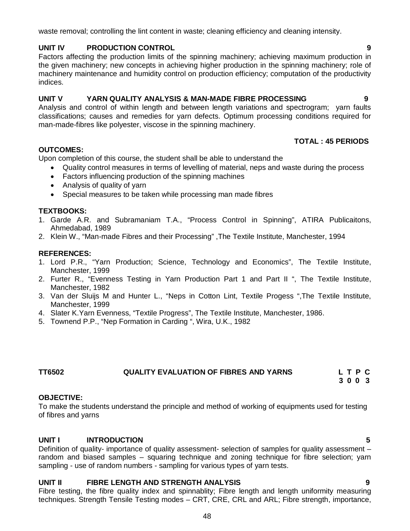waste removal; controlling the lint content in waste; cleaning efficiency and cleaning intensity.

#### **UNIT IV PRODUCTION CONTROL 9**

Factors affecting the production limits of the spinning machinery; achieving maximum production in the given machinery; new concepts in achieving higher production in the spinning machinery; role of machinery maintenance and humidity control on production efficiency; computation of the productivity indices.

#### **UNIT V YARN QUALITY ANALYSIS & MAN-MADE FIBRE PROCESSING 9**

Analysis and control of within length and between length variations and spectrogram; yarn faults classifications; causes and remedies for yarn defects. Optimum processing conditions required for man-made-fibres like polyester, viscose in the spinning machinery.

#### **TOTAL : 45 PERIODS**

Upon completion of this course, the student shall be able to understand the

- Quality control measures in terms of levelling of material, neps and waste during the process
- Factors influencing production of the spinning machines
- Analysis of quality of yarn
- Special measures to be taken while processing man made fibres

#### **TEXTBOOKS:**

**OUTCOMES:**

- 1. Garde A.R. and Subramaniam T.A., "Process Control in Spinning", ATIRA Publicaitons, Ahmedabad, 1989
- 2. Klein W., "Man-made Fibres and their Processing" ,The Textile Institute, Manchester, 1994

#### **REFERENCES:**

- 1. Lord P.R., "Yarn Production; Science, Technology and Economics", The Textile Institute, Manchester, 1999
- 2. Furter R., "Evenness Testing in Yarn Production Part 1 and Part II ", The Textile Institute, Manchester, 1982
- 3. Van der Sluijs M and Hunter L., "Neps in Cotton Lint, Textile Progess ",The Textile Institute, Manchester, 1999
- 4. Slater K.Yarn Evenness, "Textile Progress", The Textile Institute, Manchester, 1986.
- 5. Townend P.P., "Nep Formation in Carding ", Wira, U.K., 1982

# **TT6502 QUALITY EVALUATION OF FIBRES AND YARNS L T P C**

 **3 0 0 3**

### **OBJECTIVE:**

To make the students understand the principle and method of working of equipments used for testing of fibres and yarns

#### **UNIT I INTRODUCTION 5**

Definition of quality- importance of quality assessment- selection of samples for quality assessment – random and biased samples – squaring technique and zoning technique for fibre selection; yarn sampling - use of random numbers - sampling for various types of yarn tests.

#### **UNIT II FIBRE LENGTH AND STRENGTH ANALYSIS 9**

Fibre testing, the fibre quality index and spinnablity; Fibre length and length uniformity measuring techniques. Strength Tensile Testing modes – CRT, CRE, CRL and ARL; Fibre strength, importance,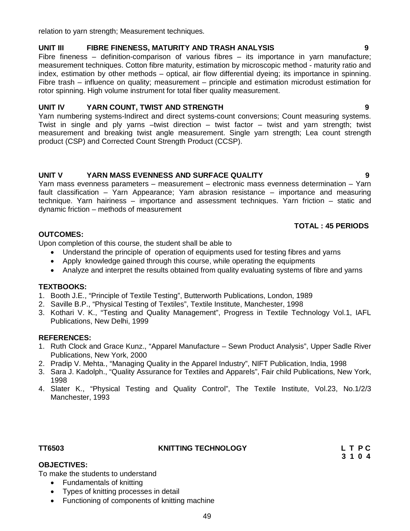relation to yarn strength; Measurement techniques.

#### **UNIT III FIBRE FINENESS, MATURITY AND TRASH ANALYSIS 9**

Fibre fineness – definition-comparison of various fibres – its importance in yarn manufacture; measurement techniques. Cotton fibre maturity, estimation by microscopic method - maturity ratio and index, estimation by other methods – optical, air flow differential dyeing; its importance in spinning. Fibre trash – influence on quality; measurement – principle and estimation microdust estimation for rotor spinning. High volume instrument for total fiber quality measurement.

#### **UNIT IV YARN COUNT, TWIST AND STRENGTH 9**

Yarn numbering systems-Indirect and direct systems-count conversions; Count measuring systems. Twist in single and ply yarns –twist direction – twist factor – twist and yarn strength; twist measurement and breaking twist angle measurement. Single yarn strength; Lea count strength product (CSP) and Corrected Count Strength Product (CCSP).

#### **UNIT V YARN MASS EVENNESS AND SURFACE QUALITY 9**

Yarn mass evenness parameters – measurement – electronic mass evenness determination – Yarn fault classification – Yarn Appearance; Yarn abrasion resistance – importance and measuring technique. Yarn hairiness – importance and assessment techniques. Yarn friction – static and dynamic friction – methods of measurement

### **TOTAL : 45 PERIODS**

#### **OUTCOMES:**

Upon completion of this course, the student shall be able to

- Understand the principle of operation of equipments used for testing fibres and yarns
- Apply knowledge gained through this course, while operating the equipments
- Analyze and interpret the results obtained from quality evaluating systems of fibre and yarns

### **TEXTBOOKS:**

- 1. Booth J.E., "Principle of Textile Testing", Butterworth Publications, London, 1989
- 2. Saville B.P., "Physical Testing of Textiles", Textile Institute, Manchester, 1998
- 3. Kothari V. K., "Testing and Quality Management", Progress in Textile Technology Vol.1, IAFL Publications, New Delhi, 1999

#### **REFERENCES:**

- 1. Ruth Clock and Grace Kunz., "Apparel Manufacture Sewn Product Analysis", Upper Sadle River Publications, New York, 2000
- 2. Pradip V. Mehta., "Managing Quality in the Apparel Industry", NIFT Publication, India, 1998
- 3. Sara J. Kadolph., "Quality Assurance for Textiles and Apparels", Fair child Publications, New York, 1998
- 4. Slater K., "Physical Testing and Quality Control", The Textile Institute, Vol.23, No.1/2/3 Manchester, 1993

# **TT6503 KNITTING TECHNOLOGY L T P C**

#### **OBJECTIVES:**

To make the students to understand

- Fundamentals of knitting
- Types of knitting processes in detail
- Functioning of components of knitting machine

 **3 1 0 4**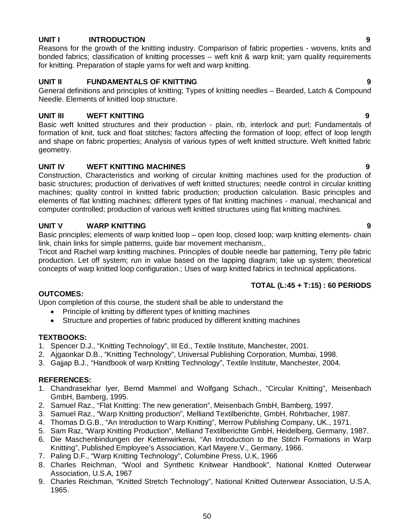## **UNIT I INTRODUCTION 9**

Reasons for the growth of the knitting industry. Comparison of fabric properties - wovens, knits and bonded fabrics; classification of knitting processes – weft knit & warp knit; yarn quality requirements for knitting. Preparation of staple yarns for weft and warp knitting.

# **UNIT II FUNDAMENTALS OF KNITTING 9**

General definitions and principles of knitting; Types of knitting needles – Bearded, Latch & Compound Needle. Elements of knitted loop structure.

# **UNIT III WEFT KNITTING 9**

Basic weft knitted structures and their production - plain, rib, interlock and purl; Fundamentals of formation of knit, tuck and float stitches; factors affecting the formation of loop; effect of loop length and shape on fabric properties; Analysis of various types of weft knitted structure. Weft knitted fabric geometry.

# **UNIT IV WEFT KNITTING MACHINES 9**

Construction, Characteristics and working of circular knitting machines used for the production of basic structures; production of derivatives of weft knitted structures; needle control in circular knitting machines; quality control in knitted fabric production; production calculation. Basic principles and elements of flat knitting machines; different types of flat knitting machines - manual, mechanical and computer controlled; production of various weft knitted structures using flat knitting machines.

# **UNIT V WARP KNITTING 9**

Basic principles; elements of warp knitted loop – open loop, closed loop; warp knitting elements- chain link, chain links for simple patterns, guide bar movement mechanism,.

Tricot and Rachel warp knitting machines. Principles of double needle bar patterning, Terry pile fabric production. Let off system; run in value based on the lapping diagram; take up system; theoretical concepts of warp knitted loop configuration.; Uses of warp knitted fabrics in technical applications.

# **TOTAL (L:45 + T:15) : 60 PERIODS**

# **OUTCOMES:**

Upon completion of this course, the student shall be able to understand the

- Principle of knitting by different types of knitting machines
- Structure and properties of fabric produced by different knitting machines

# **TEXTBOOKS:**

- 1. Spencer D.J., "Knitting Technology", III Ed., Textile Institute, Manchester, 2001.
- 2. Ajgaonkar D.B., "Knitting Technology", Universal Publishing Corporation, Mumbai, 1998.
- 3. Gajjap B.J., "Handbook of warp Knitting Technology", Textile Institute, Manchester, 2004.

### **REFERENCES:**

- 1. Chandrasekhar Iyer, Bernd Mammel and Wolfgang Schach., "Circular Knitting", Meisenbach GmbH, Bamberg, 1995.
- 2. Samuel Raz., "Flat Knitting: The new generation", Meisenbach GmbH, Bamberg, 1997.
- 3. Samuel Raz., "Warp Knitting production", Melliand Textilberichte, GmbH, Rohrbacher, 1987.
- 4. Thomas D.G.B., "An Introduction to Warp Knitting", Merrow Publishing Company, UK., 1971.
- 5. Sam Raz, "Warp Knitting Production", Melliand Textilberichte GmbH, Heidelberg, Germany, 1987.
- 6. Die Maschenbindungen der Kettenwirkerai, "An Introduction to the Stitch Formations in Warp Knitting", Published Employee's Association, Karl Mayere.V., Germany, 1966.
- 7. Paling D.F., "Warp Knitting Technology", Columbine Press, U.K, 1966
- 8. Charles Reichman, "Wool and Synthetic Knitwear Handbook", National Knitted Outerwear Association, U.S.A, 1967
- 9. Charles Reichman, "Knitted Stretch Technology", National Knitted Outerwear Association, U.S.A, 1965.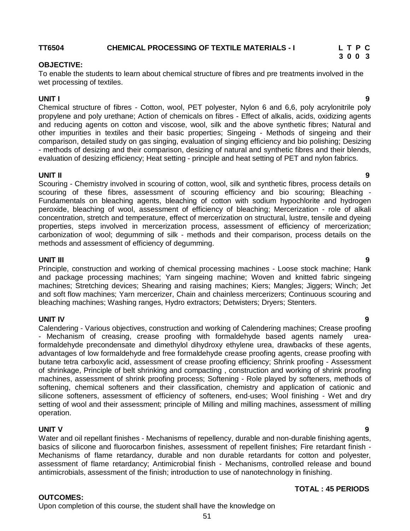# **TT6504 CHEMICAL PROCESSING OF TEXTILE MATERIALS - I L T P C**

#### **OBJECTIVE:**

To enable the students to learn about chemical structure of fibres and pre treatments involved in the wet processing of textiles.

 **3 0 0 3**

#### **UNIT I 9**

Chemical structure of fibres - Cotton, wool, PET polyester, Nylon 6 and 6,6, poly acrylonitrile poly propylene and poly urethane; Action of chemicals on fibres - Effect of alkalis, acids, oxidizing agents and reducing agents on cotton and viscose, wool, silk and the above synthetic fibres; Natural and other impurities in textiles and their basic properties; Singeing - Methods of singeing and their comparison, detailed study on gas singing, evaluation of singing efficiency and bio polishing; Desizing - methods of desizing and their comparison, desizing of natural and synthetic fibres and their blends, evaluation of desizing efficiency; Heat setting - principle and heat setting of PET and nylon fabrics.

#### **UNIT II 9**

Scouring - Chemistry involved in scouring of cotton, wool, silk and synthetic fibres, process details on scouring of these fibres, assessment of scouring efficiency and bio scouring; Bleaching - Fundamentals on bleaching agents, bleaching of cotton with sodium hypochlorite and hydrogen peroxide, bleaching of wool, assessment of efficiency of bleaching; Mercerization - role of alkali concentration, stretch and temperature, effect of mercerization on structural, lustre, tensile and dyeing properties, steps involved in mercerization process, assessment of efficiency of mercerization; carbonization of wool; degumming of silk - methods and their comparison, process details on the methods and assessment of efficiency of degumming.

#### **UNIT III 9**

Principle, construction and working of chemical processing machines - Loose stock machine; Hank and package processing machines; Yarn singeing machine; Woven and knitted fabric singeing machines; Stretching devices; Shearing and raising machines; Kiers; Mangles; Jiggers; Winch; Jet and soft flow machines; Yarn mercerizer, Chain and chainless mercerizers; Continuous scouring and bleaching machines; Washing ranges, Hydro extractors; Detwisters; Dryers; Stenters.

#### **UNIT IV 9**

Calendering - Various objectives, construction and working of Calendering machines; Crease proofing - Mechanism of creasing, crease proofing with formaldehyde based agents namely ureaformaldehyde precondensate and dimethylol dihydroxy ethylene urea, drawbacks of these agents, advantages of low formaldehyde and free formaldehyde crease proofing agents, crease proofing with butane tetra carboxylic acid, assessment of crease proofing efficiency; Shrink proofing - Assessment of shrinkage, Principle of belt shrinking and compacting , construction and working of shrink proofing machines, assessment of shrink proofing process; Softening - Role played by softeners, methods of softening, chemical softeners and their classification, chemistry and application of cationic and silicone softeners, assessment of efficiency of softeners, end-uses; Wool finishing - Wet and dry setting of wool and their assessment; principle of Milling and milling machines, assessment of milling operation.

#### **UNIT V 9**

Water and oil repellant finishes - Mechanisms of repellency, durable and non-durable finishing agents, basics of silicone and fluorocarbon finishes, assessment of repellent finishes; Fire retardant finish - Mechanisms of flame retardancy, durable and non durable retardants for cotton and polyester, assessment of flame retardancy; Antimicrobial finish - Mechanisms, controlled release and bound antimicrobials, assessment of the finish; introduction to use of nanotechnology in finishing.

#### **OUTCOMES:**

Upon completion of this course, the student shall have the knowledge on

# **TOTAL : 45 PERIODS**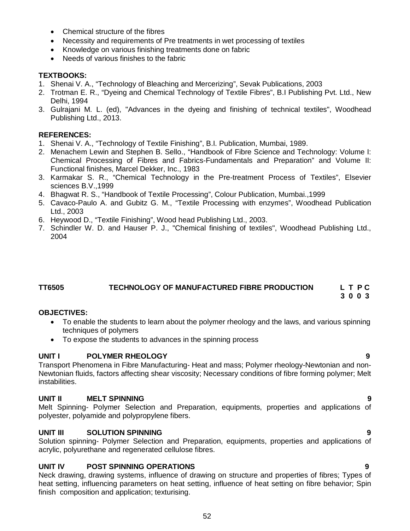- Chemical structure of the fibres
- Necessity and requirements of Pre treatments in wet processing of textiles
- Knowledge on various finishing treatments done on fabric
- Needs of various finishes to the fabric

# **TEXTBOOKS:**

- 1. Shenai V. A., "Technology of Bleaching and Mercerizing", Sevak Publications, 2003
- 2. Trotman E. R., "Dyeing and Chemical Technology of Textile Fibres", B.I Publishing Pvt. Ltd., New Delhi, 1994
- 3. Gulrajani M. L. (ed), "Advances in the dyeing and finishing of technical textiles", Woodhead Publishing Ltd., 2013.

# **REFERENCES:**

- 1. Shenai V. A., "Technology of Textile Finishing", B.I. Publication, Mumbai, 1989.
- 2. Menachem Lewin and Stephen B. Sello., "Handbook of Fibre Science and Technology: Volume I: Chemical Processing of Fibres and Fabrics-Fundamentals and Preparation" and Volume II: Functional finishes, Marcel Dekker, Inc., 1983
- 3. Karmakar S. R., "Chemical Technology in the Pre-treatment Process of Textiles", Elsevier sciences B.V.,1999
- 4. Bhagwat R. S., "Handbook of Textile Processing", Colour Publication, Mumbai.,1999
- 5. Cavaco-Paulo A. and Gubitz G. M., "Textile Processing with enzymes", Woodhead Publication Ltd., 2003
- 6. Heywood D., "Textile Finishing", Wood head Publishing Ltd., 2003.
- 7. Schindler W. D. and Hauser P. J., "Chemical finishing of textiles", Woodhead Publishing Ltd., 2004

# **TT6505 TECHNOLOGY OF MANUFACTURED FIBRE PRODUCTION L T P C**

 **3 0 0 3**

### **OBJECTIVES:**

- To enable the students to learn about the polymer rheology and the laws, and various spinning techniques of polymers
- To expose the students to advances in the spinning process

# **UNIT I POLYMER RHEOLOGY 9**

Transport Phenomena in Fibre Manufacturing- Heat and mass; Polymer rheology-Newtonian and non-Newtonian fluids, factors affecting shear viscosity; Necessary conditions of fibre forming polymer; Melt instabilities.

### **UNIT II MELT SPINNING 9**

Melt Spinning- Polymer Selection and Preparation, equipments, properties and applications of polyester, polyamide and polypropylene fibers.

# **UNIT III SOLUTION SPINNING 9**

Solution spinning- Polymer Selection and Preparation, equipments, properties and applications of acrylic, polyurethane and regenerated cellulose fibres.

# **UNIT IV POST SPINNING OPERATIONS 9**

Neck drawing, drawing systems, influence of drawing on structure and properties of fibres; Types of heat setting, influencing parameters on heat setting, influence of heat setting on fibre behavior; Spin finish composition and application; texturising.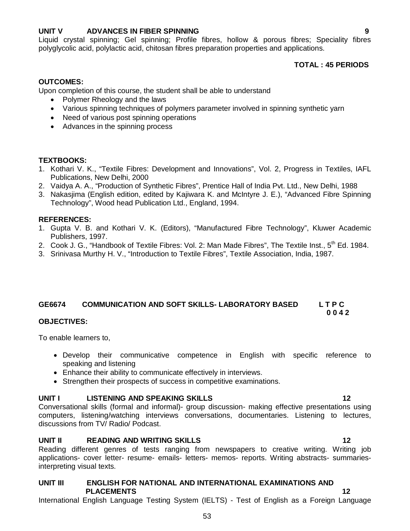# **UNIT V ADVANCES IN FIBER SPINNING 9**

Liquid crystal spinning; Gel spinning; Profile fibres, hollow & porous fibres; Speciality fibres polyglycolic acid, polylactic acid, chitosan fibres preparation properties and applications.

# **TOTAL : 45 PERIODS**

### **OUTCOMES:**

Upon completion of this course, the student shall be able to understand

- Polymer Rheology and the laws
- Various spinning techniques of polymers parameter involved in spinning synthetic yarn
- Need of various post spinning operations
- Advances in the spinning process

#### **TEXTBOOKS:**

- 1. Kothari V. K., "Textile Fibres: Development and Innovations", Vol. 2, Progress in Textiles, IAFL Publications, New Delhi, 2000
- 2. Vaidya A. A., "Production of Synthetic Fibres", Prentice Hall of India Pvt. Ltd., New Delhi, 1988
- 3. Nakasjima (English edition, edited by Kajiwara K. and McIntyre J. E.), "Advanced Fibre Spinning Technology", Wood head Publication Ltd., England, 1994.

#### **REFERENCES:**

- 1. Gupta V. B. and Kothari V. K. (Editors), "Manufactured Fibre Technology", Kluwer Academic Publishers, 1997.
- 2. Cook J. G., "Handbook of Textile Fibres: Vol. 2: Man Made Fibres", The Textile Inst., 5<sup>th</sup> Ed. 1984.
- 3. Srinivasa Murthy H. V., "Introduction to Textile Fibres", Textile Association, India, 1987.

### **GE6674 COMMUNICATION AND SOFT SKILLS- LABORATORY BASED L T P C**

 **0 0 4 2**

#### **OBJECTIVES:**

To enable learners to,

- Develop their communicative competence in English with specific reference to speaking and listening
- Enhance their ability to communicate effectively in interviews.
- Strengthen their prospects of success in competitive examinations.

#### **UNIT I LISTENING AND SPEAKING SKILLS 12**

Conversational skills (formal and informal)- group discussion- making effective presentations using computers, listening/watching interviews conversations, documentaries. Listening to lectures, discussions from TV/ Radio/ Podcast.

#### **UNIT II READING AND WRITING SKILLS 12**

Reading different genres of tests ranging from newspapers to creative writing. Writing job applications- cover letter- resume- emails- letters- memos- reports. Writing abstracts- summariesinterpreting visual texts.

## **UNIT III ENGLISH FOR NATIONAL AND INTERNATIONAL EXAMINATIONS AND PLACEMENTS 12**

International English Language Testing System (IELTS) - Test of English as a Foreign Language

53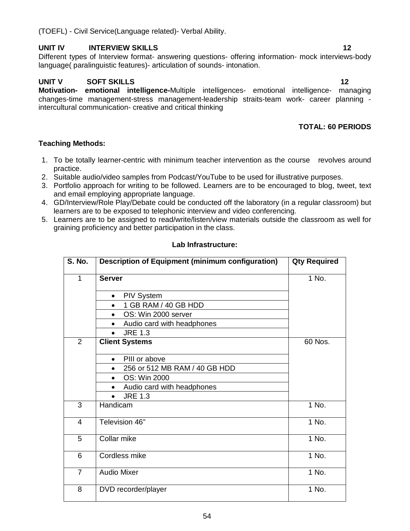# **UNIT IV INTERVIEW SKILLS 12**

Different types of Interview format- answering questions- offering information- mock interviews-body language( paralinguistic features)- articulation of sounds- intonation.

# **UNIT V SOFT SKILLS 12**

**Motivation- emotional intelligence-**Multiple intelligences- emotional intelligence- managing changes-time management-stress management-leadership straits-team work- career planning intercultural communication- creative and critical thinking

# **TOTAL: 60 PERIODS**

# **Teaching Methods:**

- 1. To be totally learner-centric with minimum teacher intervention as the course revolves around practice.
- 2. Suitable audio/video samples from Podcast/YouTube to be used for illustrative purposes.
- 3. Portfolio approach for writing to be followed. Learners are to be encouraged to blog, tweet, text and email employing appropriate language.
- 4. GD/Interview/Role Play/Debate could be conducted off the laboratory (in a regular classroom) but learners are to be exposed to telephonic interview and video conferencing.
- 5. Learners are to be assigned to read/write/listen/view materials outside the classroom as well for graining proficiency and better participation in the class.

| Lab Infrastructure: |  |
|---------------------|--|
|                     |  |

| S. No.         | <b>Description of Equipment (minimum configuration)</b> | <b>Qty Required</b> |
|----------------|---------------------------------------------------------|---------------------|
| 1              | <b>Server</b>                                           | 1 No.               |
|                | <b>PIV System</b><br>$\bullet$                          |                     |
|                | 1 GB RAM / 40 GB HDD                                    |                     |
|                | OS: Win 2000 server<br>$\bullet$                        |                     |
|                | Audio card with headphones<br>$\bullet$                 |                     |
|                | <b>JRE 1.3</b><br>$\bullet$                             |                     |
| $\overline{2}$ | <b>Client Systems</b>                                   | 60 Nos.             |
|                | PIII or above<br>$\bullet$                              |                     |
|                | 256 or 512 MB RAM / 40 GB HDD<br>$\bullet$              |                     |
|                | OS: Win 2000                                            |                     |
|                | Audio card with headphones                              |                     |
|                | <b>JRE 1.3</b>                                          |                     |
| 3              | Handicam                                                | 1 No.               |
| 4              | Television 46"                                          | 1 No.               |
| 5              | Collar mike                                             | 1 No.               |
| 6              | Cordless mike                                           | 1 No.               |
| $\overline{7}$ | <b>Audio Mixer</b>                                      | 1 No.               |
| 8              | DVD recorder/player                                     | 1 No.               |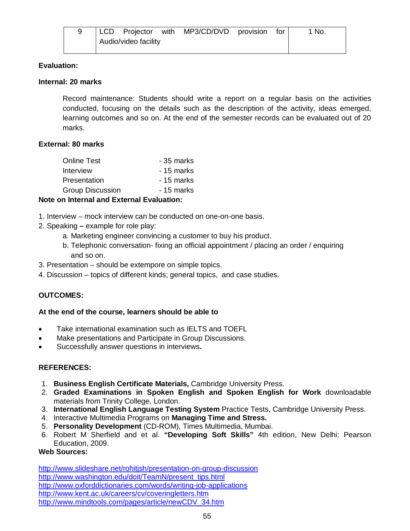|  |                      | LCD Projector with MP3/CD/DVD provision for |  | `No. |
|--|----------------------|---------------------------------------------|--|------|
|  | Audio/video facility |                                             |  |      |

## **Evaluation:**

# **Internal: 20 marks**

Record maintenance: Students should write a report on a regular basis on the activities conducted, focusing on the details such as the description of the activity, ideas emerged, learning outcomes and so on. At the end of the semester records can be evaluated out of 20 marks.

# **External: 80 marks**

| <b>Online Test</b>      | - 35 marks |
|-------------------------|------------|
| Interview               | - 15 marks |
| Presentation            | - 15 marks |
| <b>Group Discussion</b> | - 15 marks |
|                         |            |

# **Note on Internal and External Evaluation:**

- 1. Interview mock interview can be conducted on one-on-one basis.
- 2. Speaking **–** example for role play:
	- a. Marketing engineer convincing a customer to buy his product.
	- b. Telephonic conversation- fixing an official appointment / placing an order / enquiring and so on.
- 3. Presentation should be extempore on simple topics.
- 4. Discussion topics of different kinds; general topics, and case studies.

# **OUTCOMES:**

### **At the end of the course, learners should be able to**

- Take international examination such as IELTS and TOEFL
- Make presentations and Participate in Group Discussions.
- Successfully answer questions in interviews**.**

# **REFERENCES:**

- 1. **Business English Certificate Materials,** Cambridge University Press.
- 2. **Graded Examinations in Spoken English and Spoken English for Work** downloadable materials from Trinity College, London.
- 3. **International English Language Testing System** Practice Tests, Cambridge University Press.
- 4. Interactive Multimedia Programs on **Managing Time and Stress.**
- 5. **Personality Development** (CD-ROM), Times Multimedia, Mumbai.
- 6. Robert M Sherfield and et al. **"Developing Soft Skills"** 4th edition, New Delhi: Pearson Education, 2009.

### **Web Sources:**

http://www.slideshare.net/rohitjsh/presentation-on-group-discussion http://www.washington.edu/doit/TeamN/present\_tips.html http://www.oxforddictionaries.com/words/writing-job-applications http://www.kent.ac.uk/careers/cv/coveringletters.htm http://www.mindtools.com/pages/article/newCDV\_34.htm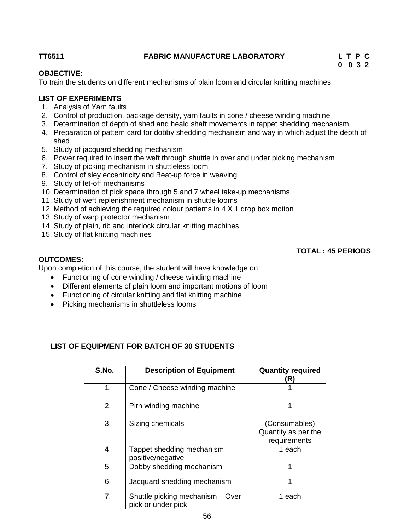# **TT6511 FABRIC MANUFACTURE LABORATORY L T P C**

# **0 0 3 2**

# **OBJECTIVE:**

To train the students on different mechanisms of plain loom and circular knitting machines

# **LIST OF EXPERIMENTS**

- 1. Analysis of Yarn faults
- 2. Control of production, package density, yarn faults in cone / cheese winding machine
- 3. Determination of depth of shed and heald shaft movements in tappet shedding mechanism
- 4. Preparation of pattern card for dobby shedding mechanism and way in which adjust the depth of shed
- 5. Study of jacquard shedding mechanism
- 6. Power required to insert the weft through shuttle in over and under picking mechanism
- 7. Study of picking mechanism in shuttleless loom
- 8. Control of sley eccentricity and Beat-up force in weaving
- 9. Study of let-off mechanisms
- 10. Determination of pick space through 5 and 7 wheel take-up mechanisms
- 11. Study of weft replenishment mechanism in shuttle looms
- 12. Method of achieving the required colour patterns in 4 X 1 drop box motion
- 13. Study of warp protector mechanism
- 14. Study of plain, rib and interlock circular knitting machines
- 15. Study of flat knitting machines

# **TOTAL : 45 PERIODS**

# **OUTCOMES:**

Upon completion of this course, the student will have knowledge on

- Functioning of cone winding / cheese winding machine
- Different elements of plain loom and important motions of loom
- Functioning of circular knitting and flat knitting machine
- Picking mechanisms in shuttleless looms

# **LIST OF EQUIPMENT FOR BATCH OF 30 STUDENTS**

| S.No. | <b>Description of Equipment</b>                        | <b>Quantity required</b><br>(R)                      |
|-------|--------------------------------------------------------|------------------------------------------------------|
| 1.    | Cone / Cheese winding machine                          |                                                      |
| 2.    | Pirn winding machine                                   | 1                                                    |
| 3.    | Sizing chemicals                                       | (Consumables)<br>Quantity as per the<br>requirements |
| 4.    | Tappet shedding mechanism -<br>positive/negative       | 1 each                                               |
| 5.    | Dobby shedding mechanism                               | 1                                                    |
| 6.    | Jacquard shedding mechanism                            | 1                                                    |
| 7.    | Shuttle picking mechanism - Over<br>pick or under pick | 1 each                                               |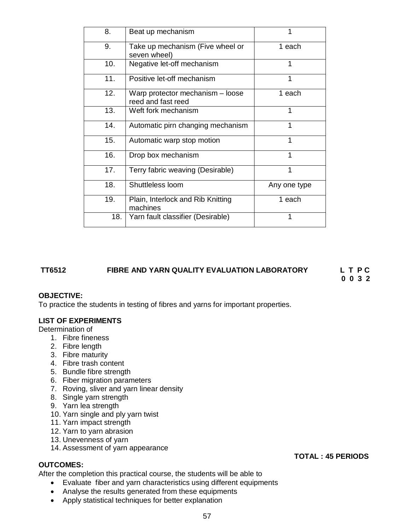| 8.  | Beat up mechanism                                      | 1            |
|-----|--------------------------------------------------------|--------------|
| 9.  | Take up mechanism (Five wheel or<br>seven wheel)       | 1 each       |
| 10. | Negative let-off mechanism                             | 1            |
| 11. | Positive let-off mechanism                             | 1            |
| 12. | Warp protector mechanism – loose<br>reed and fast reed | 1 each       |
| 13. | Weft fork mechanism                                    | 1            |
| 14. | Automatic pirn changing mechanism                      | 1            |
| 15. | Automatic warp stop motion                             | 1            |
| 16. | Drop box mechanism                                     | 1            |
| 17. | Terry fabric weaving (Desirable)                       | 1            |
| 18. | Shuttleless loom                                       | Any one type |
| 19. | Plain, Interlock and Rib Knitting<br>machines          | 1 each       |
| 18. | Yarn fault classifier (Desirable)                      | 1            |

# **TT6512 FIBRE AND YARN QUALITY EVALUATION LABORATORY L T P C**

 **0 0 3 2**

### **OBJECTIVE:**

To practice the students in testing of fibres and yarns for important properties.

### **LIST OF EXPERIMENTS**

Determination of

- 1. Fibre fineness
- 2. Fibre length
- 3. Fibre maturity
- 4. Fibre trash content
- 5. Bundle fibre strength
- 6. Fiber migration parameters
- 7. Roving, sliver and yarn linear density
- 8. Single yarn strength
- 9. Yarn lea strength
- 10. Yarn single and ply yarn twist
- 11. Yarn impact strength
- 12. Yarn to yarn abrasion
- 13. Unevenness of yarn
- 14. Assessment of yarn appearance

#### **OUTCOMES:**

After the completion this practical course, the students will be able to

- Evaluate fiber and yarn characteristics using different equipments
- Analyse the results generated from these equipments
- Apply statistical techniques for better explanation

#### 57

 **TOTAL : 45 PERIODS**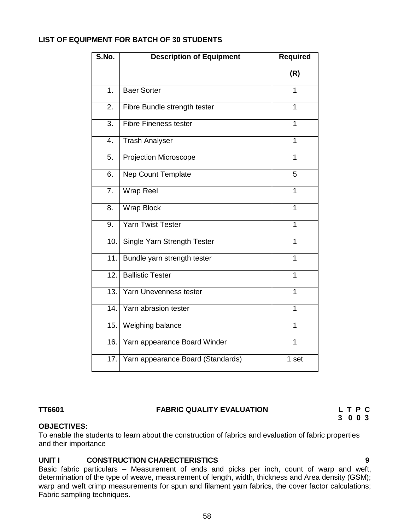# **LIST OF EQUIPMENT FOR BATCH OF 30 STUDENTS**

| S.No.            | <b>Description of Equipment</b>   | <b>Required</b> |
|------------------|-----------------------------------|-----------------|
|                  |                                   | (R)             |
| $\overline{1}$ . | <b>Baer Sorter</b>                | 1               |
| 2.               | Fibre Bundle strength tester      | 1               |
| $\overline{3}$ . | <b>Fibre Fineness tester</b>      | 1               |
| $\overline{4}$ . | <b>Trash Analyser</b>             | 1               |
| $\overline{5}$ . | <b>Projection Microscope</b>      | 1               |
| 6.               | <b>Nep Count Template</b>         | 5               |
| 7.               | Wrap Reel                         | $\overline{1}$  |
| 8.               | <b>Wrap Block</b>                 | 1               |
| 9.               | Yarn Twist Tester                 | $\overline{1}$  |
| 10.1             | Single Yarn Strength Tester       | 1               |
| 11.              | Bundle yarn strength tester       | $\mathbf{1}$    |
| 12.              | <b>Ballistic Tester</b>           | 1               |
| 13.              | Yarn Unevenness tester            | $\overline{1}$  |
| 14.              | Yarn abrasion tester              | $\overline{1}$  |
| 15.              | Weighing balance                  | 1               |
| 16.              | Yarn appearance Board Winder      | $\overline{1}$  |
| 17.              | Yarn appearance Board (Standards) | 1 set           |

# **TT6601 FABRIC QUALITY EVALUATION L T P C**

# **3 0 0 3**

### **OBJECTIVES:**

To enable the students to learn about the construction of fabrics and evaluation of fabric properties and their importance

# **UNIT I CONSTRUCTION CHARECTERISTICS 9**

Basic fabric particulars – Measurement of ends and picks per inch, count of warp and weft, determination of the type of weave, measurement of length, width, thickness and Area density (GSM); warp and weft crimp measurements for spun and filament yarn fabrics, the cover factor calculations; Fabric sampling techniques.

58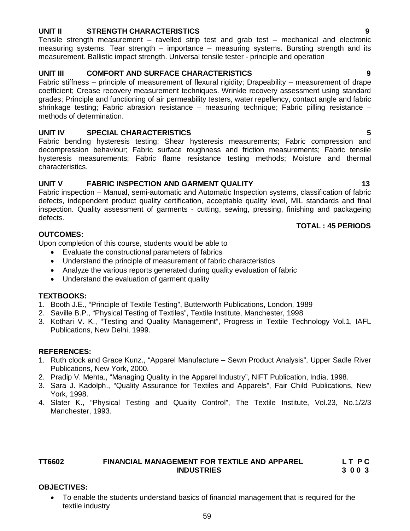# **UNIT II STRENGTH CHARACTERISTICS 9**

Tensile strength measurement – ravelled strip test and grab test – mechanical and electronic measuring systems. Tear strength – importance – measuring systems. Bursting strength and its measurement. Ballistic impact strength. Universal tensile tester - principle and operation

# **UNIT III COMFORT AND SURFACE CHARACTERISTICS 9**

Fabric stiffness – principle of measurement of flexural rigidity; Drapeability – measurement of drape coefficient; Crease recovery measurement techniques. Wrinkle recovery assessment using standard grades; Principle and functioning of air permeability testers, water repellency, contact angle and fabric shrinkage testing; Fabric abrasion resistance – measuring technique; Fabric pilling resistance – methods of determination.

## **UNIT IV SPECIAL CHARACTERISTICS 5**

Fabric bending hysteresis testing; Shear hysteresis measurements; Fabric compression and decompression behaviour; Fabric surface roughness and friction measurements; Fabric tensile hysteresis measurements; Fabric flame resistance testing methods; Moisture and thermal characteristics.

# UNIT V FABRIC INSPECTION AND GARMENT QUALITY **13**

Fabric inspection – Manual, semi-automatic and Automatic Inspection systems, classification of fabric defects, independent product quality certification, acceptable quality level, MIL standards and final inspection. Quality assessment of garments - cutting, sewing, pressing, finishing and packageing defects.

# **TOTAL : 45 PERIODS**

### **OUTCOMES:**

Upon completion of this course, students would be able to

- Evaluate the constructional parameters of fabrics
- Understand the principle of measurement of fabric characteristics
- Analyze the various reports generated during quality evaluation of fabric
- Understand the evaluation of garment quality

# **TEXTBOOKS:**

- 1. Booth J.E., "Principle of Textile Testing", Butterworth Publications, London, 1989
- 2. Saville B.P., "Physical Testing of Textiles", Textile Institute, Manchester, 1998
- 3. Kothari V. K., "Testing and Quality Management", Progress in Textile Technology Vol.1, IAFL Publications, New Delhi, 1999.

### **REFERENCES:**

- 1. Ruth clock and Grace Kunz., "Apparel Manufacture Sewn Product Analysis", Upper Sadle River Publications, New York, 2000.
- 2. Pradip V. Mehta., "Managing Quality in the Apparel Industry", NIFT Publication, India, 1998.
- 3. Sara J. Kadolph., "Quality Assurance for Textiles and Apparels", Fair Child Publications, New York, 1998.
- 4. Slater K., "Physical Testing and Quality Control", The Textile Institute, Vol.23, No.1/2/3 Manchester, 1993.

# **TT6602 FINANCIAL MANAGEMENT FOR TEXTILE AND APPAREL L T P C INDUSTRIES 3 0 0 3**

### **OBJECTIVES:**

 To enable the students understand basics of financial management that is required for the textile industry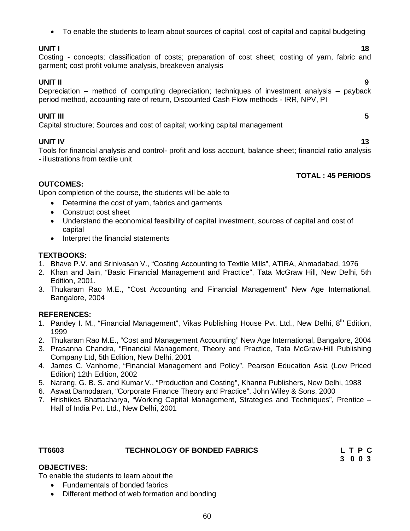To enable the students to learn about sources of capital, cost of capital and capital budgeting

# **UNIT I** 18

Costing - concepts; classification of costs; preparation of cost sheet; costing of yarn, fabric and garment; cost profit volume analysis, breakeven analysis

**UNIT II 9** Depreciation – method of computing depreciation; techniques of investment analysis – payback period method, accounting rate of return, Discounted Cash Flow methods - IRR, NPV, PI

# **UNIT III 5**

Capital structure; Sources and cost of capital; working capital management

**UNIT IV** 13 Tools for financial analysis and control- profit and loss account, balance sheet; financial ratio analysis - illustrations from textile unit

### **TOTAL : 45 PERIODS**

# **OUTCOMES:**

Upon completion of the course, the students will be able to

- Determine the cost of yarn, fabrics and garments
- Construct cost sheet
- Understand the economical feasibility of capital investment, sources of capital and cost of capital
- Interpret the financial statements

### **TEXTBOOKS:**

- 1. Bhave P.V. and Srinivasan V., "Costing Accounting to Textile Mills", ATIRA, Ahmadabad, 1976
- 2. Khan and Jain, "Basic Financial Management and Practice", Tata McGraw Hill, New Delhi, 5th Edition, 2001.
- 3. Thukaram Rao M.E., "Cost Accounting and Financial Management" New Age International, Bangalore, 2004

# **REFERENCES:**

- 1. Pandey I. M., "Financial Management", Vikas Publishing House Pvt. Ltd., New Delhi, 8<sup>th</sup> Edition, 1999
- 2. Thukaram Rao M.E., "Cost and Management Accounting" New Age International, Bangalore, 2004
- 3. Prasanna Chandra, "Financial Management, Theory and Practice, Tata McGraw-Hill Publishing Company Ltd, 5th Edition, New Delhi, 2001
- 4. James C. Vanhorne, "Financial Management and Policy", Pearson Education Asia (Low Priced Edition) 12th Edition, 2002
- 5. Narang, G. B. S. and Kumar V., "Production and Costing", Khanna Publishers, New Delhi, 1988
- 6. Aswat Damodaran, "Corporate Finance Theory and Practice", John Wiley & Sons, 2000
- 7. Hrishikes Bhattacharya, "Working Capital Management, Strategies and Techniques", Prentice Hall of India Pvt. Ltd., New Delhi, 2001

| TT6603 | <b>TECHNOLOGY OF BONDED FABRICS</b> | LTPC    |  |  |
|--------|-------------------------------------|---------|--|--|
|        |                                     | 3 0 0 3 |  |  |

# **OBJECTIVES:**

To enable the students to learn about the

- Fundamentals of bonded fabrics
- Different method of web formation and bonding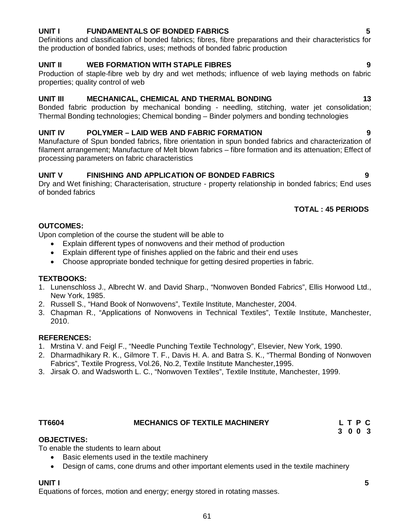# **UNIT I FUNDAMENTALS OF BONDED FABRICS 5**

Definitions and classification of bonded fabrics; fibres, fibre preparations and their characteristics for the production of bonded fabrics, uses; methods of bonded fabric production

# **UNIT II WEB FORMATION WITH STAPLE FIBRES 9**

Production of staple-fibre web by dry and wet methods; influence of web laying methods on fabric properties; quality control of web

# **UNIT III MECHANICAL, CHEMICAL AND THERMAL BONDING 13**

Bonded fabric production by mechanical bonding - needling, stitching, water jet consolidation; Thermal Bonding technologies; Chemical bonding – Binder polymers and bonding technologies

# **UNIT IV POLYMER – LAID WEB AND FABRIC FORMATION 9**

Manufacture of Spun bonded fabrics, fibre orientation in spun bonded fabrics and characterization of filament arrangement; Manufacture of Melt blown fabrics – fibre formation and its attenuation; Effect of processing parameters on fabric characteristics

# **UNIT V FINISHING AND APPLICATION OF BONDED FABRICS 9**

Dry and Wet finishing; Characterisation, structure - property relationship in bonded fabrics; End uses of bonded fabrics

# **TOTAL : 45 PERIODS**

# **OUTCOMES:**

Upon completion of the course the student will be able to

- Explain different types of nonwovens and their method of production
- Explain different type of finishes applied on the fabric and their end uses
- Choose appropriate bonded technique for getting desired properties in fabric.

### **TEXTBOOKS:**

- 1. Lunenschloss J., Albrecht W. and David Sharp., "Nonwoven Bonded Fabrics", Ellis Horwood Ltd., New York, 1985.
- 2. Russell S., "Hand Book of Nonwovens", Textile Institute, Manchester, 2004.
- 3. Chapman R., "Applications of Nonwovens in Technical Textiles", Textile Institute, Manchester, 2010.

### **REFERENCES:**

- 1. Mrstina V. and Feigl F., "Needle Punching Textile Technology", Elsevier, New York, 1990.
- 2. Dharmadhikary R. K., Gilmore T. F., Davis H. A. and Batra S. K., "Thermal Bonding of Nonwoven Fabrics", Textile Progress, Vol.26, No.2, Textile Institute Manchester,1995.
- 3. Jirsak O. and Wadsworth L. C., "Nonwoven Textiles", Textile Institute, Manchester, 1999.

# **OBJECTIVES:**

To enable the students to learn about

- Basic elements used in the textile machinery
- Design of cams, cone drums and other important elements used in the textile machinery

### **UNIT I 5**

Equations of forces, motion and energy; energy stored in rotating masses.

TT6604 MECHANICS OF TEXTILE MACHINERY L T P C<br>3 0 0 3  **3 0 0 3**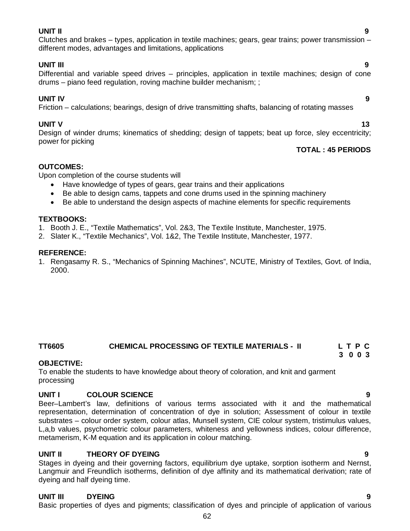**UNIT II 9** Clutches and brakes – types, application in textile machines; gears, gear trains; power transmission – different modes, advantages and limitations, applications

# **UNIT III 9**

Differential and variable speed drives – principles, application in textile machines; design of cone drums – piano feed regulation, roving machine builder mechanism; ;

# **UNIT IV 9**

Friction – calculations; bearings, design of drive transmitting shafts, balancing of rotating masses

# **UNIT V** 13

Design of winder drums; kinematics of shedding; design of tappets; beat up force, sley eccentricity; power for picking

### **TOTAL : 45 PERIODS**

### **OUTCOMES:**

Upon completion of the course students will

- Have knowledge of types of gears, gear trains and their applications
- Be able to design cams, tappets and cone drums used in the spinning machinery
- Be able to understand the design aspects of machine elements for specific requirements

### **TEXTBOOKS:**

- 1. Booth J. E., "Textile Mathematics", Vol. 2&3, The Textile Institute, Manchester, 1975.
- 2. Slater K., "Textile Mechanics", Vol. 1&2, The Textile Institute, Manchester, 1977.

#### **REFERENCE:**

1. Rengasamy R. S., "Mechanics of Spinning Machines", NCUTE, Ministry of Textiles, Govt. of India, 2000.

# **TT6605 CHEMICAL PROCESSING OF TEXTILE MATERIALS - II L T P C**

#### **3 0 0 3 OBJECTIVE:**

To enable the students to have knowledge about theory of coloration, and knit and garment processing

# **UNIT I COLOUR SCIENCE 9**

Beer–Lambert's law, definitions of various terms associated with it and the mathematical representation, determination of concentration of dye in solution; Assessment of colour in textile substrates – colour order system, colour atlas, Munsell system, CIE colour system, tristimulus values, L,a,b values, psychometric colour parameters, whiteness and yellowness indices, colour difference, metamerism, K-M equation and its application in colour matching.

# **UNIT II THEORY OF DYEING 9**

Stages in dyeing and their governing factors, equilibrium dye uptake, sorption isotherm and Nernst, Langmuir and Freundlich isotherms, definition of dye affinity and its mathematical derivation; rate of dyeing and half dyeing time.

### **UNIT III DYEING 9**

Basic properties of dyes and pigments; classification of dyes and principle of application of various

#### 62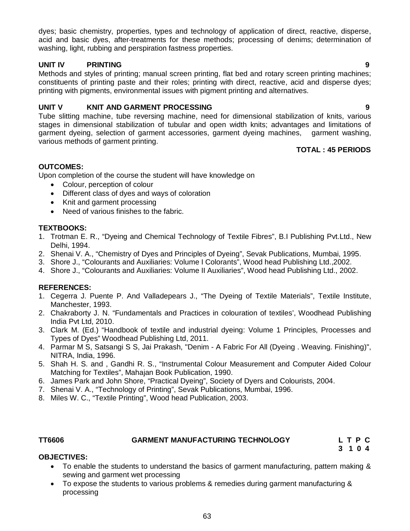dyes; basic chemistry, properties, types and technology of application of direct, reactive, disperse, acid and basic dyes, after-treatments for these methods; processing of denims; determination of washing, light, rubbing and perspiration fastness properties.

### **UNIT IV PRINTING 9**

Methods and styles of printing; manual screen printing, flat bed and rotary screen printing machines; constituents of printing paste and their roles; printing with direct, reactive, acid and disperse dyes; printing with pigments, environmental issues with pigment printing and alternatives.

# **UNIT V KNIT AND GARMENT PROCESSING 9**

Tube slitting machine, tube reversing machine, need for dimensional stabilization of knits, various stages in dimensional stabilization of tubular and open width knits; advantages and limitations of garment dyeing, selection of garment accessories, garment dyeing machines, garment washing, various methods of garment printing.

#### **TOTAL : 45 PERIODS**

### **OUTCOMES:**

Upon completion of the course the student will have knowledge on

- Colour, perception of colour
- Different class of dyes and ways of coloration
- Knit and garment processing
- Need of various finishes to the fabric.

# **TEXTBOOKS:**

- 1. Trotman E. R., "Dyeing and Chemical Technology of Textile Fibres", B.I Publishing Pvt.Ltd., New Delhi, 1994.
- 2. Shenai V. A., "Chemistry of Dyes and Principles of Dyeing", Sevak Publications, Mumbai, 1995.
- 3. Shore J., "Colourants and Auxiliaries: Volume I Colorants", Wood head Publishing Ltd.,2002.
- 4. Shore J., "Colourants and Auxiliaries: Volume II Auxiliaries", Wood head Publishing Ltd., 2002.

### **REFERENCES:**

- 1. Cegerra J. Puente P. And Valladepears J., "The Dyeing of Textile Materials", Textile Institute, Manchester, 1993.
- 2. Chakraborty J. N. "Fundamentals and Practices in colouration of textiles', Woodhead Publishing India Pvt Ltd, 2010.
- 3. Clark M. (Ed.) "Handbook of textile and industrial dyeing: Volume 1 Principles, Processes and Types of Dyes" Woodhead Publishing Ltd, 2011.
- 4. Parmar M S, Satsangi S S, Jai Prakash, "Denim A Fabric For All (Dyeing . Weaving. Finishing)", NITRA, India, 1996.
- 5. Shah H. S. and , Gandhi R. S., "Instrumental Colour Measurement and Computer Aided Colour Matching for Textiles", Mahajan Book Publication, 1990.
- 6. James Park and John Shore, "Practical Dyeing", Society of Dyers and Colourists, 2004.
- 7. Shenai V. A., "Technology of Printing", Sevak Publications, Mumbai, 1996.
- 8. Miles W. C., "Textile Printing", Wood head Publication, 2003.

# **TT6606 GARMENT MANUFACTURING TECHNOLOGY L T P C**

 **3 1 0 4**

#### **OBJECTIVES:**

- To enable the students to understand the basics of garment manufacturing, pattern making & sewing and garment wet processing
- To expose the students to various problems & remedies during garment manufacturing & processing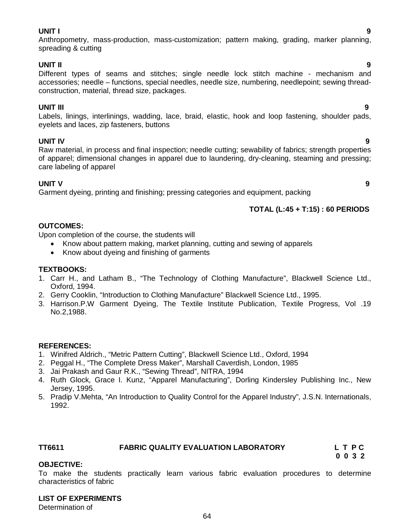#### **UNIT I 9**

Anthropometry, mass-production, mass-customization; pattern making, grading, marker planning, spreading & cutting

#### **UNIT II 9**

Different types of seams and stitches; single needle lock stitch machine - mechanism and accessories; needle – functions, special needles, needle size, numbering, needlepoint; sewing threadconstruction, material, thread size, packages.

#### **UNIT III 9**

Labels, linings, interlinings, wadding, lace, braid, elastic, hook and loop fastening, shoulder pads, eyelets and laces, zip fasteners, buttons

### **UNIT IV 9**

Raw material, in process and final inspection; needle cutting; sewability of fabrics; strength properties of apparel; dimensional changes in apparel due to laundering, dry-cleaning, steaming and pressing; care labeling of apparel

#### **UNIT V 9**

Garment dyeing, printing and finishing; pressing categories and equipment, packing

### **TOTAL (L:45 + T:15) : 60 PERIODS**

#### **OUTCOMES:**

Upon completion of the course, the students will

- Know about pattern making, market planning, cutting and sewing of apparels
- Know about dyeing and finishing of garments

### **TEXTBOOKS:**

- 1. Carr H., and Latham B., "The Technology of Clothing Manufacture", Blackwell Science Ltd., Oxford, 1994.
- 2. Gerry Cooklin, "Introduction to Clothing Manufacture" Blackwell Science Ltd., 1995.
- 3. Harrison.P.W Garment Dyeing, The Textile Institute Publication, Textile Progress, Vol .19 No.2,1988.

#### **REFERENCES:**

- 1. Winifred Aldrich., "Metric Pattern Cutting", Blackwell Science Ltd., Oxford, 1994
- 2. Peggal H., "The Complete Dress Maker", Marshall Caverdish, London, 1985
- 3. Jai Prakash and Gaur R.K., "Sewing Thread", NITRA, 1994
- 4. Ruth Glock, Grace I. Kunz, "Apparel Manufacturing", Dorling Kindersley Publishing Inc., New Jersey, 1995.
- 5. Pradip V.Mehta, "An Introduction to Quality Control for the Apparel Industry", J.S.N. Internationals, 1992.

# **TT6611 FABRIC QUALITY EVALUATION LABORATORY L T P C**

 **0 0 3 2**

### **OBJECTIVE:**

To make the students practically learn various fabric evaluation procedures to determine characteristics of fabric

#### **LIST OF EXPERIMENTS**

Determination of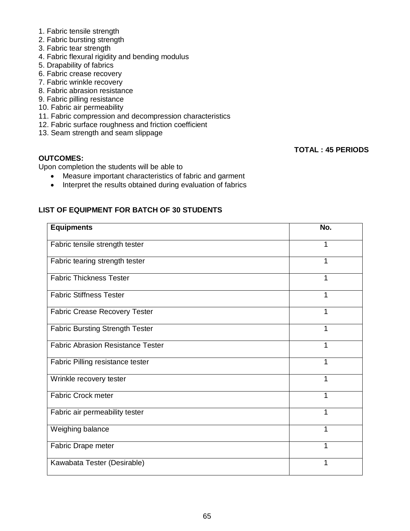- 1. Fabric tensile strength
- 2. Fabric bursting strength
- 3. Fabric tear strength
- 4. Fabric flexural rigidity and bending modulus
- 5. Drapability of fabrics
- 6. Fabric crease recovery
- 7. Fabric wrinkle recovery
- 8. Fabric abrasion resistance
- 9. Fabric pilling resistance
- 10. Fabric air permeability
- 11. Fabric compression and decompression characteristics
- 12. Fabric surface roughness and friction coefficient
- 13. Seam strength and seam slippage

# **TOTAL : 45 PERIODS**

# **OUTCOMES:**

Upon completion the students will be able to

- Measure important characteristics of fabric and garment
- Interpret the results obtained during evaluation of fabrics

# **LIST OF EQUIPMENT FOR BATCH OF 30 STUDENTS**

| <b>Equipments</b>                        | No. |
|------------------------------------------|-----|
| Fabric tensile strength tester           | 1   |
| Fabric tearing strength tester           | 1   |
| <b>Fabric Thickness Tester</b>           | 1   |
| <b>Fabric Stiffness Tester</b>           | 1   |
| <b>Fabric Crease Recovery Tester</b>     | 1   |
| <b>Fabric Bursting Strength Tester</b>   | 1   |
| <b>Fabric Abrasion Resistance Tester</b> | 1   |
| Fabric Pilling resistance tester         | 1   |
| Wrinkle recovery tester                  | 1   |
| <b>Fabric Crock meter</b>                | 1   |
| Fabric air permeability tester           | 1   |
| Weighing balance                         | 1   |
| Fabric Drape meter                       | 1   |
| Kawabata Tester (Desirable)              | 1   |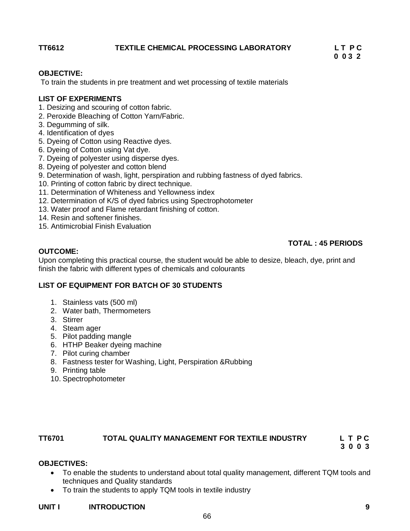# TT6612 TEXTILE CHEMICAL PROCESSING LABORATORY LTPC<br>0 0 3 2

 **0 0 3 2**

# **OBJECTIVE:**

To train the students in pre treatment and wet processing of textile materials

# **LIST OF EXPERIMENTS**

- 1. Desizing and scouring of cotton fabric.
- 2. Peroxide Bleaching of Cotton Yarn/Fabric.
- 3. Degumming of silk.
- 4. Identification of dyes
- 5. Dyeing of Cotton using Reactive dyes.
- 6. Dyeing of Cotton using Vat dye.
- 7. Dyeing of polyester using disperse dyes.
- 8. Dyeing of polyester and cotton blend
- 9. Determination of wash, light, perspiration and rubbing fastness of dyed fabrics.
- 10. Printing of cotton fabric by direct technique.
- 11. Determination of Whiteness and Yellowness index
- 12. Determination of K/S of dyed fabrics using Spectrophotometer
- 13. Water proof and Flame retardant finishing of cotton.
- 14. Resin and softener finishes.
- 15. Antimicrobial Finish Evaluation

# **TOTAL : 45 PERIODS**

#### **OUTCOME:**

Upon completing this practical course, the student would be able to desize, bleach, dye, print and finish the fabric with different types of chemicals and colourants

### **LIST OF EQUIPMENT FOR BATCH OF 30 STUDENTS**

- 1. Stainless vats (500 ml)
- 2. Water bath, Thermometers
- 3. Stirrer
- 4. Steam ager
- 5. Pilot padding mangle
- 6. HTHP Beaker dyeing machine
- 7. Pilot curing chamber
- 8. Fastness tester for Washing, Light, Perspiration &Rubbing
- 9. Printing table
- 10. Spectrophotometer

### **TT6701 TOTAL QUALITY MANAGEMENT FOR TEXTILE INDUSTRY L T P C**

 **3 0 0 3**

## **OBJECTIVES:**

- To enable the students to understand about total quality management, different TQM tools and techniques and Quality standards
- To train the students to apply TQM tools in textile industry

#### **UNIT I INTRODUCTION 9**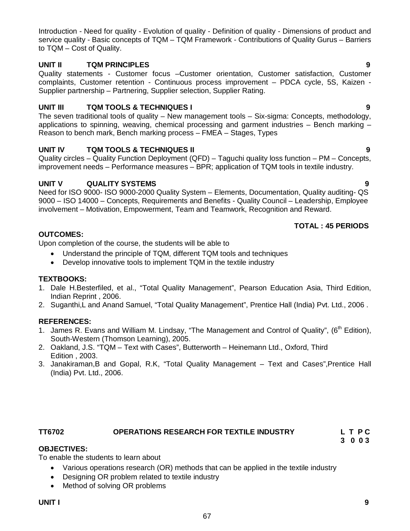Introduction - Need for quality - Evolution of quality - Definition of quality - Dimensions of product and service quality - Basic concepts of TQM – TQM Framework - Contributions of Quality Gurus – Barriers to TQM – Cost of Quality.

# **UNIT II TQM PRINCIPLES 9**

Quality statements - Customer focus –Customer orientation, Customer satisfaction, Customer complaints, Customer retention - Continuous process improvement – PDCA cycle, 5S, Kaizen - Supplier partnership – Partnering, Supplier selection, Supplier Rating.

# **UNIT III TQM TOOLS & TECHNIQUES I 9**

The seven traditional tools of quality – New management tools – Six-sigma: Concepts, methodology, applications to spinning, weaving, chemical processing and garment industries – Bench marking – Reason to bench mark, Bench marking process – FMEA – Stages, Types

# **UNIT IV TQM TOOLS & TECHNIQUES II 9**

Quality circles – Quality Function Deployment (QFD) – Taguchi quality loss function – PM – Concepts, improvement needs – Performance measures – BPR; application of TQM tools in textile industry.

# **UNIT V QUALITY SYSTEMS 9**

Need for ISO 9000- ISO 9000-2000 Quality System – Elements, Documentation, Quality auditing- QS 9000 – ISO 14000 – Concepts, Requirements and Benefits - Quality Council – Leadership, Employee involvement – Motivation, Empowerment, Team and Teamwork, Recognition and Reward.

# **TOTAL : 45 PERIODS**

# **OUTCOMES:**

Upon completion of the course, the students will be able to

- Understand the principle of TQM, different TQM tools and techniques
- Develop innovative tools to implement TQM in the textile industry

# **TEXTBOOKS:**

- 1. Dale H.Besterfiled, et al., "Total Quality Management", Pearson Education Asia, Third Edition, Indian Reprint , 2006.
- 2. Suganthi,L and Anand Samuel, "Total Quality Management", Prentice Hall (India) Pvt. Ltd., 2006 .

# **REFERENCES:**

- 1. James R. Evans and William M. Lindsay, "The Management and Control of Quality", (6<sup>th</sup> Edition), South-Western (Thomson Learning), 2005.
- 2. Oakland, J.S. "TQM Text with Cases", Butterworth Heinemann Ltd., Oxford, Third Edition , 2003.
- 3. Janakiraman,B and Gopal, R.K, "Total Quality Management Text and Cases",Prentice Hall (India) Pvt. Ltd., 2006.

# **TT6702 OPERATIONS RESEARCH FOR TEXTILE INDUSTRY L T P C**

# **3 0 0 3**

# **OBJECTIVES:**

To enable the students to learn about

- Various operations research (OR) methods that can be applied in the textile industry
- Designing OR problem related to textile industry
- Method of solving OR problems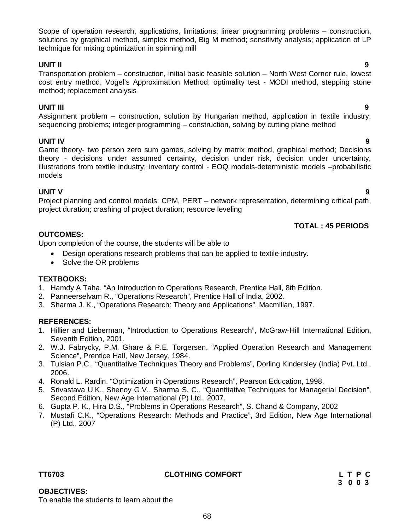Scope of operation research, applications, limitations; linear programming problems – construction, solutions by graphical method, simplex method, Big M method; sensitivity analysis; application of LP technique for mixing optimization in spinning mill

# **UNIT II 9**

Transportation problem – construction, initial basic feasible solution – North West Corner rule, lowest cost entry method, Vogel's Approximation Method; optimality test - MODI method, stepping stone method; replacement analysis

# **UNIT III 9**

Assignment problem – construction, solution by Hungarian method, application in textile industry; sequencing problems; integer programming – construction, solving by cutting plane method

# **UNIT IV 9**

Game theory- two person zero sum games, solving by matrix method, graphical method; Decisions theory - decisions under assumed certainty, decision under risk, decision under uncertainty, illustrations from textile industry; inventory control - EOQ models-deterministic models –probabilistic models

# **UNIT V 9**

Project planning and control models: CPM, PERT – network representation, determining critical path, project duration; crashing of project duration; resource leveling

 **TOTAL : 45 PERIODS**

# **OUTCOMES:**

Upon completion of the course, the students will be able to

- Design operations research problems that can be applied to textile industry.
- Solve the OR problems

### **TEXTBOOKS:**

- 1. Hamdy A Taha, "An Introduction to Operations Research, Prentice Hall, 8th Edition.
- 2. Panneerselvam R., "Operations Research", Prentice Hall of India, 2002.
- 3. Sharma J. K., "Operations Research: Theory and Applications", Macmillan, 1997.

### **REFERENCES:**

- 1. Hillier and Lieberman, "Introduction to Operations Research", McGraw-Hill International Edition, Seventh Edition, 2001.
- 2. W.J. Fabrycky, P.M. Ghare & P.E. Torgersen, "Applied Operation Research and Management Science", Prentice Hall, New Jersey, 1984.
- 3. Tulsian P.C., "Quantitative Techniques Theory and Problems", Dorling Kindersley (India) Pvt. Ltd., 2006.
- 4. Ronald L. Rardin, "Optimization in Operations Research", Pearson Education, 1998.
- 5. Srivastava U.K., Shenoy G.V., Sharma S. C., "Quantitative Techniques for Managerial Decision", Second Edition, New Age International (P) Ltd., 2007.
- 6. Gupta P. K., Hira D.S., "Problems in Operations Research", S. Chand & Company, 2002
- 7. Mustafi C.K., "Operations Research: Methods and Practice", 3rd Edition, New Age International (P) Ltd., 2007

**OBJECTIVES:**

To enable the students to learn about the

# **TT6703 CLOTHING COMFORT L T P C**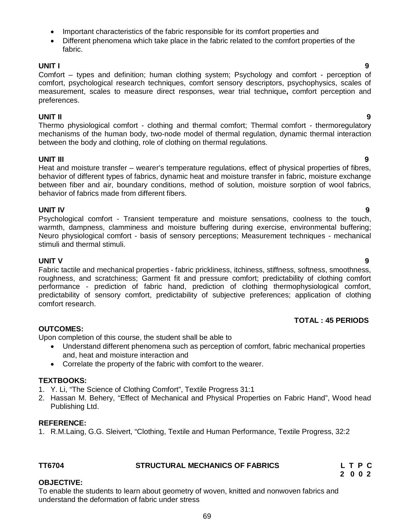**2 0 0 2 OBJECTIVE:** To enable the students to learn about geometry of woven, knitted and nonwoven fabrics and understand the deformation of fabric under stress

- Important characteristics of the fabric responsible for its comfort properties and
- Different phenomena which take place in the fabric related to the comfort properties of the fabric.

# **UNIT I 9**

Comfort – types and definition; human clothing system; Psychology and comfort - perception of comfort, psychological research techniques, comfort sensory descriptors, psychophysics, scales of measurement, scales to measure direct responses, wear trial technique**,** comfort perception and preferences.

# **UNIT II 9**

Thermo physiological comfort - clothing and thermal comfort; Thermal comfort - thermoregulatory mechanisms of the human body, two-node model of thermal regulation, dynamic thermal interaction between the body and clothing, role of clothing on thermal regulations.

# **UNIT III 9**

Heat and moisture transfer – wearer's temperature regulations, effect of physical properties of fibres, behavior of different types of fabrics, dynamic heat and moisture transfer in fabric, moisture exchange between fiber and air, boundary conditions, method of solution, moisture sorption of wool fabrics, behavior of fabrics made from different fibers.

**UNIT IV 9** Psychological comfort - Transient temperature and moisture sensations, coolness to the touch, warmth, dampness, clamminess and moisture buffering during exercise, environmental buffering; Neuro physiological comfort - basis of sensory perceptions; Measurement techniques - mechanical stimuli and thermal stimuli.

# **UNIT V 9**

Fabric tactile and mechanical properties - fabric prickliness, itchiness, stiffness, softness, smoothness, roughness, and scratchiness; Garment fit and pressure comfort; predictability of clothing comfort performance - prediction of fabric hand, prediction of clothing thermophysiological comfort, predictability of sensory comfort, predictability of subjective preferences; application of clothing comfort research.

# **TOTAL : 45 PERIODS**

# **OUTCOMES:**

Upon completion of this course, the student shall be able to

- Understand different phenomena such as perception of comfort, fabric mechanical properties and, heat and moisture interaction and
- Correlate the property of the fabric with comfort to the wearer.

# **TEXTBOOKS:**

- 1. Y. Li, "The Science of Clothing Comfort", Textile Progress 31:1
- 2. Hassan M. Behery, "Effect of Mechanical and Physical Properties on Fabric Hand", Wood head Publishing Ltd.

# **REFERENCE:**

1. R.M.Laing, G.G. Sleivert, "Clothing, Textile and Human Performance, Textile Progress, 32:2

# **TT6704 STRUCTURAL MECHANICS OF FABRICS L T P C**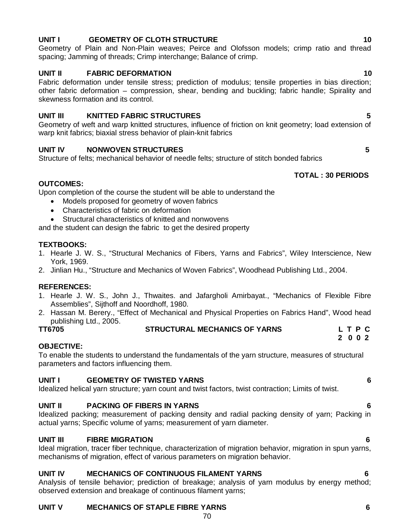# **UNIT V MECHANICS OF STAPLE FIBRE YARNS 6**

# **UNIT I** GEOMETRY OF CLOTH STRUCTURE **10**

Geometry of Plain and Non-Plain weaves; Peirce and Olofsson models; crimp ratio and thread spacing; Jamming of threads; Crimp interchange; Balance of crimp.

# **UNIT II FABRIC DEFORMATION 10**

Fabric deformation under tensile stress; prediction of modulus; tensile properties in bias direction; other fabric deformation – compression, shear, bending and buckling; fabric handle; Spirality and skewness formation and its control.

# **UNIT III KNITTED FABRIC STRUCTURES 5**

Geometry of weft and warp knitted structures, influence of friction on knit geometry; load extension of warp knit fabrics; biaxial stress behavior of plain-knit fabrics

# **UNIT IV NONWOVEN STRUCTURES 5**

Structure of felts; mechanical behavior of needle felts; structure of stitch bonded fabrics

# **TOTAL : 30 PERIODS**

# **OUTCOMES:**

Upon completion of the course the student will be able to understand the

- Models proposed for geometry of woven fabrics
- Characteristics of fabric on deformation
- Structural characteristics of knitted and nonwovens

and the student can design the fabric to get the desired property

# **TEXTBOOKS:**

- 1. Hearle J. W. S., "Structural Mechanics of Fibers, Yarns and Fabrics", Wiley Interscience, New York, 1969.
- 2. Jinlian Hu., "Structure and Mechanics of Woven Fabrics", Woodhead Publishing Ltd., 2004.

# **REFERENCES:**

- 1. Hearle J. W. S., John J., Thwaites. and Jafargholi Amirbayat., "Mechanics of Flexible Fibre Assemblies", Sijthoff and Noordhoff, 1980.
- 2. Hassan M. Berery., "Effect of Mechanical and Physical Properties on Fabrics Hand", Wood head publishing Ltd., 2005.

# **TT6705 STRUCTURAL MECHANICS OF YARNS L T P C**

 **2 0 0 2**

# **OBJECTIVE:**

To enable the students to understand the fundamentals of the yarn structure, measures of structural parameters and factors influencing them.

# **UNIT I GEOMETRY OF TWISTED YARNS 6**

Idealized helical yarn structure; yarn count and twist factors, twist contraction; Limits of twist.

# **UNIT II PACKING OF FIBERS IN YARNS 6**

Idealized packing; measurement of packing density and radial packing density of yarn; Packing in actual yarns; Specific volume of yarns; measurement of yarn diameter.

# **UNIT III FIBRE MIGRATION 6**

Ideal migration, tracer fiber technique, characterization of migration behavior, migration in spun yarns, mechanisms of migration, effect of various parameters on migration behavior.

# **UNIT IV MECHANICS OF CONTINUOUS FILAMENT YARNS 6**

Analysis of tensile behavior; prediction of breakage; analysis of yarn modulus by energy method; observed extension and breakage of continuous filament yarns;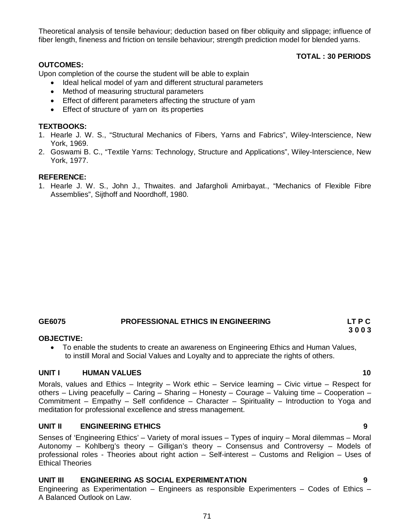Theoretical analysis of tensile behaviour; deduction based on fiber obliquity and slippage; influence of fiber length, fineness and friction on tensile behaviour; strength prediction model for blended yarns.

### **OUTCOMES:**

Upon completion of the course the student will be able to explain

- Ideal helical model of yarn and different structural parameters
- Method of measuring structural parameters
- Effect of different parameters affecting the structure of yarn
- Effect of structure of yarn on its properties

### **TEXTBOOKS:**

- 1. Hearle J. W. S., "Structural Mechanics of Fibers, Yarns and Fabrics", Wiley-Interscience, New York, 1969.
- 2. Goswami B. C., "Textile Yarns: Technology, Structure and Applications", Wiley-Interscience, New York, 1977.

#### **REFERENCE:**

1. Hearle J. W. S., John J., Thwaites. and Jafargholi Amirbayat., "Mechanics of Flexible Fibre Assemblies", Sijthoff and Noordhoff, 1980.

# **GE6075 PROFESSIONAL ETHICS IN ENGINEERING LT P C**

#### **OBJECTIVE:**

 To enable the students to create an awareness on Engineering Ethics and Human Values, to instill Moral and Social Values and Loyalty and to appreciate the rights of others.

#### **UNIT I HUMAN VALUES 10**

Morals, values and Ethics – Integrity – Work ethic – Service learning – Civic virtue – Respect for others – Living peacefully – Caring – Sharing – Honesty – Courage – Valuing time – Cooperation – Commitment – Empathy – Self confidence – Character – Spirituality – Introduction to Yoga and meditation for professional excellence and stress management.

#### **UNIT II ENGINEERING ETHICS 9**

Senses of 'Engineering Ethics' – Variety of moral issues – Types of inquiry – Moral dilemmas – Moral Autonomy – Kohlberg's theory – Gilligan's theory – Consensus and Controversy – Models of professional roles - Theories about right action – Self-interest – Customs and Religion – Uses of Ethical Theories

## **UNIT III ENGINEERING AS SOCIAL EXPERIMENTATION 9**

Engineering as Experimentation – Engineers as responsible Experimenters – Codes of Ethics – A Balanced Outlook on Law.

**3 0 0 3**

 **TOTAL : 30 PERIODS**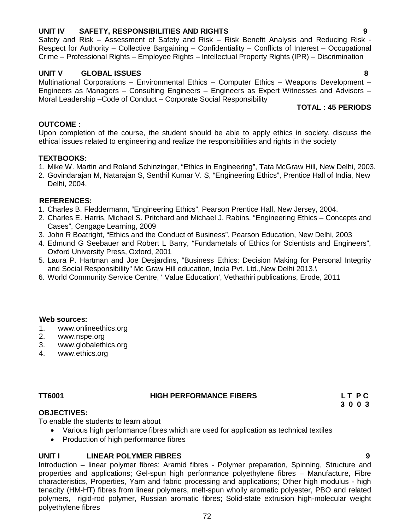Introduction – linear polymer fibres; Aramid fibres - Polymer preparation, Spinning, Structure and properties and applications; Gel-spun high performance polyethylene fibres – Manufacture, Fibre characteristics, Properties, Yarn and fabric processing and applications; Other high modulus - high tenacity (HM-HT) fibres from linear polymers, melt-spun wholly aromatic polyester, PBO and related polymers, rigid-rod polymer, Russian aromatic fibres; Solid-state extrusion high-molecular weight polyethylene fibres

Safety and Risk – Assessment of Safety and Risk – Risk Benefit Analysis and Reducing Risk - Respect for Authority – Collective Bargaining – Confidentiality – Conflicts of Interest – Occupational Crime – Professional Rights – Employee Rights – Intellectual Property Rights (IPR) – Discrimination

#### **UNIT V GLOBAL ISSUES 8**

Multinational Corporations – Environmental Ethics – Computer Ethics – Weapons Development – Engineers as Managers – Consulting Engineers – Engineers as Expert Witnesses and Advisors – Moral Leadership –Code of Conduct – Corporate Social Responsibility

# **TOTAL : 45 PERIODS**

#### **OUTCOME :**

Upon completion of the course, the student should be able to apply ethics in society, discuss the ethical issues related to engineering and realize the responsibilities and rights in the society

#### **TEXTBOOKS:**

- 1. Mike W. Martin and Roland Schinzinger, "Ethics in Engineering", Tata McGraw Hill, New Delhi, 2003.
- 2. Govindarajan M, Natarajan S, Senthil Kumar V. S, "Engineering Ethics", Prentice Hall of India, New Delhi, 2004.

#### **REFERENCES:**

- 1. Charles B. Fleddermann, "Engineering Ethics", Pearson Prentice Hall, New Jersey, 2004.
- 2. Charles E. Harris, Michael S. Pritchard and Michael J. Rabins, "Engineering Ethics Concepts and Cases", Cengage Learning, 2009
- 3. John R Boatright, "Ethics and the Conduct of Business", Pearson Education, New Delhi, 2003
- 4. Edmund G Seebauer and Robert L Barry, "Fundametals of Ethics for Scientists and Engineers", Oxford University Press, Oxford, 2001
- 5. Laura P. Hartman and Joe Desjardins, "Business Ethics: Decision Making for Personal Integrity and Social Responsibility" Mc Graw Hill education, India Pvt. Ltd.,New Delhi 2013.\
- 6. World Community Service Centre, ' Value Education', Vethathiri publications, Erode, 2011

#### **Web sources:**

- 1. www.onlineethics.org
- 2. www.nspe.org
- 3. www.globalethics.org
- 4. www.ethics.org

# **TT6001 HIGH PERFORMANCE FIBERS L T P C**

#### **OBJECTIVES:**

To enable the students to learn about

- Various high performance fibres which are used for application as technical textiles
- Production of high performance fibres

# **UNIT I LINEAR POLYMER FIBRES 9**

 **3 0 0 3**



72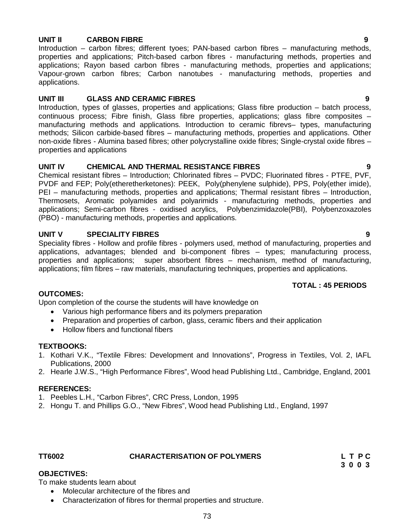#### **UNIT II CARBON FIBRE 9**

Introduction – carbon fibres; different tyoes; PAN-based carbon fibres – manufacturing methods, properties and applications; Pitch-based carbon fibres - manufacturing methods, properties and applications; Rayon based carbon fibres - manufacturing methods, properties and applications; Vapour-grown carbon fibres; Carbon nanotubes - manufacturing methods, properties and applications.

#### **UNIT III GLASS AND CERAMIC FIBRES 9**

Introduction, types of glasses, properties and applications; Glass fibre production – batch process, continuous process; Fibre finish, Glass fibre properties, applications; glass fibre composites – manufacturing methods and applications. Introduction to ceramic fibrevs– types, manufacturing methods; Silicon carbide-based fibres – manufacturing methods, properties and applications. Other non-oxide fibres - Alumina based fibres; other polycrystalline oxide fibres; Single-crystal oxide fibres – properties and applications

#### **UNIT IV CHEMICAL AND THERMAL RESISTANCE FIBRES 9**

Chemical resistant fibres – Introduction; Chlorinated fibres – PVDC; Fluorinated fibres - PTFE, PVF, PVDF and FEP; Poly(etheretherketones): PEEK, Poly(phenylene sulphide), PPS, Poly(ether imide), PEI – manufacturing methods, properties and applications; Thermal resistant fibres – Introduction, Thermosets, Aromatic polyamides and polyarimids - manufacturing methods, properties and applications; Semi-carbon fibres - oxidised acrylics, Polybenzimidazole(PBI), Polybenzoxazoles (PBO) - manufacturing methods, properties and applications.

#### **UNIT V SPECIALITY FIBRES 9**

Speciality fibres - Hollow and profile fibres - polymers used, method of manufacturing, properties and applications, advantages; blended and bi-component fibres – types; manufacturing process, properties and applications; super absorbent fibres – mechanism, method of manufacturing, applications; film fibres – raw materials, manufacturing techniques, properties and applications.

### **TOTAL : 45 PERIODS**

#### **OUTCOMES:**

Upon completion of the course the students will have knowledge on

- Various high performance fibers and its polymers preparation
- Preparation and properties of carbon, glass, ceramic fibers and their application
- Hollow fibers and functional fibers

#### **TEXTBOOKS:**

- 1. Kothari V.K., "Textile Fibres: Development and Innovations", Progress in Textiles, Vol. 2, IAFL Publications, 2000
- 2. Hearle J.W.S., "High Performance Fibres", Wood head Publishing Ltd., Cambridge, England, 2001

#### **REFERENCES:**

- 1. Peebles L.H., "Carbon Fibres", CRC Press, London, 1995
- 2. Hongu T. and Phillips G.O., "New Fibres", Wood head Publishing Ltd., England, 1997

| TT6002 | <b>CHARACTERISATION OF POLYMERS</b> | LTPC           |
|--------|-------------------------------------|----------------|
|        |                                     | <u>າ ∩ ∩ າ</u> |

#### **OBJECTIVES:**

To make students learn about

- Molecular architecture of the fibres and
- Characterization of fibres for thermal properties and structure.

## **3 0 0 3**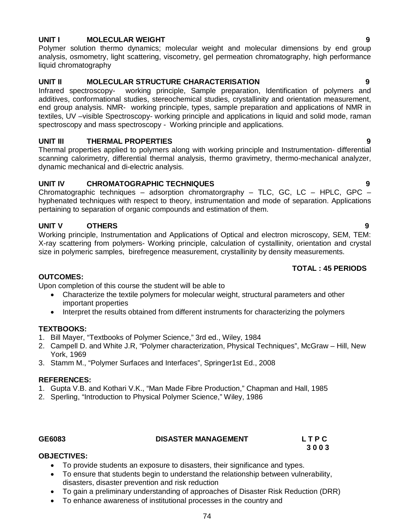#### **UNIT I MOLECULAR WEIGHT 9**

Polymer solution thermo dynamics; molecular weight and molecular dimensions by end group analysis, osmometry, light scattering, viscometry, gel permeation chromatography, high performance liquid chromatography

#### **UNIT II MOLECULAR STRUCTURE CHARACTERISATION 9**

Infrared spectroscopy- working principle, Sample preparation, Identification of polymers and additives, conformational studies, stereochemical studies, crystallinity and orientation measurement, end group analysis. NMR- working principle, types, sample preparation and applications of NMR in textiles, UV –visible Spectroscopy- working principle and applications in liquid and solid mode, raman spectroscopy and mass spectroscopy - Working principle and applications.

#### **UNIT III THERMAL PROPERTIES 9**

Thermal properties applied to polymers along with working principle and Instrumentation- differential scanning calorimetry, differential thermal analysis, thermo gravimetry, thermo-mechanical analyzer, dynamic mechanical and di-electric analysis.

#### **UNIT IV CHROMATOGRAPHIC TECHNIQUES 9**

Chromatographic techniques – adsorption chromatorgraphy – TLC, GC, LC – HPLC, GPC – hyphenated techniques with respect to theory, instrumentation and mode of separation. Applications pertaining to separation of organic compounds and estimation of them.

#### **UNIT V OTHERS 9**

Working principle, Instrumentation and Applications of Optical and electron microscopy, SEM, TEM: X-ray scattering from polymers- Working principle, calculation of cystallinity, orientation and crystal size in polymeric samples, birefregence measurement, crystallinity by density measurements.

#### **TOTAL : 45 PERIODS**

#### **OUTCOMES:**

Upon completion of this course the student will be able to

- Characterize the textile polymers for molecular weight, structural parameters and other important properties
- Interpret the results obtained from different instruments for characterizing the polymers

### **TEXTBOOKS:**

- 1. Bill Mayer, "Textbooks of Polymer Science," 3rd ed., Wiley, 1984
- 2. Campell D. and White J.R, "Polymer characterization, Physical Techniques", McGraw Hill, New York, 1969
- 3. Stamm M., "Polymer Surfaces and Interfaces", Springer1st Ed., 2008

#### **REFERENCES:**

- 1. Gupta V.B. and Kothari V.K., "Man Made Fibre Production," Chapman and Hall, 1985
- 2. Sperling, "Introduction to Physical Polymer Science," Wiley, 1986

#### GE6083 **DISASTER MANAGEMENT** L T P C

 **3 0 0 3** 

### **OBJECTIVES:**

- To provide students an exposure to disasters, their significance and types.
- To ensure that students begin to understand the relationship between vulnerability, disasters, disaster prevention and risk reduction
- To gain a preliminary understanding of approaches of Disaster Risk Reduction (DRR)
- To enhance awareness of institutional processes in the country and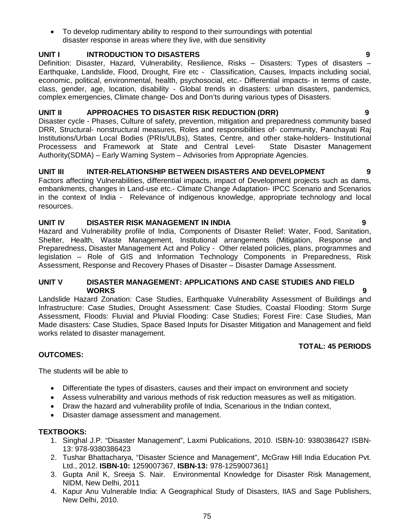disaster response in areas where they live, with due sensitivity

To develop rudimentary ability to respond to their surroundings with potential

#### **UNIT I INTRODUCTION TO DISASTERS 9**

Definition: Disaster, Hazard, Vulnerability, Resilience, Risks – Disasters: Types of disasters – Earthquake, Landslide, Flood, Drought, Fire etc - Classification, Causes, Impacts including social, economic, political, environmental, health, psychosocial, etc.- Differential impacts- in terms of caste, class, gender, age, location, disability - Global trends in disasters: urban disasters, pandemics, complex emergencies, Climate change- Dos and Don'ts during various types of Disasters.

#### **UNIT II APPROACHES TO DISASTER RISK REDUCTION (DRR) 9**

Disaster cycle - Phases, Culture of safety, prevention, mitigation and preparedness community based DRR, Structural- nonstructural measures, Roles and responsibilities of- community, Panchayati Raj Institutions/Urban Local Bodies (PRIs/ULBs), States, Centre, and other stake-holders- Institutional Processess and Framework at State and Central Level- State Disaster Management Authority(SDMA) – Early Warning System – Advisories from Appropriate Agencies.

#### **UNIT III INTER-RELATIONSHIP BETWEEN DISASTERS AND DEVELOPMENT 9**

Factors affecting Vulnerabilities, differential impacts, impact of Development projects such as dams, embankments, changes in Land-use etc.- Climate Change Adaptation- IPCC Scenario and Scenarios in the context of India - Relevance of indigenous knowledge, appropriate technology and local resources.

#### **UNIT IV DISASTER RISK MANAGEMENT IN INDIA 9**

Hazard and Vulnerability profile of India, Components of Disaster Relief: Water, Food, Sanitation, Shelter, Health, Waste Management, Institutional arrangements (Mitigation, Response and Preparedness, Disaster Management Act and Policy - Other related policies, plans, programmes and legislation – Role of GIS and Information Technology Components in Preparedness, Risk Assessment, Response and Recovery Phases of Disaster – Disaster Damage Assessment.

#### **UNIT V DISASTER MANAGEMENT: APPLICATIONS AND CASE STUDIES AND FIELD WORKS 9**

Landslide Hazard Zonation: Case Studies, Earthquake Vulnerability Assessment of Buildings and Infrastructure: Case Studies, Drought Assessment: Case Studies, Coastal Flooding: Storm Surge Assessment, Floods: Fluvial and Pluvial Flooding: Case Studies; Forest Fire: Case Studies, Man Made disasters: Case Studies, Space Based Inputs for Disaster Mitigation and Management and field works related to disaster management.

#### **TOTAL: 45 PERIODS**

The students will be able to

- Differentiate the types of disasters, causes and their impact on environment and society
- Assess vulnerability and various methods of risk reduction measures as well as mitigation.
- Draw the hazard and vulnerability profile of India, Scenarious in the Indian context,
- Disaster damage assessment and management.

#### **TEXTBOOKS:**

**OUTCOMES:**

- 1. Singhal J.P. "Disaster Management", Laxmi Publications, 2010. ISBN-10: 9380386427 ISBN-13: 978-9380386423
- 2. Tushar Bhattacharya, "Disaster Science and Management", McGraw Hill India Education Pvt. Ltd., 2012. **ISBN-10:** 1259007367, **ISBN-13:** 978-1259007361]
- 3. Gupta Anil K, Sreeja S. Nair. Environmental Knowledge for Disaster Risk Management, NIDM, New Delhi, 2011
- 4. Kapur Anu Vulnerable India: A Geographical Study of Disasters, IIAS and Sage Publishers, New Delhi, 2010.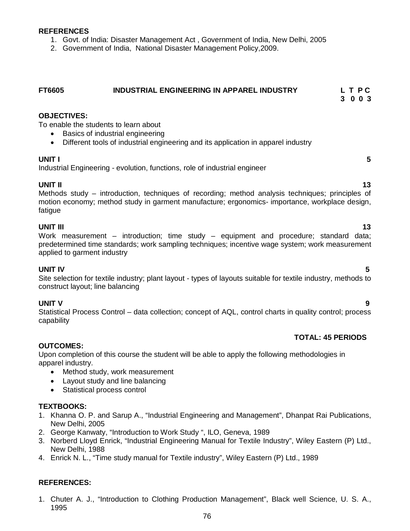#### **REFERENCES**

- 1. Govt. of India: Disaster Management Act , Government of India, New Delhi, 2005
- 2. Government of India, National Disaster Management Policy,2009.

### **FT6605 INDUSTRIAL ENGINEERING IN APPAREL INDUSTRY L T P C 3 0 0 3**

#### **OBJECTIVES:**

To enable the students to learn about

- Basics of industrial engineering
- Different tools of industrial engineering and its application in apparel industry

#### **UNIT I 5**

Industrial Engineering - evolution, functions, role of industrial engineer

#### **UNIT II** 13

Methods study – introduction, techniques of recording; method analysis techniques; principles of motion economy; method study in garment manufacture; ergonomics- importance, workplace design, fatigue

#### **UNIT III** 13

Work measurement – introduction; time study – equipment and procedure; standard data; predetermined time standards; work sampling techniques; incentive wage system; work measurement applied to garment industry

#### **UNIT IV 5**

Site selection for textile industry; plant layout - types of layouts suitable for textile industry, methods to construct layout; line balancing

#### **UNIT V 9**

Statistical Process Control – data collection; concept of AQL, control charts in quality control; process capability

#### **TOTAL: 45 PERIODS**

#### **OUTCOMES:**

Upon completion of this course the student will be able to apply the following methodologies in apparel industry.

- Method study, work measurement
- Layout study and line balancing
- Statistical process control

#### **TEXTBOOKS:**

- 1. Khanna O. P. and Sarup A., "Industrial Engineering and Management", Dhanpat Rai Publications, New Delhi, 2005
- 2. George Kanwaty, "Introduction to Work Study ", ILO, Geneva, 1989
- 3. Norberd Lloyd Enrick, "Industrial Engineering Manual for Textile Industry", Wiley Eastern (P) Ltd., New Delhi, 1988
- 4. Enrick N. L., "Time study manual for Textile industry", Wiley Eastern (P) Ltd., 1989

#### **REFERENCES:**

1. Chuter A. J., "Introduction to Clothing Production Management", Black well Science, U. S. A., 1995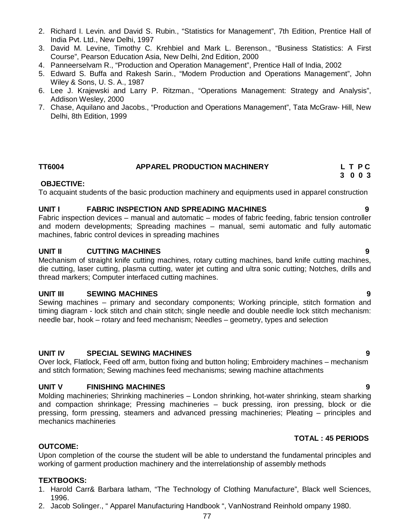- 2. Richard I. Levin. and David S. Rubin., "Statistics for Management", 7th Edition, Prentice Hall of India Pvt. Ltd., New Delhi, 1997
- 3. David M. Levine, Timothy C. Krehbiel and Mark L. Berenson., "Business Statistics: A First Course", Pearson Education Asia, New Delhi, 2nd Edition, 2000
- 4. Panneerselvam R., "Production and Operation Management", Prentice Hall of India, 2002
- 5. Edward S. Buffa and Rakesh Sarin., "Modern Production and Operations Management", John Wiley & Sons, U. S. A., 1987
- 6. Lee J. Krajewski and Larry P. Ritzman., "Operations Management: Strategy and Analysis", Addison Wesley, 2000
- 7. Chase, Aquilano and Jacobs., "Production and Operations Management", Tata McGraw- Hill, New Delhi, 8th Edition, 1999

#### **TT6004 APPAREL PRODUCTION MACHINERY L T P C**

#### **OBJECTIVE:**

To acquaint students of the basic production machinery and equipments used in apparel construction

 **3 0 0 3**

#### **UNIT I FABRIC INSPECTION AND SPREADING MACHINES**

Fabric inspection devices – manual and automatic – modes of fabric feeding, fabric tension controller and modern developments; Spreading machines – manual, semi automatic and fully automatic machines, fabric control devices in spreading machines

#### **UNIT II CUTTING MACHINES 9**

Mechanism of straight knife cutting machines, rotary cutting machines, band knife cutting machines, die cutting, laser cutting, plasma cutting, water jet cutting and ultra sonic cutting; Notches, drills and thread markers; Computer interfaced cutting machines.

#### **UNIT III SEWING MACHINES 9**

Sewing machines – primary and secondary components; Working principle, stitch formation and timing diagram - lock stitch and chain stitch; single needle and double needle lock stitch mechanism: needle bar, hook – rotary and feed mechanism; Needles – geometry, types and selection

#### **UNIT IV SPECIAL SEWING MACHINES 9**

Over lock, Flatlock, Feed off arm, button fixing and button holing; Embroidery machines – mechanism and stitch formation; Sewing machines feed mechanisms; sewing machine attachments

#### **UNIT V FINISHING MACHINES 9**

Molding machineries; Shrinking machineries – London shrinking, hot-water shrinking, steam sharking and compaction shrinkage; Pressing machineries – buck pressing, iron pressing, block or die pressing, form pressing, steamers and advanced pressing machineries; Pleating – principles and mechanics machineries

#### **TOTAL : 45 PERIODS**

### **OUTCOME:**

Upon completion of the course the student will be able to understand the fundamental principles and working of garment production machinery and the interrelationship of assembly methods

#### **TEXTBOOKS:**

- 1. Harold Carr& Barbara latham, "The Technology of Clothing Manufacture", Black well Sciences, 1996.
- 2. Jacob Solinger., " Apparel Manufacturing Handbook ", VanNostrand Reinhold ompany 1980.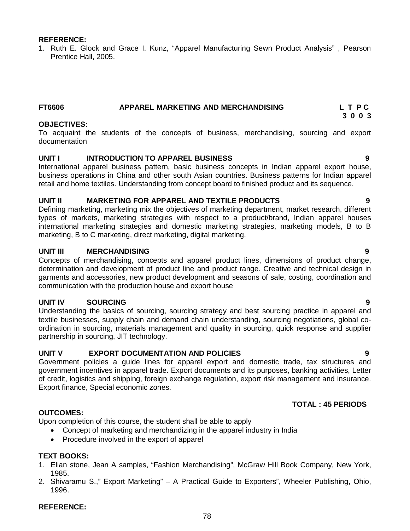#### **REFERENCE:**

1. Ruth E. Glock and Grace I. Kunz, "Apparel Manufacturing Sewn Product Analysis" , Pearson Prentice Hall, 2005.

#### **FT6606 APPAREL MARKETING AND MERCHANDISING L T P C**

#### **OBJECTIVES:**

To acquaint the students of the concepts of business, merchandising, sourcing and export documentation

#### **UNIT I INTRODUCTION TO APPAREL BUSINESS 9**

International apparel business pattern, basic business concepts in Indian apparel export house, business operations in China and other south Asian countries. Business patterns for Indian apparel retail and home textiles. Understanding from concept board to finished product and its sequence.

#### **UNIT II MARKETING FOR APPAREL AND TEXTILE PRODUCTS 9**

Defining marketing, marketing mix the objectives of marketing department, market research, different types of markets, marketing strategies with respect to a product/brand, Indian apparel houses international marketing strategies and domestic marketing strategies, marketing models, B to B marketing, B to C marketing, direct marketing, digital marketing.

#### **UNIT III MERCHANDISING 9**

Concepts of merchandising, concepts and apparel product lines, dimensions of product change, determination and development of product line and product range. Creative and technical design in garments and accessories, new product development and seasons of sale, costing, coordination and communication with the production house and export house

#### **UNIT IV SOURCING 9**

Understanding the basics of sourcing, sourcing strategy and best sourcing practice in apparel and textile businesses, supply chain and demand chain understanding, sourcing negotiations, global coordination in sourcing, materials management and quality in sourcing, quick response and supplier partnership in sourcing, JIT technology.

#### **UNIT V EXPORT DOCUMENTATION AND POLICIES 9**

Government policies a guide lines for apparel export and domestic trade, tax structures and government incentives in apparel trade. Export documents and its purposes, banking activities, Letter of credit, logistics and shipping, foreign exchange regulation, export risk management and insurance. Export finance, Special economic zones.

#### **TOTAL : 45 PERIODS**

### **OUTCOMES:**

Upon completion of this course, the student shall be able to apply

- Concept of marketing and merchandizing in the apparel industry in India
- Procedure involved in the export of apparel

### **TEXT BOOKS:**

- 1. Elian stone, Jean A samples, "Fashion Merchandising", McGraw Hill Book Company, New York, 1985.
- 2. Shivaramu S.," Export Marketing" A Practical Guide to Exporters", Wheeler Publishing, Ohio, 1996.

### **REFERENCE:**

 **3 0 0 3**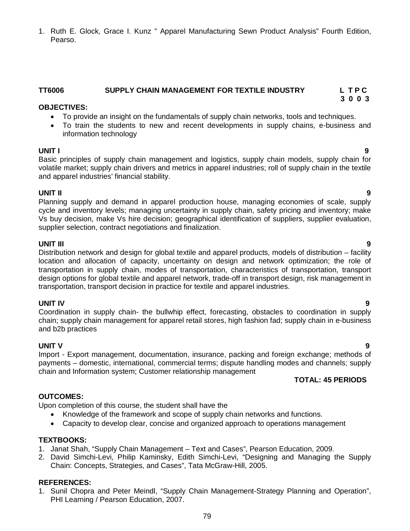**UNIT V 9** Import - Export management, documentation, insurance, packing and foreign exchange; methods of payments – domestic, international, commercial terms; dispute handling modes and channels; supply

chain and Information system; Customer relationship management

### **OUTCOMES:**

Upon completion of this course, the student shall have the

- Knowledge of the framework and scope of supply chain networks and functions.
- Capacity to develop clear, concise and organized approach to operations management

### **TEXTBOOKS:**

- 1. Janat Shah, "Supply Chain Management Text and Cases", Pearson Education, 2009.
- 2. David Simchi-Levi, Philip Kaminsky, Edith Simchi-Levi, "Designing and Managing the Supply Chain: Concepts, Strategies, and Cases", Tata McGraw-Hill, 2005.

### **REFERENCES:**

1. Sunil Chopra and Peter Meindl, "Supply Chain Management-Strategy Planning and Operation", PHI Learning / Pearson Education, 2007.

1. Ruth E. Glock, Grace I. Kunz " Apparel Manufacturing Sewn Product Analysis" Fourth Edition, Pearso.

#### **TT6006 SUPPLY CHAIN MANAGEMENT FOR TEXTILE INDUSTRY L T P C 3 0 0 3**

#### **OBJECTIVES:**

- To provide an insight on the fundamentals of supply chain networks, tools and techniques.
- To train the students to new and recent developments in supply chains, e-business and information technology

**UNIT I 9** Basic principles of supply chain management and logistics, supply chain models, supply chain for volatile market; supply chain drivers and metrics in apparel industries; roll of supply chain in the textile and apparel industries' financial stability.

**UNIT II 9** Planning supply and demand in apparel production house, managing economies of scale, supply cycle and inventory levels; managing uncertainty in supply chain, safety pricing and inventory; make Vs buy decision, make Vs hire decision; geographical identification of suppliers, supplier evaluation, supplier selection, contract negotiations and finalization.

### **UNIT III 9**

Distribution network and design for global textile and apparel products, models of distribution – facility location and allocation of capacity, uncertainty on design and network optimization; the role of transportation in supply chain, modes of transportation, characteristics of transportation, transport design options for global textile and apparel network, trade-off in transport design, risk management in transportation, transport decision in practice for textile and apparel industries.

### **UNIT IV 9**

Coordination in supply chain- the bullwhip effect, forecasting, obstacles to coordination in supply chain; supply chain management for apparel retail stores, high fashion fad; supply chain in e-business and b2b practices

### **TOTAL: 45 PERIODS**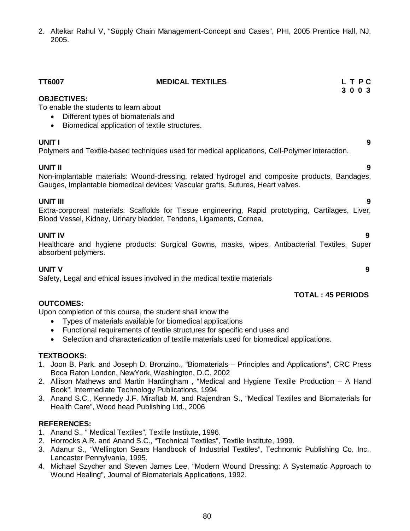2. Altekar Rahul V, "Supply Chain Management-Concept and Cases", PHI, 2005 Prentice Hall, NJ, 2005.

| <b>TT6007</b>                                                                                                                                                                 | <b>MEDICAL TEXTILES</b>                                                                                                                                                          | L T PC<br>3 0 0 3 |
|-------------------------------------------------------------------------------------------------------------------------------------------------------------------------------|----------------------------------------------------------------------------------------------------------------------------------------------------------------------------------|-------------------|
| <b>OBJECTIVES:</b><br>To enable the students to learn about<br>Different types of biomaterials and<br>$\bullet$<br>Biomedical application of textile structures.<br>$\bullet$ |                                                                                                                                                                                  |                   |
| UNIT I                                                                                                                                                                        | Polymers and Textile-based techniques used for medical applications, Cell-Polymer interaction.                                                                                   | 9                 |
| <b>UNIT II</b>                                                                                                                                                                | Non-implantable materials: Wound-dressing, related hydrogel and composite products, Bandages,<br>Gauges, Implantable biomedical devices: Vascular grafts, Sutures, Heart valves. | 9                 |
| <b>UNIT III</b>                                                                                                                                                               | Extra-corporeal materials: Scaffolds for Tissue engineering, Rapid prototyping, Cartilages, Liver,<br>Blood Vessel, Kidney, Urinary bladder, Tendons, Ligaments, Cornea,         | 9                 |
| <b>UNIT IV</b><br>absorbent polymers.                                                                                                                                         | Healthcare and hygiene products: Surgical Gowns, masks, wipes, Antibacterial Textiles, Super                                                                                     | 9                 |

#### **UNIT V 9**

Safety, Legal and ethical issues involved in the medical textile materials

#### **TOTAL : 45 PERIODS**

#### **OUTCOMES:**

Upon completion of this course, the student shall know the

- Types of materials available for biomedical applications
- Functional requirements of textile structures for specific end uses and
- Selection and characterization of textile materials used for biomedical applications.

#### **TEXTBOOKS:**

- 1. Joon B. Park. and Joseph D. Bronzino., "Biomaterials Principles and Applications", CRC Press Boca Raton London, NewYork, Washington, D.C. 2002
- 2. Allison Mathews and Martin Hardingham , "Medical and Hygiene Textile Production A Hand Book", Intermediate Technology Publications, 1994
- 3. Anand S.C., Kennedy J.F. Miraftab M. and Rajendran S., "Medical Textiles and Biomaterials for Health Care", Wood head Publishing Ltd., 2006

#### **REFERENCES:**

- 1. Anand S., " Medical Textiles", Textile Institute, 1996.
- 2. Horrocks A.R. and Anand S.C., "Technical Textiles", Textile Institute, 1999.
- 3. Adanur S., "Wellington Sears Handbook of Industrial Textiles", Technomic Publishing Co. Inc., Lancaster Pennylvania, 1995.
- 4. Michael Szycher and Steven James Lee, "Modern Wound Dressing: A Systematic Approach to Wound Healing", Journal of Biomaterials Applications, 1992.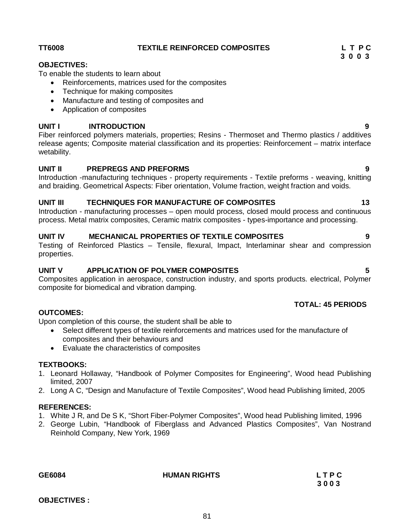**OBJECTIVES :**

## TT6008 TEXTILE REINFORCED COMPOSITES L T P C<br>3 0 0 3

#### **OBJECTIVES:**

To enable the students to learn about

- Reinforcements, matrices used for the composites
- Technique for making composites
- Manufacture and testing of composites and
- Application of composites

#### **UNIT I INTRODUCTION 9**

Fiber reinforced polymers materials, properties; Resins - Thermoset and Thermo plastics / additives release agents; Composite material classification and its properties: Reinforcement – matrix interface wetability.

#### **UNIT II PREPREGS AND PREFORMS 9**

Introduction -manufacturing techniques - property requirements - Textile preforms - weaving, knitting and braiding. Geometrical Aspects: Fiber orientation, Volume fraction, weight fraction and voids.

#### UNIT III TECHNIQUES FOR MANUFACTURE OF COMPOSITES 13

Introduction - manufacturing processes – open mould process, closed mould process and continuous process. Metal matrix composites, Ceramic matrix composites - types-importance and processing.

#### **UNIT IV MECHANICAL PROPERTIES OF TEXTILE COMPOSITES 9**

Testing of Reinforced Plastics – Tensile, flexural, Impact, Interlaminar shear and compression properties.

#### **UNIT V APPLICATION OF POLYMER COMPOSITES 5**

Composites application in aerospace, construction industry, and sports products. electrical, Polymer composite for biomedical and vibration damping.

#### **OUTCOMES:**

Upon completion of this course, the student shall be able to

- Select different types of textile reinforcements and matrices used for the manufacture of composites and their behaviours and
- Evaluate the characteristics of composites

#### **TEXTBOOKS:**

- 1. Leonard Hollaway, "Handbook of Polymer Composites for Engineering", Wood head Publishing limited, 2007
- 2. Long A C, "Design and Manufacture of Textile Composites", Wood head Publishing limited, 2005

#### **REFERENCES:**

- 1. White J R, and De S K, "Short Fiber-Polymer Composites", Wood head Publishing limited, 1996
- 2. George Lubin, "Handbook of Fiberglass and Advanced Plastics Composites", Van Nostrand Reinhold Company, New York, 1969

**GE6084 HUMAN RIGHTS L T P C**

# **3 0 0 3**

#### **TOTAL: 45 PERIODS**